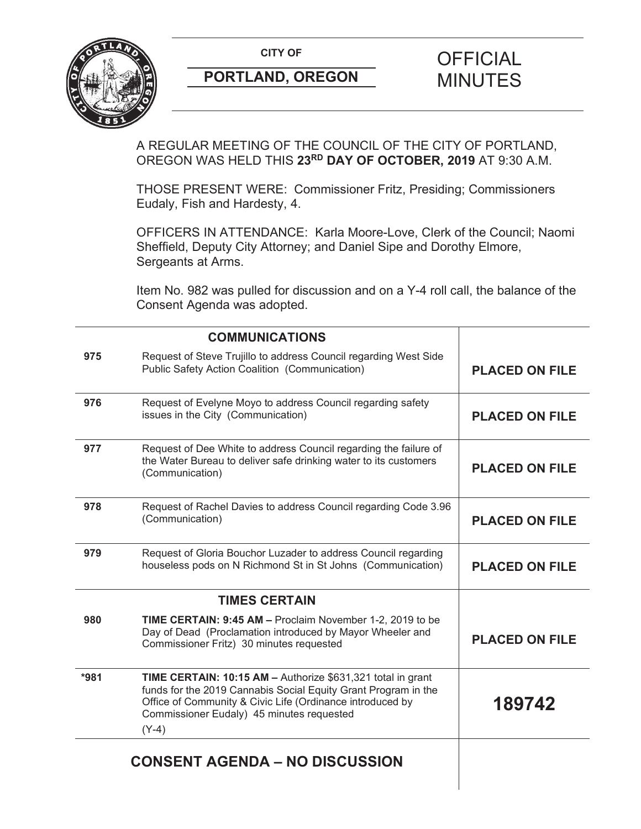

# **PORTLAND, OREGON MINUTES**

# **CITY OF CITY OF FICIAL**

A REGULAR MEETING OF THE COUNCIL OF THE CITY OF PORTLAND, OREGON WAS HELD THIS **23RD DAY OF OCTOBER, 2019** AT 9:30 A.M.

THOSE PRESENT WERE: Commissioner Fritz, Presiding; Commissioners Eudaly, Fish and Hardesty, 4.

OFFICERS IN ATTENDANCE: Karla Moore-Love, Clerk of the Council; Naomi Sheffield, Deputy City Attorney; and Daniel Sipe and Dorothy Elmore, Sergeants at Arms.

Item No. 982 was pulled for discussion and on a Y-4 roll call, the balance of the Consent Agenda was adopted.

| <b>COMMUNICATIONS</b> |                                                                                                                                                                                                                                                    |                       |
|-----------------------|----------------------------------------------------------------------------------------------------------------------------------------------------------------------------------------------------------------------------------------------------|-----------------------|
| 975                   | Request of Steve Trujillo to address Council regarding West Side<br>Public Safety Action Coalition (Communication)                                                                                                                                 | <b>PLACED ON FILE</b> |
| 976                   | Request of Evelyne Moyo to address Council regarding safety<br>issues in the City (Communication)                                                                                                                                                  | <b>PLACED ON FILE</b> |
| 977                   | Request of Dee White to address Council regarding the failure of<br>the Water Bureau to deliver safe drinking water to its customers<br>(Communication)                                                                                            | <b>PLACED ON FILE</b> |
| 978                   | Request of Rachel Davies to address Council regarding Code 3.96<br>(Communication)                                                                                                                                                                 | <b>PLACED ON FILE</b> |
| 979                   | Request of Gloria Bouchor Luzader to address Council regarding<br>houseless pods on N Richmond St in St Johns (Communication)                                                                                                                      | <b>PLACED ON FILE</b> |
|                       | <b>TIMES CERTAIN</b>                                                                                                                                                                                                                               |                       |
| 980                   | TIME CERTAIN: 9:45 AM - Proclaim November 1-2, 2019 to be<br>Day of Dead (Proclamation introduced by Mayor Wheeler and<br>Commissioner Fritz) 30 minutes requested                                                                                 | <b>PLACED ON FILE</b> |
| $*981$                | TIME CERTAIN: 10:15 AM - Authorize \$631,321 total in grant<br>funds for the 2019 Cannabis Social Equity Grant Program in the<br>Office of Community & Civic Life (Ordinance introduced by<br>Commissioner Eudaly) 45 minutes requested<br>$(Y-4)$ | 189742                |
|                       | <b>CONSENT AGENDA - NO DISCUSSION</b>                                                                                                                                                                                                              |                       |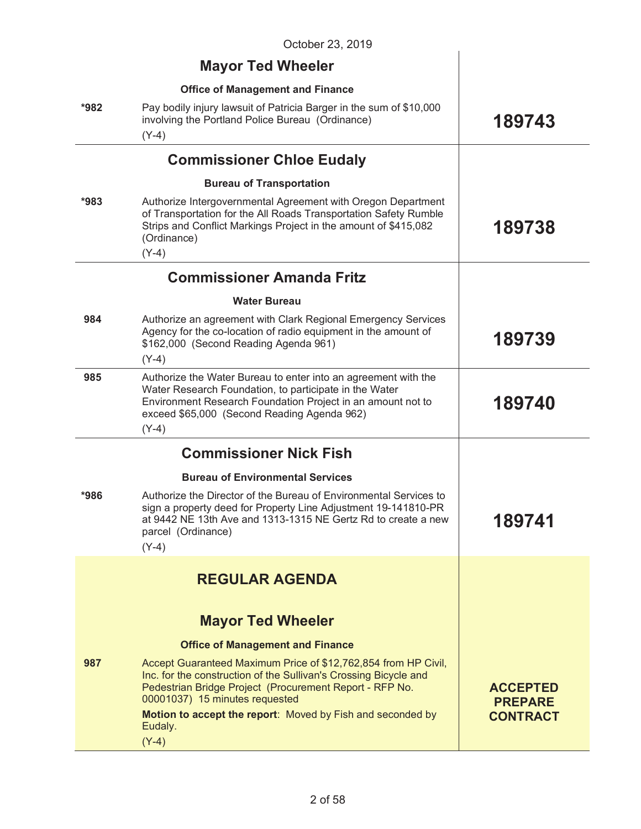|        | October 23, 2019                                                                                                                                                                                                                                                                              |                                                      |
|--------|-----------------------------------------------------------------------------------------------------------------------------------------------------------------------------------------------------------------------------------------------------------------------------------------------|------------------------------------------------------|
|        | <b>Mayor Ted Wheeler</b>                                                                                                                                                                                                                                                                      |                                                      |
|        | <b>Office of Management and Finance</b>                                                                                                                                                                                                                                                       |                                                      |
| *982   | Pay bodily injury lawsuit of Patricia Barger in the sum of \$10,000<br>involving the Portland Police Bureau (Ordinance)<br>$(Y-4)$                                                                                                                                                            | 189743                                               |
|        | <b>Commissioner Chloe Eudaly</b>                                                                                                                                                                                                                                                              |                                                      |
|        | <b>Bureau of Transportation</b>                                                                                                                                                                                                                                                               |                                                      |
| $*983$ | Authorize Intergovernmental Agreement with Oregon Department<br>of Transportation for the All Roads Transportation Safety Rumble<br>Strips and Conflict Markings Project in the amount of \$415,082<br>(Ordinance)<br>$(Y-4)$                                                                 | 189738                                               |
|        | <b>Commissioner Amanda Fritz</b>                                                                                                                                                                                                                                                              |                                                      |
|        | <b>Water Bureau</b>                                                                                                                                                                                                                                                                           |                                                      |
| 984    | Authorize an agreement with Clark Regional Emergency Services<br>Agency for the co-location of radio equipment in the amount of<br>\$162,000 (Second Reading Agenda 961)<br>$(Y-4)$                                                                                                           | 189739                                               |
| 985    | Authorize the Water Bureau to enter into an agreement with the<br>Water Research Foundation, to participate in the Water<br>Environment Research Foundation Project in an amount not to<br>exceed \$65,000 (Second Reading Agenda 962)<br>$(Y-4)$                                             | 189740                                               |
|        | <b>Commissioner Nick Fish</b>                                                                                                                                                                                                                                                                 |                                                      |
|        | <b>Bureau of Environmental Services</b>                                                                                                                                                                                                                                                       |                                                      |
| *986   | Authorize the Director of the Bureau of Environmental Services to<br>sign a property deed for Property Line Adjustment 19-141810-PR<br>at 9442 NE 13th Ave and 1313-1315 NE Gertz Rd to create a new<br>parcel (Ordinance)<br>$(Y-4)$                                                         | 189741                                               |
|        | <b>REGULAR AGENDA</b>                                                                                                                                                                                                                                                                         |                                                      |
|        | <b>Mayor Ted Wheeler</b>                                                                                                                                                                                                                                                                      |                                                      |
|        | <b>Office of Management and Finance</b>                                                                                                                                                                                                                                                       |                                                      |
| 987    | Accept Guaranteed Maximum Price of \$12,762,854 from HP Civil,<br>Inc. for the construction of the Sullivan's Crossing Bicycle and<br>Pedestrian Bridge Project (Procurement Report - RFP No.<br>00001037) 15 minutes requested<br>Motion to accept the report: Moved by Fish and seconded by | <b>ACCEPTED</b><br><b>PREPARE</b><br><b>CONTRACT</b> |
|        | Eudaly.<br>$(Y-4)$                                                                                                                                                                                                                                                                            |                                                      |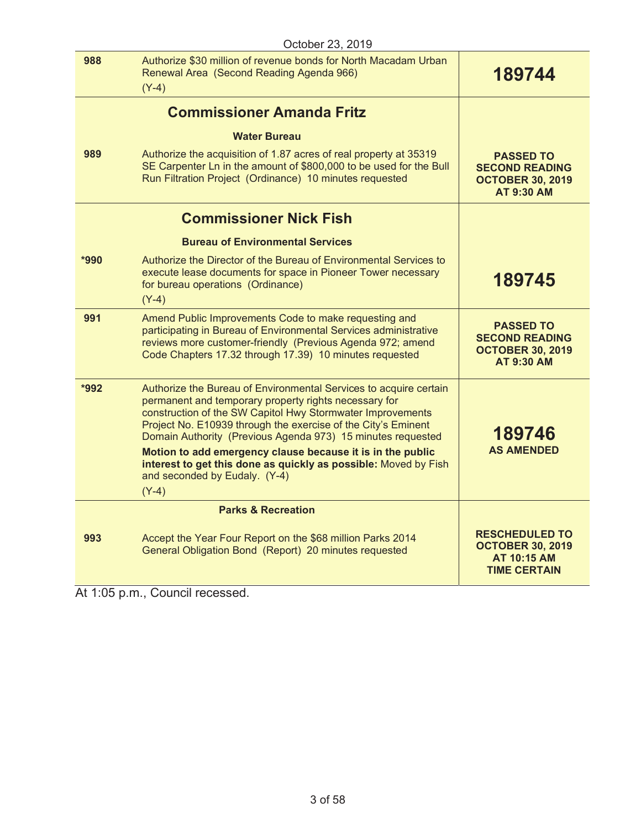| October 23, 2019 |                                                                                                                                                                                                                                                                                                                                                                                                                                                                                                       |                                                                                               |
|------------------|-------------------------------------------------------------------------------------------------------------------------------------------------------------------------------------------------------------------------------------------------------------------------------------------------------------------------------------------------------------------------------------------------------------------------------------------------------------------------------------------------------|-----------------------------------------------------------------------------------------------|
| 988              | Authorize \$30 million of revenue bonds for North Macadam Urban<br>Renewal Area (Second Reading Agenda 966)<br>$(Y-4)$                                                                                                                                                                                                                                                                                                                                                                                | 189744                                                                                        |
|                  | <b>Commissioner Amanda Fritz</b>                                                                                                                                                                                                                                                                                                                                                                                                                                                                      |                                                                                               |
|                  | <b>Water Bureau</b>                                                                                                                                                                                                                                                                                                                                                                                                                                                                                   |                                                                                               |
| 989              | Authorize the acquisition of 1.87 acres of real property at 35319<br>SE Carpenter Ln in the amount of \$800,000 to be used for the Bull<br>Run Filtration Project (Ordinance) 10 minutes requested                                                                                                                                                                                                                                                                                                    | <b>PASSED TO</b><br><b>SECOND READING</b><br><b>OCTOBER 30, 2019</b><br><b>AT 9:30 AM</b>     |
|                  | <b>Commissioner Nick Fish</b>                                                                                                                                                                                                                                                                                                                                                                                                                                                                         |                                                                                               |
|                  | <b>Bureau of Environmental Services</b>                                                                                                                                                                                                                                                                                                                                                                                                                                                               |                                                                                               |
| *990             | Authorize the Director of the Bureau of Environmental Services to<br>execute lease documents for space in Pioneer Tower necessary<br>for bureau operations (Ordinance)<br>$(Y-4)$                                                                                                                                                                                                                                                                                                                     | 189745                                                                                        |
| 991              | Amend Public Improvements Code to make requesting and<br>participating in Bureau of Environmental Services administrative<br>reviews more customer-friendly (Previous Agenda 972; amend<br>Code Chapters 17.32 through 17.39) 10 minutes requested                                                                                                                                                                                                                                                    | <b>PASSED TO</b><br><b>SECOND READING</b><br><b>OCTOBER 30, 2019</b><br><b>AT 9:30 AM</b>     |
| *992             | Authorize the Bureau of Environmental Services to acquire certain<br>permanent and temporary property rights necessary for<br>construction of the SW Capitol Hwy Stormwater Improvements<br>Project No. E10939 through the exercise of the City's Eminent<br>Domain Authority (Previous Agenda 973) 15 minutes requested<br>Motion to add emergency clause because it is in the public<br>interest to get this done as quickly as possible: Moved by Fish<br>and seconded by Eudaly. (Y-4)<br>$(Y-4)$ | 189746<br><b>AS AMENDED</b>                                                                   |
|                  | <b>Parks &amp; Recreation</b>                                                                                                                                                                                                                                                                                                                                                                                                                                                                         |                                                                                               |
| 993              | Accept the Year Four Report on the \$68 million Parks 2014<br>General Obligation Bond (Report) 20 minutes requested                                                                                                                                                                                                                                                                                                                                                                                   | <b>RESCHEDULED TO</b><br><b>OCTOBER 30, 2019</b><br><b>AT 10:15 AM</b><br><b>TIME CERTAIN</b> |

At 1:05 p.m., Council recessed.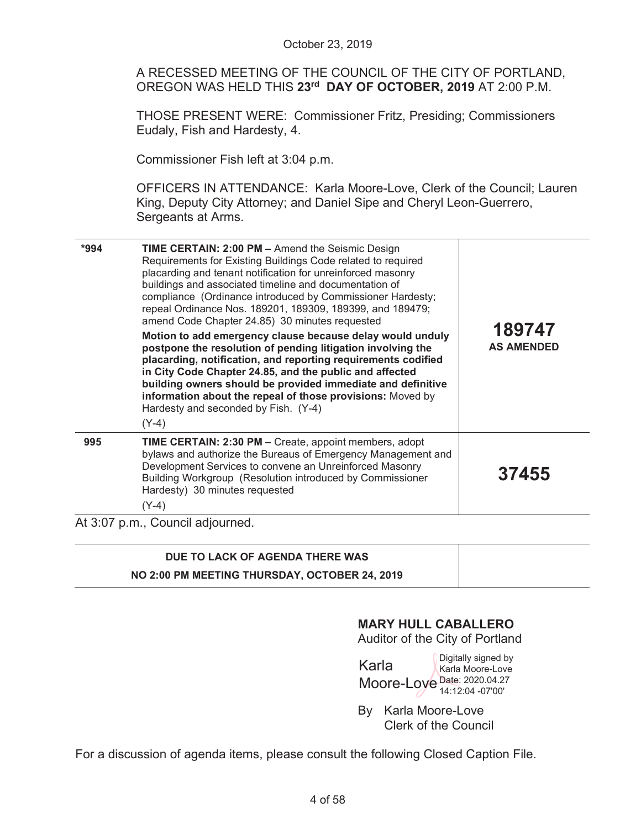|      | October 23, 2019                                                                                                                                                                                                                                                                                                                                                                                                                                                                                                                                                                                                                                                                                                                                                                                                                                               |                             |
|------|----------------------------------------------------------------------------------------------------------------------------------------------------------------------------------------------------------------------------------------------------------------------------------------------------------------------------------------------------------------------------------------------------------------------------------------------------------------------------------------------------------------------------------------------------------------------------------------------------------------------------------------------------------------------------------------------------------------------------------------------------------------------------------------------------------------------------------------------------------------|-----------------------------|
|      | A RECESSED MEETING OF THE COUNCIL OF THE CITY OF PORTLAND,<br>OREGON WAS HELD THIS 23rd DAY OF OCTOBER, 2019 AT 2:00 P.M.                                                                                                                                                                                                                                                                                                                                                                                                                                                                                                                                                                                                                                                                                                                                      |                             |
|      | <b>THOSE PRESENT WERE: Commissioner Fritz, Presiding; Commissioners</b><br>Eudaly, Fish and Hardesty, 4.                                                                                                                                                                                                                                                                                                                                                                                                                                                                                                                                                                                                                                                                                                                                                       |                             |
|      | Commissioner Fish left at 3:04 p.m.                                                                                                                                                                                                                                                                                                                                                                                                                                                                                                                                                                                                                                                                                                                                                                                                                            |                             |
|      | OFFICERS IN ATTENDANCE: Karla Moore-Love, Clerk of the Council; Lauren<br>King, Deputy City Attorney; and Daniel Sipe and Cheryl Leon-Guerrero,<br>Sergeants at Arms.                                                                                                                                                                                                                                                                                                                                                                                                                                                                                                                                                                                                                                                                                          |                             |
| *994 | TIME CERTAIN: 2:00 PM - Amend the Seismic Design<br>Requirements for Existing Buildings Code related to required<br>placarding and tenant notification for unreinforced masonry<br>buildings and associated timeline and documentation of<br>compliance (Ordinance introduced by Commissioner Hardesty;<br>repeal Ordinance Nos. 189201, 189309, 189399, and 189479;<br>amend Code Chapter 24.85) 30 minutes requested<br>Motion to add emergency clause because delay would unduly<br>postpone the resolution of pending litigation involving the<br>placarding, notification, and reporting requirements codified<br>in City Code Chapter 24.85, and the public and affected<br>building owners should be provided immediate and definitive<br>information about the repeal of those provisions: Moved by<br>Hardesty and seconded by Fish. (Y-4)<br>$(Y-4)$ | 189747<br><b>AS AMENDED</b> |
| 995  | TIME CERTAIN: 2:30 PM - Create, appoint members, adopt<br>bylaws and authorize the Bureaus of Emergency Management and<br>Development Services to convene an Unreinforced Masonry<br>Building Workgroup (Resolution introduced by Commissioner<br>Hardesty) 30 minutes requested<br>$(Y-4)$                                                                                                                                                                                                                                                                                                                                                                                                                                                                                                                                                                    | 37455                       |
|      | At 3:07 p.m., Council adjourned.                                                                                                                                                                                                                                                                                                                                                                                                                                                                                                                                                                                                                                                                                                                                                                                                                               |                             |
|      | DUE TO LACK OF AGENDA THERE WAS                                                                                                                                                                                                                                                                                                                                                                                                                                                                                                                                                                                                                                                                                                                                                                                                                                |                             |

| DUE TO LACK OF AGENDA THERE WAS               |  |
|-----------------------------------------------|--|
| NO 2:00 PM MEETING THURSDAY, OCTOBER 24, 2019 |  |

# **MARY HULL CABALLERO**

Auditor of the City of Portland

Karla Moore-Loye Date: 2020.04.27 Digitally signed by Karla Moore-Love 14:12:04 -07'00'

By Karla Moore-Love Clerk of the Council

For a discussion of agenda items, please consult the following Closed Caption File.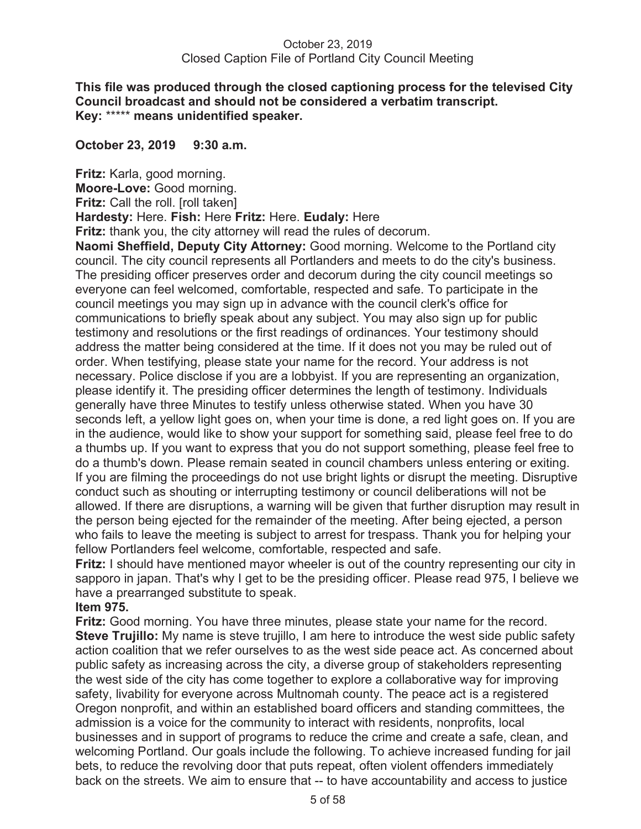# **This file was produced through the closed captioning process for the televised City Council broadcast and should not be considered a verbatim transcript. Key:** \*\*\*\*\* **means unidentified speaker.**

# **October 23, 2019 9:30 a.m.**

**Fritz:** Karla, good morning. **Moore-Love:** Good morning. **Fritz:** Call the roll. [roll taken] **Hardesty:** Here. **Fish:** Here **Fritz:** Here. **Eudaly:** Here

**Fritz:** thank you, the city attorney will read the rules of decorum.

**Naomi Sheffield, Deputy City Attorney:** Good morning. Welcome to the Portland city council. The city council represents all Portlanders and meets to do the city's business. The presiding officer preserves order and decorum during the city council meetings so everyone can feel welcomed, comfortable, respected and safe. To participate in the council meetings you may sign up in advance with the council clerk's office for communications to briefly speak about any subject. You may also sign up for public testimony and resolutions or the first readings of ordinances. Your testimony should address the matter being considered at the time. If it does not you may be ruled out of order. When testifying, please state your name for the record. Your address is not necessary. Police disclose if you are a lobbyist. If you are representing an organization, please identify it. The presiding officer determines the length of testimony. Individuals generally have three Minutes to testify unless otherwise stated. When you have 30 seconds left, a yellow light goes on, when your time is done, a red light goes on. If you are in the audience, would like to show your support for something said, please feel free to do a thumbs up. If you want to express that you do not support something, please feel free to do a thumb's down. Please remain seated in council chambers unless entering or exiting. If you are filming the proceedings do not use bright lights or disrupt the meeting. Disruptive conduct such as shouting or interrupting testimony or council deliberations will not be allowed. If there are disruptions, a warning will be given that further disruption may result in the person being ejected for the remainder of the meeting. After being ejected, a person who fails to leave the meeting is subject to arrest for trespass. Thank you for helping your fellow Portlanders feel welcome, comfortable, respected and safe.

**Fritz:** I should have mentioned mayor wheeler is out of the country representing our city in sapporo in japan. That's why I get to be the presiding officer. Please read 975, I believe we have a prearranged substitute to speak.

# **Item 975.**

**Fritz:** Good morning. You have three minutes, please state your name for the record. **Steve Trujillo:** My name is steve trujillo, I am here to introduce the west side public safety action coalition that we refer ourselves to as the west side peace act. As concerned about public safety as increasing across the city, a diverse group of stakeholders representing the west side of the city has come together to explore a collaborative way for improving safety, livability for everyone across Multnomah county. The peace act is a registered Oregon nonprofit, and within an established board officers and standing committees, the admission is a voice for the community to interact with residents, nonprofits, local businesses and in support of programs to reduce the crime and create a safe, clean, and welcoming Portland. Our goals include the following. To achieve increased funding for jail bets, to reduce the revolving door that puts repeat, often violent offenders immediately back on the streets. We aim to ensure that -- to have accountability and access to justice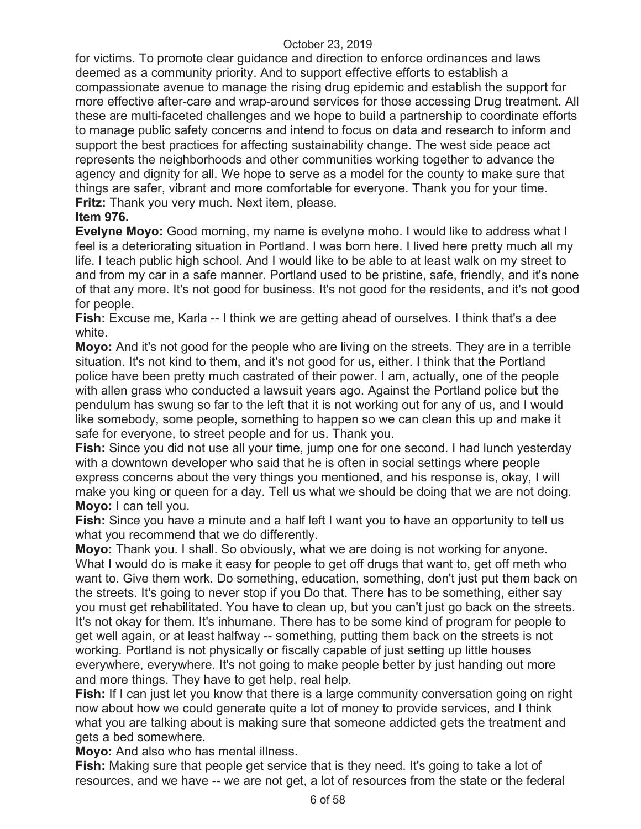for victims. To promote clear guidance and direction to enforce ordinances and laws deemed as a community priority. And to support effective efforts to establish a compassionate avenue to manage the rising drug epidemic and establish the support for more effective after-care and wrap-around services for those accessing Drug treatment. All these are multi-faceted challenges and we hope to build a partnership to coordinate efforts to manage public safety concerns and intend to focus on data and research to inform and support the best practices for affecting sustainability change. The west side peace act represents the neighborhoods and other communities working together to advance the agency and dignity for all. We hope to serve as a model for the county to make sure that things are safer, vibrant and more comfortable for everyone. Thank you for your time. **Fritz:** Thank you very much. Next item, please.

# **Item 976.**

**Evelyne Moyo:** Good morning, my name is evelyne moho. I would like to address what I feel is a deteriorating situation in Portland. I was born here. I lived here pretty much all my life. I teach public high school. And I would like to be able to at least walk on my street to and from my car in a safe manner. Portland used to be pristine, safe, friendly, and it's none of that any more. It's not good for business. It's not good for the residents, and it's not good for people.

**Fish:** Excuse me, Karla -- I think we are getting ahead of ourselves. I think that's a dee white.

**Moyo:** And it's not good for the people who are living on the streets. They are in a terrible situation. It's not kind to them, and it's not good for us, either. I think that the Portland police have been pretty much castrated of their power. I am, actually, one of the people with allen grass who conducted a lawsuit years ago. Against the Portland police but the pendulum has swung so far to the left that it is not working out for any of us, and I would like somebody, some people, something to happen so we can clean this up and make it safe for everyone, to street people and for us. Thank you.

**Fish:** Since you did not use all your time, jump one for one second. I had lunch yesterday with a downtown developer who said that he is often in social settings where people express concerns about the very things you mentioned, and his response is, okay, I will make you king or queen for a day. Tell us what we should be doing that we are not doing. **Moyo:** I can tell you.

**Fish:** Since you have a minute and a half left I want you to have an opportunity to tell us what you recommend that we do differently.

**Moyo:** Thank you. I shall. So obviously, what we are doing is not working for anyone. What I would do is make it easy for people to get off drugs that want to, get off meth who want to. Give them work. Do something, education, something, don't just put them back on the streets. It's going to never stop if you Do that. There has to be something, either say you must get rehabilitated. You have to clean up, but you can't just go back on the streets. It's not okay for them. It's inhumane. There has to be some kind of program for people to get well again, or at least halfway -- something, putting them back on the streets is not working. Portland is not physically or fiscally capable of just setting up little houses everywhere, everywhere. It's not going to make people better by just handing out more and more things. They have to get help, real help.

**Fish:** If I can just let you know that there is a large community conversation going on right now about how we could generate quite a lot of money to provide services, and I think what you are talking about is making sure that someone addicted gets the treatment and gets a bed somewhere.

**Moyo:** And also who has mental illness.

**Fish:** Making sure that people get service that is they need. It's going to take a lot of resources, and we have -- we are not get, a lot of resources from the state or the federal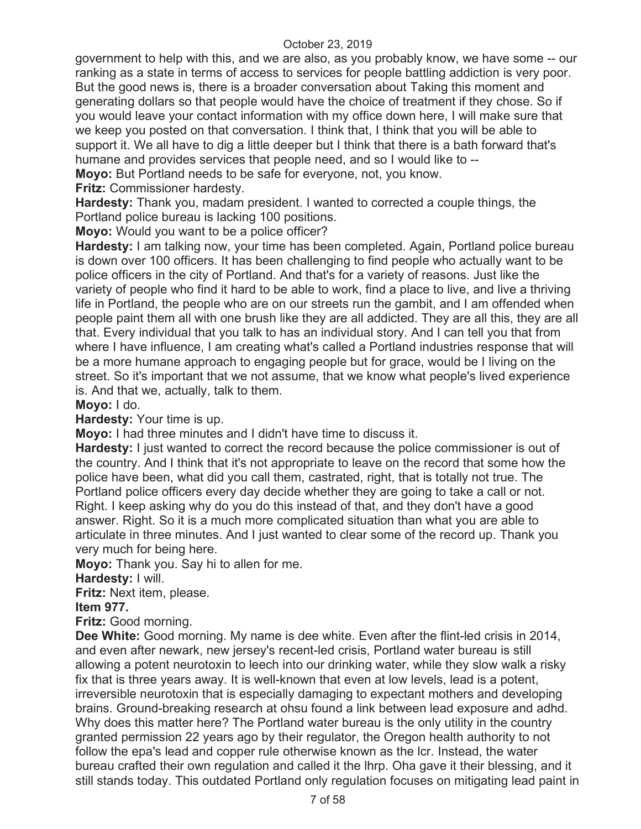government to help with this, and we are also, as you probably know, we have some -- our ranking as a state in terms of access to services for people battling addiction is very poor. But the good news is, there is a broader conversation about Taking this moment and generating dollars so that people would have the choice of treatment if they chose. So if you would leave your contact information with my office down here, I will make sure that we keep you posted on that conversation. I think that, I think that you will be able to support it. We all have to dig a little deeper but I think that there is a bath forward that's humane and provides services that people need, and so I would like to --

**Moyo:** But Portland needs to be safe for everyone, not, you know.

**Fritz:** Commissioner hardesty.

**Hardesty:** Thank you, madam president. I wanted to corrected a couple things, the Portland police bureau is lacking 100 positions.

**Moyo:** Would you want to be a police officer?

**Hardesty:** I am talking now, your time has been completed. Again, Portland police bureau is down over 100 officers. It has been challenging to find people who actually want to be police officers in the city of Portland. And that's for a variety of reasons. Just like the variety of people who find it hard to be able to work, find a place to live, and live a thriving life in Portland, the people who are on our streets run the gambit, and I am offended when people paint them all with one brush like they are all addicted. They are all this, they are all that. Every individual that you talk to has an individual story. And I can tell you that from where I have influence, I am creating what's called a Portland industries response that will be a more humane approach to engaging people but for grace, would be I living on the street. So it's important that we not assume, that we know what people's lived experience is. And that we, actually, talk to them.

**Moyo:** I do.

**Hardesty:** Your time is up.

**Moyo:** I had three minutes and I didn't have time to discuss it.

**Hardesty:** I just wanted to correct the record because the police commissioner is out of the country. And I think that it's not appropriate to leave on the record that some how the police have been, what did you call them, castrated, right, that is totally not true. The Portland police officers every day decide whether they are going to take a call or not. Right. I keep asking why do you do this instead of that, and they don't have a good answer. Right. So it is a much more complicated situation than what you are able to articulate in three minutes. And I just wanted to clear some of the record up. Thank you very much for being here.

**Moyo:** Thank you. Say hi to allen for me.

**Hardesty:** I will.

**Fritz:** Next item, please.

**Item 977.** 

**Fritz:** Good morning.

**Dee White:** Good morning. My name is dee white. Even after the flint-led crisis in 2014, and even after newark, new jersey's recent-led crisis, Portland water bureau is still allowing a potent neurotoxin to leech into our drinking water, while they slow walk a risky fix that is three years away. It is well-known that even at low levels, lead is a potent, irreversible neurotoxin that is especially damaging to expectant mothers and developing brains. Ground-breaking research at ohsu found a link between lead exposure and adhd. Why does this matter here? The Portland water bureau is the only utility in the country granted permission 22 years ago by their regulator, the Oregon health authority to not follow the epa's lead and copper rule otherwise known as the lcr. Instead, the water bureau crafted their own regulation and called it the lhrp. Oha gave it their blessing, and it still stands today. This outdated Portland only regulation focuses on mitigating lead paint in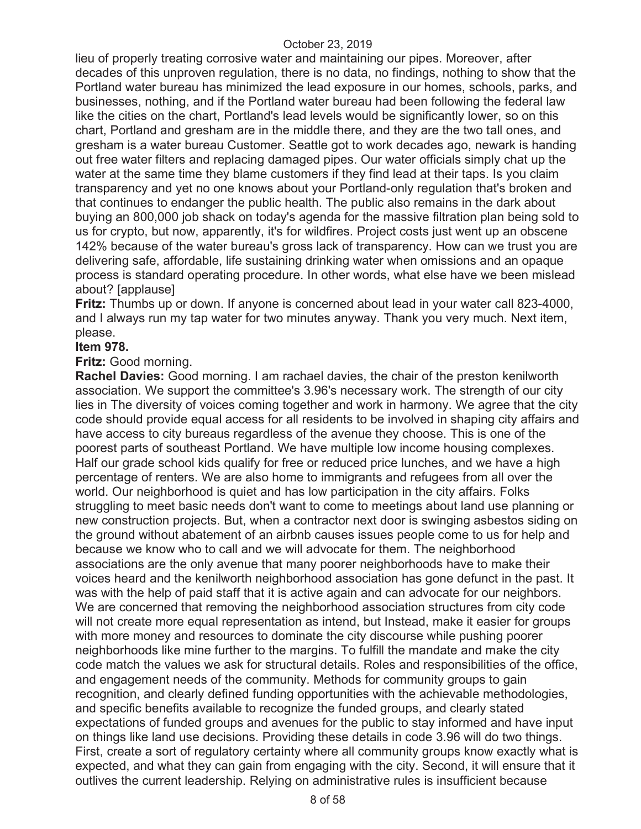lieu of properly treating corrosive water and maintaining our pipes. Moreover, after decades of this unproven regulation, there is no data, no findings, nothing to show that the Portland water bureau has minimized the lead exposure in our homes, schools, parks, and businesses, nothing, and if the Portland water bureau had been following the federal law like the cities on the chart, Portland's lead levels would be significantly lower, so on this chart, Portland and gresham are in the middle there, and they are the two tall ones, and gresham is a water bureau Customer. Seattle got to work decades ago, newark is handing out free water filters and replacing damaged pipes. Our water officials simply chat up the water at the same time they blame customers if they find lead at their taps. Is you claim transparency and yet no one knows about your Portland-only regulation that's broken and that continues to endanger the public health. The public also remains in the dark about buying an 800,000 job shack on today's agenda for the massive filtration plan being sold to us for crypto, but now, apparently, it's for wildfires. Project costs just went up an obscene 142% because of the water bureau's gross lack of transparency. How can we trust you are delivering safe, affordable, life sustaining drinking water when omissions and an opaque process is standard operating procedure. In other words, what else have we been mislead about? [applause]

**Fritz:** Thumbs up or down. If anyone is concerned about lead in your water call 823-4000, and I always run my tap water for two minutes anyway. Thank you very much. Next item, please.

# **Item 978.**

**Fritz:** Good morning.

**Rachel Davies:** Good morning. I am rachael davies, the chair of the preston kenilworth association. We support the committee's 3.96's necessary work. The strength of our city lies in The diversity of voices coming together and work in harmony. We agree that the city code should provide equal access for all residents to be involved in shaping city affairs and have access to city bureaus regardless of the avenue they choose. This is one of the poorest parts of southeast Portland. We have multiple low income housing complexes. Half our grade school kids qualify for free or reduced price lunches, and we have a high percentage of renters. We are also home to immigrants and refugees from all over the world. Our neighborhood is quiet and has low participation in the city affairs. Folks struggling to meet basic needs don't want to come to meetings about land use planning or new construction projects. But, when a contractor next door is swinging asbestos siding on the ground without abatement of an airbnb causes issues people come to us for help and because we know who to call and we will advocate for them. The neighborhood associations are the only avenue that many poorer neighborhoods have to make their voices heard and the kenilworth neighborhood association has gone defunct in the past. It was with the help of paid staff that it is active again and can advocate for our neighbors. We are concerned that removing the neighborhood association structures from city code will not create more equal representation as intend, but Instead, make it easier for groups with more money and resources to dominate the city discourse while pushing poorer neighborhoods like mine further to the margins. To fulfill the mandate and make the city code match the values we ask for structural details. Roles and responsibilities of the office, and engagement needs of the community. Methods for community groups to gain recognition, and clearly defined funding opportunities with the achievable methodologies, and specific benefits available to recognize the funded groups, and clearly stated expectations of funded groups and avenues for the public to stay informed and have input on things like land use decisions. Providing these details in code 3.96 will do two things. First, create a sort of regulatory certainty where all community groups know exactly what is expected, and what they can gain from engaging with the city. Second, it will ensure that it outlives the current leadership. Relying on administrative rules is insufficient because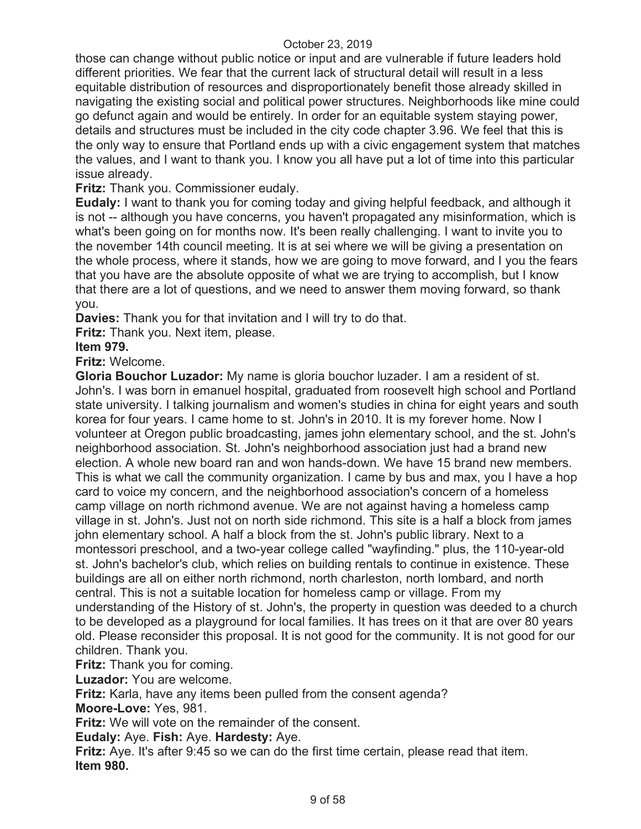those can change without public notice or input and are vulnerable if future leaders hold different priorities. We fear that the current lack of structural detail will result in a less equitable distribution of resources and disproportionately benefit those already skilled in navigating the existing social and political power structures. Neighborhoods like mine could go defunct again and would be entirely. In order for an equitable system staying power, details and structures must be included in the city code chapter 3.96. We feel that this is the only way to ensure that Portland ends up with a civic engagement system that matches the values, and I want to thank you. I know you all have put a lot of time into this particular issue already.

**Fritz:** Thank you. Commissioner eudaly.

**Eudaly:** I want to thank you for coming today and giving helpful feedback, and although it is not -- although you have concerns, you haven't propagated any misinformation, which is what's been going on for months now. It's been really challenging. I want to invite you to the november 14th council meeting. It is at sei where we will be giving a presentation on the whole process, where it stands, how we are going to move forward, and I you the fears that you have are the absolute opposite of what we are trying to accomplish, but I know that there are a lot of questions, and we need to answer them moving forward, so thank you.

**Davies:** Thank you for that invitation and I will try to do that.

**Fritz:** Thank you. Next item, please.

# **Item 979.**

**Fritz:** Welcome.

**Gloria Bouchor Luzador:** My name is gloria bouchor luzader. I am a resident of st. John's. I was born in emanuel hospital, graduated from roosevelt high school and Portland state university. I talking journalism and women's studies in china for eight years and south korea for four years. I came home to st. John's in 2010. It is my forever home. Now I volunteer at Oregon public broadcasting, james john elementary school, and the st. John's neighborhood association. St. John's neighborhood association just had a brand new election. A whole new board ran and won hands-down. We have 15 brand new members. This is what we call the community organization. I came by bus and max, you I have a hop card to voice my concern, and the neighborhood association's concern of a homeless camp village on north richmond avenue. We are not against having a homeless camp village in st. John's. Just not on north side richmond. This site is a half a block from james john elementary school. A half a block from the st. John's public library. Next to a montessori preschool, and a two-year college called "wayfinding." plus, the 110-year-old st. John's bachelor's club, which relies on building rentals to continue in existence. These buildings are all on either north richmond, north charleston, north lombard, and north central. This is not a suitable location for homeless camp or village. From my understanding of the History of st. John's, the property in question was deeded to a church to be developed as a playground for local families. It has trees on it that are over 80 years old. Please reconsider this proposal. It is not good for the community. It is not good for our children. Thank you.

**Fritz:** Thank you for coming.

**Luzador:** You are welcome.

**Fritz:** Karla, have any items been pulled from the consent agenda?

**Moore-Love:** Yes, 981.

**Fritz:** We will vote on the remainder of the consent.

**Eudaly:** Aye. **Fish:** Aye. **Hardesty:** Aye.

**Fritz:** Aye. It's after 9:45 so we can do the first time certain, please read that item. **Item 980.**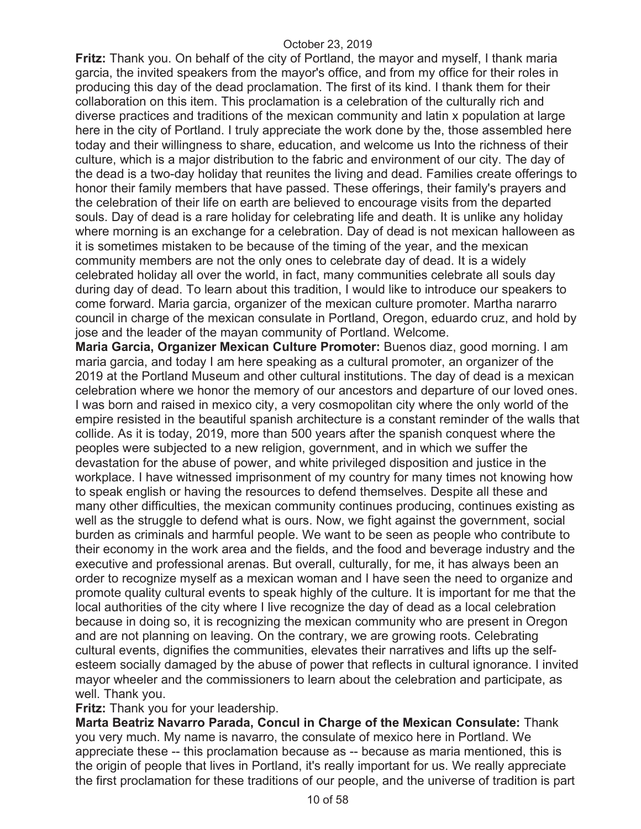**Fritz:** Thank you. On behalf of the city of Portland, the mayor and myself, I thank maria garcia, the invited speakers from the mayor's office, and from my office for their roles in producing this day of the dead proclamation. The first of its kind. I thank them for their collaboration on this item. This proclamation is a celebration of the culturally rich and diverse practices and traditions of the mexican community and latin x population at large here in the city of Portland. I truly appreciate the work done by the, those assembled here today and their willingness to share, education, and welcome us Into the richness of their culture, which is a major distribution to the fabric and environment of our city. The day of the dead is a two-day holiday that reunites the living and dead. Families create offerings to honor their family members that have passed. These offerings, their family's prayers and the celebration of their life on earth are believed to encourage visits from the departed souls. Day of dead is a rare holiday for celebrating life and death. It is unlike any holiday where morning is an exchange for a celebration. Day of dead is not mexican halloween as it is sometimes mistaken to be because of the timing of the year, and the mexican community members are not the only ones to celebrate day of dead. It is a widely celebrated holiday all over the world, in fact, many communities celebrate all souls day during day of dead. To learn about this tradition, I would like to introduce our speakers to come forward. Maria garcia, organizer of the mexican culture promoter. Martha nararro council in charge of the mexican consulate in Portland, Oregon, eduardo cruz, and hold by jose and the leader of the mayan community of Portland. Welcome.

**Maria Garcia, Organizer Mexican Culture Promoter:** Buenos diaz, good morning. I am maria garcia, and today I am here speaking as a cultural promoter, an organizer of the 2019 at the Portland Museum and other cultural institutions. The day of dead is a mexican celebration where we honor the memory of our ancestors and departure of our loved ones. I was born and raised in mexico city, a very cosmopolitan city where the only world of the empire resisted in the beautiful spanish architecture is a constant reminder of the walls that collide. As it is today, 2019, more than 500 years after the spanish conquest where the peoples were subjected to a new religion, government, and in which we suffer the devastation for the abuse of power, and white privileged disposition and justice in the workplace. I have witnessed imprisonment of my country for many times not knowing how to speak english or having the resources to defend themselves. Despite all these and many other difficulties, the mexican community continues producing, continues existing as well as the struggle to defend what is ours. Now, we fight against the government, social burden as criminals and harmful people. We want to be seen as people who contribute to their economy in the work area and the fields, and the food and beverage industry and the executive and professional arenas. But overall, culturally, for me, it has always been an order to recognize myself as a mexican woman and I have seen the need to organize and promote quality cultural events to speak highly of the culture. It is important for me that the local authorities of the city where I live recognize the day of dead as a local celebration because in doing so, it is recognizing the mexican community who are present in Oregon and are not planning on leaving. On the contrary, we are growing roots. Celebrating cultural events, dignifies the communities, elevates their narratives and lifts up the selfesteem socially damaged by the abuse of power that reflects in cultural ignorance. I invited mayor wheeler and the commissioners to learn about the celebration and participate, as well. Thank you.

**Fritz:** Thank you for your leadership.

**Marta Beatriz Navarro Parada, Concul in Charge of the Mexican Consulate:** Thank you very much. My name is navarro, the consulate of mexico here in Portland. We appreciate these -- this proclamation because as -- because as maria mentioned, this is the origin of people that lives in Portland, it's really important for us. We really appreciate the first proclamation for these traditions of our people, and the universe of tradition is part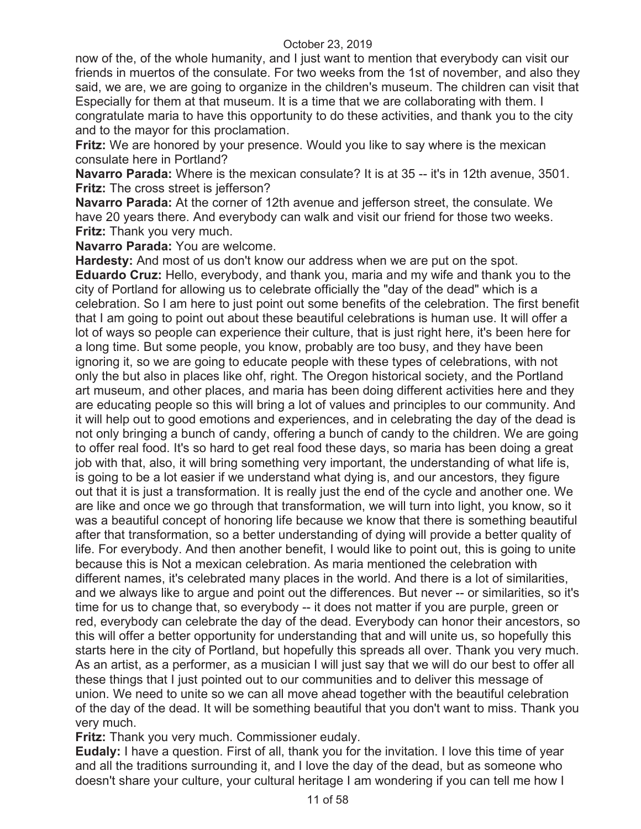now of the, of the whole humanity, and I just want to mention that everybody can visit our friends in muertos of the consulate. For two weeks from the 1st of november, and also they said, we are, we are going to organize in the children's museum. The children can visit that Especially for them at that museum. It is a time that we are collaborating with them. I congratulate maria to have this opportunity to do these activities, and thank you to the city and to the mayor for this proclamation.

**Fritz:** We are honored by your presence. Would you like to say where is the mexican consulate here in Portland?

**Navarro Parada:** Where is the mexican consulate? It is at 35 -- it's in 12th avenue, 3501. **Fritz:** The cross street is jefferson?

**Navarro Parada:** At the corner of 12th avenue and jefferson street, the consulate. We have 20 years there. And everybody can walk and visit our friend for those two weeks. **Fritz:** Thank you very much.

**Navarro Parada:** You are welcome.

**Hardesty:** And most of us don't know our address when we are put on the spot. **Eduardo Cruz:** Hello, everybody, and thank you, maria and my wife and thank you to the city of Portland for allowing us to celebrate officially the "day of the dead" which is a celebration. So I am here to just point out some benefits of the celebration. The first benefit that I am going to point out about these beautiful celebrations is human use. It will offer a lot of ways so people can experience their culture, that is just right here, it's been here for a long time. But some people, you know, probably are too busy, and they have been ignoring it, so we are going to educate people with these types of celebrations, with not only the but also in places like ohf, right. The Oregon historical society, and the Portland art museum, and other places, and maria has been doing different activities here and they are educating people so this will bring a lot of values and principles to our community. And it will help out to good emotions and experiences, and in celebrating the day of the dead is not only bringing a bunch of candy, offering a bunch of candy to the children. We are going to offer real food. It's so hard to get real food these days, so maria has been doing a great job with that, also, it will bring something very important, the understanding of what life is, is going to be a lot easier if we understand what dying is, and our ancestors, they figure out that it is just a transformation. It is really just the end of the cycle and another one. We are like and once we go through that transformation, we will turn into light, you know, so it was a beautiful concept of honoring life because we know that there is something beautiful after that transformation, so a better understanding of dying will provide a better quality of life. For everybody. And then another benefit, I would like to point out, this is going to unite because this is Not a mexican celebration. As maria mentioned the celebration with different names, it's celebrated many places in the world. And there is a lot of similarities, and we always like to argue and point out the differences. But never -- or similarities, so it's time for us to change that, so everybody -- it does not matter if you are purple, green or red, everybody can celebrate the day of the dead. Everybody can honor their ancestors, so this will offer a better opportunity for understanding that and will unite us, so hopefully this starts here in the city of Portland, but hopefully this spreads all over. Thank you very much. As an artist, as a performer, as a musician I will just say that we will do our best to offer all these things that I just pointed out to our communities and to deliver this message of union. We need to unite so we can all move ahead together with the beautiful celebration of the day of the dead. It will be something beautiful that you don't want to miss. Thank you very much.

**Fritz:** Thank you very much. Commissioner eudaly.

**Eudaly:** I have a question. First of all, thank you for the invitation. I love this time of year and all the traditions surrounding it, and I love the day of the dead, but as someone who doesn't share your culture, your cultural heritage I am wondering if you can tell me how I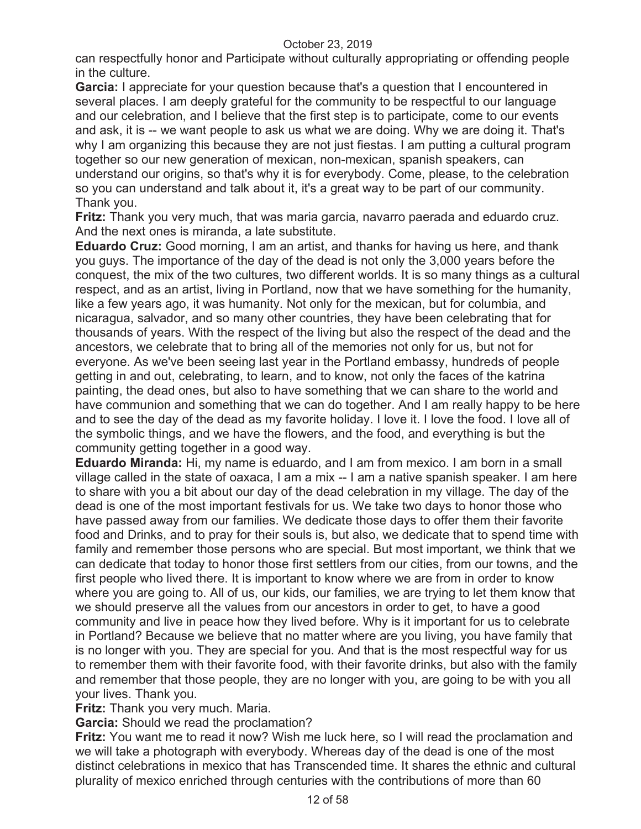can respectfully honor and Participate without culturally appropriating or offending people in the culture.

**Garcia:** I appreciate for your question because that's a question that I encountered in several places. I am deeply grateful for the community to be respectful to our language and our celebration, and I believe that the first step is to participate, come to our events and ask, it is -- we want people to ask us what we are doing. Why we are doing it. That's why I am organizing this because they are not just fiestas. I am putting a cultural program together so our new generation of mexican, non-mexican, spanish speakers, can understand our origins, so that's why it is for everybody. Come, please, to the celebration so you can understand and talk about it, it's a great way to be part of our community. Thank you.

**Fritz:** Thank you very much, that was maria garcia, navarro paerada and eduardo cruz. And the next ones is miranda, a late substitute.

**Eduardo Cruz:** Good morning, I am an artist, and thanks for having us here, and thank you guys. The importance of the day of the dead is not only the 3,000 years before the conquest, the mix of the two cultures, two different worlds. It is so many things as a cultural respect, and as an artist, living in Portland, now that we have something for the humanity, like a few years ago, it was humanity. Not only for the mexican, but for columbia, and nicaragua, salvador, and so many other countries, they have been celebrating that for thousands of years. With the respect of the living but also the respect of the dead and the ancestors, we celebrate that to bring all of the memories not only for us, but not for everyone. As we've been seeing last year in the Portland embassy, hundreds of people getting in and out, celebrating, to learn, and to know, not only the faces of the katrina painting, the dead ones, but also to have something that we can share to the world and have communion and something that we can do together. And I am really happy to be here and to see the day of the dead as my favorite holiday. I love it. I love the food. I love all of the symbolic things, and we have the flowers, and the food, and everything is but the community getting together in a good way.

**Eduardo Miranda:** Hi, my name is eduardo, and I am from mexico. I am born in a small village called in the state of oaxaca, I am a mix -- I am a native spanish speaker. I am here to share with you a bit about our day of the dead celebration in my village. The day of the dead is one of the most important festivals for us. We take two days to honor those who have passed away from our families. We dedicate those days to offer them their favorite food and Drinks, and to pray for their souls is, but also, we dedicate that to spend time with family and remember those persons who are special. But most important, we think that we can dedicate that today to honor those first settlers from our cities, from our towns, and the first people who lived there. It is important to know where we are from in order to know where you are going to. All of us, our kids, our families, we are trying to let them know that we should preserve all the values from our ancestors in order to get, to have a good community and live in peace how they lived before. Why is it important for us to celebrate in Portland? Because we believe that no matter where are you living, you have family that is no longer with you. They are special for you. And that is the most respectful way for us to remember them with their favorite food, with their favorite drinks, but also with the family and remember that those people, they are no longer with you, are going to be with you all your lives. Thank you.

**Fritz:** Thank you very much. Maria.

**Garcia:** Should we read the proclamation?

**Fritz:** You want me to read it now? Wish me luck here, so I will read the proclamation and we will take a photograph with everybody. Whereas day of the dead is one of the most distinct celebrations in mexico that has Transcended time. It shares the ethnic and cultural plurality of mexico enriched through centuries with the contributions of more than 60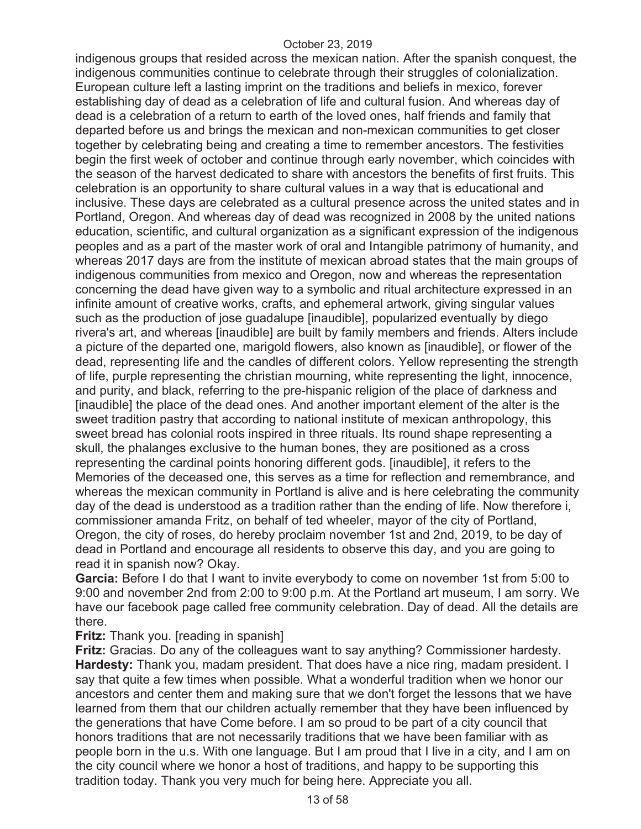indigenous groups that resided across the mexican nation. After the spanish conquest, the indigenous communities continue to celebrate through their struggles of colonialization. European culture left a lasting imprint on the traditions and beliefs in mexico, forever establishing day of dead as a celebration of life and cultural fusion. And whereas day of dead is a celebration of a return to earth of the loved ones, half friends and family that departed before us and brings the mexican and non-mexican communities to get closer together by celebrating being and creating a time to remember ancestors. The festivities begin the first week of october and continue through early november, which coincides with the season of the harvest dedicated to share with ancestors the benefits of first fruits. This celebration is an opportunity to share cultural values in a way that is educational and inclusive. These days are celebrated as a cultural presence across the united states and in Portland, Oregon. And whereas day of dead was recognized in 2008 by the united nations education, scientific, and cultural organization as a significant expression of the indigenous peoples and as a part of the master work of oral and Intangible patrimony of humanity, and whereas 2017 days are from the institute of mexican abroad states that the main groups of indigenous communities from mexico and Oregon, now and whereas the representation concerning the dead have given way to a symbolic and ritual architecture expressed in an infinite amount of creative works, crafts, and ephemeral artwork, giving singular values such as the production of jose guadalupe [inaudible], popularized eventually by diego rivera's art, and whereas [inaudible] are built by family members and friends. Alters include a picture of the departed one, marigold flowers, also known as [inaudible], or flower of the dead, representing life and the candles of different colors. Yellow representing the strength of life, purple representing the christian mourning, white representing the light, innocence, and purity, and black, referring to the pre-hispanic religion of the place of darkness and [inaudible] the place of the dead ones. And another important element of the alter is the sweet tradition pastry that according to national institute of mexican anthropology, this sweet bread has colonial roots inspired in three rituals. Its round shape representing a skull, the phalanges exclusive to the human bones, they are positioned as a cross representing the cardinal points honoring different gods. [inaudible], it refers to the Memories of the deceased one, this serves as a time for reflection and remembrance, and whereas the mexican community in Portland is alive and is here celebrating the community day of the dead is understood as a tradition rather than the ending of life. Now therefore i, commissioner amanda Fritz, on behalf of ted wheeler, mayor of the city of Portland, Oregon, the city of roses, do hereby proclaim november 1st and 2nd, 2019, to be day of dead in Portland and encourage all residents to observe this day, and you are going to read it in spanish now? Okay.

**Garcia:** Before I do that I want to invite everybody to come on november 1st from 5:00 to 9:00 and november 2nd from 2:00 to 9:00 p.m. At the Portland art museum, I am sorry. We have our facebook page called free community celebration. Day of dead. All the details are there.

**Fritz:** Thank you. [reading in spanish]

**Fritz:** Gracias. Do any of the colleagues want to say anything? Commissioner hardesty. **Hardesty:** Thank you, madam president. That does have a nice ring, madam president. I say that quite a few times when possible. What a wonderful tradition when we honor our ancestors and center them and making sure that we don't forget the lessons that we have learned from them that our children actually remember that they have been influenced by the generations that have Come before. I am so proud to be part of a city council that honors traditions that are not necessarily traditions that we have been familiar with as people born in the u.s. With one language. But I am proud that I live in a city, and I am on the city council where we honor a host of traditions, and happy to be supporting this tradition today. Thank you very much for being here. Appreciate you all.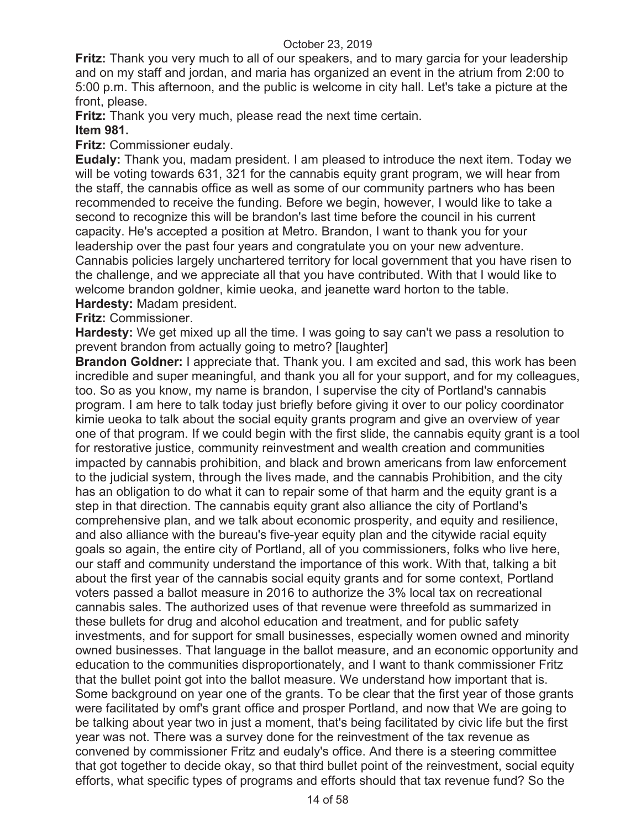**Fritz:** Thank you very much to all of our speakers, and to mary garcia for your leadership and on my staff and jordan, and maria has organized an event in the atrium from 2:00 to 5:00 p.m. This afternoon, and the public is welcome in city hall. Let's take a picture at the front, please.

**Fritz:** Thank you very much, please read the next time certain.

# **Item 981.**

**Fritz:** Commissioner eudaly.

**Eudaly:** Thank you, madam president. I am pleased to introduce the next item. Today we will be voting towards 631, 321 for the cannabis equity grant program, we will hear from the staff, the cannabis office as well as some of our community partners who has been recommended to receive the funding. Before we begin, however, I would like to take a second to recognize this will be brandon's last time before the council in his current capacity. He's accepted a position at Metro. Brandon, I want to thank you for your leadership over the past four years and congratulate you on your new adventure. Cannabis policies largely unchartered territory for local government that you have risen to the challenge, and we appreciate all that you have contributed. With that I would like to welcome brandon goldner, kimie ueoka, and jeanette ward horton to the table. **Hardesty:** Madam president.

**Fritz:** Commissioner.

**Hardesty:** We get mixed up all the time. I was going to say can't we pass a resolution to prevent brandon from actually going to metro? [laughter]

**Brandon Goldner:** I appreciate that. Thank you. I am excited and sad, this work has been incredible and super meaningful, and thank you all for your support, and for my colleagues, too. So as you know, my name is brandon, I supervise the city of Portland's cannabis program. I am here to talk today just briefly before giving it over to our policy coordinator kimie ueoka to talk about the social equity grants program and give an overview of year one of that program. If we could begin with the first slide, the cannabis equity grant is a tool for restorative justice, community reinvestment and wealth creation and communities impacted by cannabis prohibition, and black and brown americans from law enforcement to the judicial system, through the lives made, and the cannabis Prohibition, and the city has an obligation to do what it can to repair some of that harm and the equity grant is a step in that direction. The cannabis equity grant also alliance the city of Portland's comprehensive plan, and we talk about economic prosperity, and equity and resilience, and also alliance with the bureau's five-year equity plan and the citywide racial equity goals so again, the entire city of Portland, all of you commissioners, folks who live here, our staff and community understand the importance of this work. With that, talking a bit about the first year of the cannabis social equity grants and for some context, Portland voters passed a ballot measure in 2016 to authorize the 3% local tax on recreational cannabis sales. The authorized uses of that revenue were threefold as summarized in these bullets for drug and alcohol education and treatment, and for public safety investments, and for support for small businesses, especially women owned and minority owned businesses. That language in the ballot measure, and an economic opportunity and education to the communities disproportionately, and I want to thank commissioner Fritz that the bullet point got into the ballot measure. We understand how important that is. Some background on year one of the grants. To be clear that the first year of those grants were facilitated by omf's grant office and prosper Portland, and now that We are going to be talking about year two in just a moment, that's being facilitated by civic life but the first year was not. There was a survey done for the reinvestment of the tax revenue as convened by commissioner Fritz and eudaly's office. And there is a steering committee that got together to decide okay, so that third bullet point of the reinvestment, social equity efforts, what specific types of programs and efforts should that tax revenue fund? So the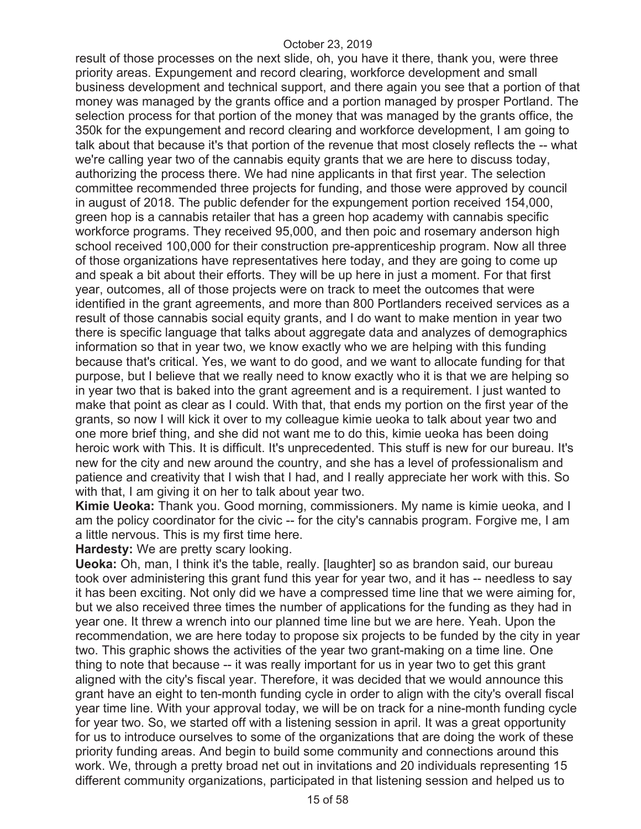result of those processes on the next slide, oh, you have it there, thank you, were three priority areas. Expungement and record clearing, workforce development and small business development and technical support, and there again you see that a portion of that money was managed by the grants office and a portion managed by prosper Portland. The selection process for that portion of the money that was managed by the grants office, the 350k for the expungement and record clearing and workforce development, I am going to talk about that because it's that portion of the revenue that most closely reflects the -- what we're calling year two of the cannabis equity grants that we are here to discuss today, authorizing the process there. We had nine applicants in that first year. The selection committee recommended three projects for funding, and those were approved by council in august of 2018. The public defender for the expungement portion received 154,000, green hop is a cannabis retailer that has a green hop academy with cannabis specific workforce programs. They received 95,000, and then poic and rosemary anderson high school received 100,000 for their construction pre-apprenticeship program. Now all three of those organizations have representatives here today, and they are going to come up and speak a bit about their efforts. They will be up here in just a moment. For that first year, outcomes, all of those projects were on track to meet the outcomes that were identified in the grant agreements, and more than 800 Portlanders received services as a result of those cannabis social equity grants, and I do want to make mention in year two there is specific language that talks about aggregate data and analyzes of demographics information so that in year two, we know exactly who we are helping with this funding because that's critical. Yes, we want to do good, and we want to allocate funding for that purpose, but I believe that we really need to know exactly who it is that we are helping so in year two that is baked into the grant agreement and is a requirement. I just wanted to make that point as clear as I could. With that, that ends my portion on the first year of the grants, so now I will kick it over to my colleague kimie ueoka to talk about year two and one more brief thing, and she did not want me to do this, kimie ueoka has been doing heroic work with This. It is difficult. It's unprecedented. This stuff is new for our bureau. It's new for the city and new around the country, and she has a level of professionalism and patience and creativity that I wish that I had, and I really appreciate her work with this. So with that, I am giving it on her to talk about year two.

**Kimie Ueoka:** Thank you. Good morning, commissioners. My name is kimie ueoka, and I am the policy coordinator for the civic -- for the city's cannabis program. Forgive me, I am a little nervous. This is my first time here.

**Hardesty:** We are pretty scary looking.

**Ueoka:** Oh, man, I think it's the table, really. [laughter] so as brandon said, our bureau took over administering this grant fund this year for year two, and it has -- needless to say it has been exciting. Not only did we have a compressed time line that we were aiming for, but we also received three times the number of applications for the funding as they had in year one. It threw a wrench into our planned time line but we are here. Yeah. Upon the recommendation, we are here today to propose six projects to be funded by the city in year two. This graphic shows the activities of the year two grant-making on a time line. One thing to note that because -- it was really important for us in year two to get this grant aligned with the city's fiscal year. Therefore, it was decided that we would announce this grant have an eight to ten-month funding cycle in order to align with the city's overall fiscal year time line. With your approval today, we will be on track for a nine-month funding cycle for year two. So, we started off with a listening session in april. It was a great opportunity for us to introduce ourselves to some of the organizations that are doing the work of these priority funding areas. And begin to build some community and connections around this work. We, through a pretty broad net out in invitations and 20 individuals representing 15 different community organizations, participated in that listening session and helped us to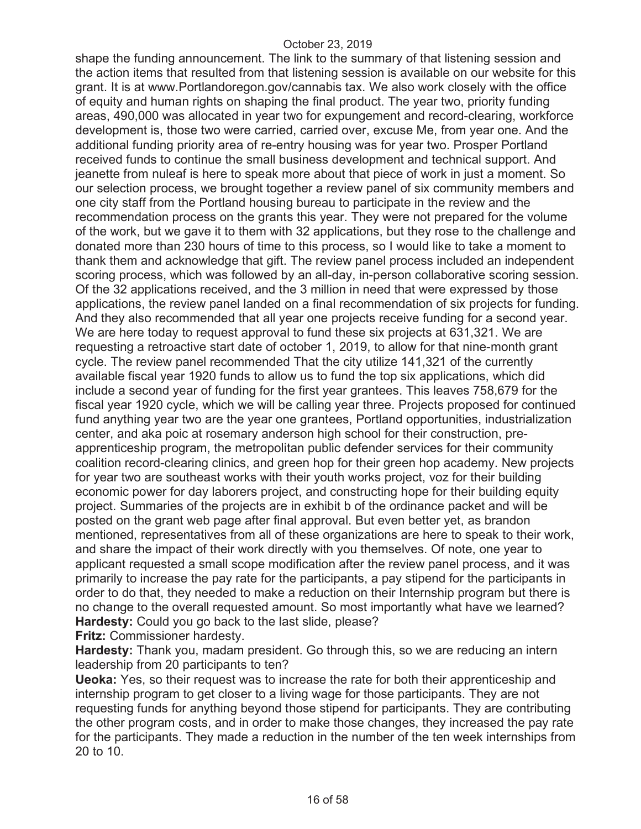shape the funding announcement. The link to the summary of that listening session and the action items that resulted from that listening session is available on our website for this grant. It is at www.Portlandoregon.gov/cannabis tax. We also work closely with the office of equity and human rights on shaping the final product. The year two, priority funding areas, 490,000 was allocated in year two for expungement and record-clearing, workforce development is, those two were carried, carried over, excuse Me, from year one. And the additional funding priority area of re-entry housing was for year two. Prosper Portland received funds to continue the small business development and technical support. And jeanette from nuleaf is here to speak more about that piece of work in just a moment. So our selection process, we brought together a review panel of six community members and one city staff from the Portland housing bureau to participate in the review and the recommendation process on the grants this year. They were not prepared for the volume of the work, but we gave it to them with 32 applications, but they rose to the challenge and donated more than 230 hours of time to this process, so I would like to take a moment to thank them and acknowledge that gift. The review panel process included an independent scoring process, which was followed by an all-day, in-person collaborative scoring session. Of the 32 applications received, and the 3 million in need that were expressed by those applications, the review panel landed on a final recommendation of six projects for funding. And they also recommended that all year one projects receive funding for a second year. We are here today to request approval to fund these six projects at 631,321. We are requesting a retroactive start date of october 1, 2019, to allow for that nine-month grant cycle. The review panel recommended That the city utilize 141,321 of the currently available fiscal year 1920 funds to allow us to fund the top six applications, which did include a second year of funding for the first year grantees. This leaves 758,679 for the fiscal year 1920 cycle, which we will be calling year three. Projects proposed for continued fund anything year two are the year one grantees, Portland opportunities, industrialization center, and aka poic at rosemary anderson high school for their construction, preapprenticeship program, the metropolitan public defender services for their community coalition record-clearing clinics, and green hop for their green hop academy. New projects for year two are southeast works with their youth works project, voz for their building economic power for day laborers project, and constructing hope for their building equity project. Summaries of the projects are in exhibit b of the ordinance packet and will be posted on the grant web page after final approval. But even better yet, as brandon mentioned, representatives from all of these organizations are here to speak to their work, and share the impact of their work directly with you themselves. Of note, one year to applicant requested a small scope modification after the review panel process, and it was primarily to increase the pay rate for the participants, a pay stipend for the participants in order to do that, they needed to make a reduction on their Internship program but there is no change to the overall requested amount. So most importantly what have we learned? **Hardesty:** Could you go back to the last slide, please?

**Fritz:** Commissioner hardesty.

**Hardesty:** Thank you, madam president. Go through this, so we are reducing an intern leadership from 20 participants to ten?

**Ueoka:** Yes, so their request was to increase the rate for both their apprenticeship and internship program to get closer to a living wage for those participants. They are not requesting funds for anything beyond those stipend for participants. They are contributing the other program costs, and in order to make those changes, they increased the pay rate for the participants. They made a reduction in the number of the ten week internships from 20 to 10.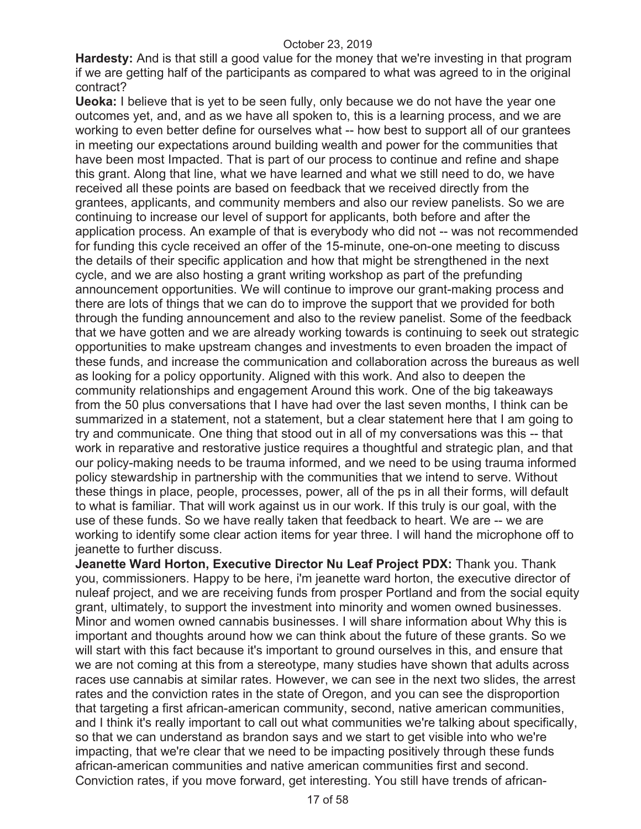**Hardesty:** And is that still a good value for the money that we're investing in that program if we are getting half of the participants as compared to what was agreed to in the original contract?

**Ueoka:** I believe that is yet to be seen fully, only because we do not have the year one outcomes yet, and, and as we have all spoken to, this is a learning process, and we are working to even better define for ourselves what -- how best to support all of our grantees in meeting our expectations around building wealth and power for the communities that have been most Impacted. That is part of our process to continue and refine and shape this grant. Along that line, what we have learned and what we still need to do, we have received all these points are based on feedback that we received directly from the grantees, applicants, and community members and also our review panelists. So we are continuing to increase our level of support for applicants, both before and after the application process. An example of that is everybody who did not -- was not recommended for funding this cycle received an offer of the 15-minute, one-on-one meeting to discuss the details of their specific application and how that might be strengthened in the next cycle, and we are also hosting a grant writing workshop as part of the prefunding announcement opportunities. We will continue to improve our grant-making process and there are lots of things that we can do to improve the support that we provided for both through the funding announcement and also to the review panelist. Some of the feedback that we have gotten and we are already working towards is continuing to seek out strategic opportunities to make upstream changes and investments to even broaden the impact of these funds, and increase the communication and collaboration across the bureaus as well as looking for a policy opportunity. Aligned with this work. And also to deepen the community relationships and engagement Around this work. One of the big takeaways from the 50 plus conversations that I have had over the last seven months, I think can be summarized in a statement, not a statement, but a clear statement here that I am going to try and communicate. One thing that stood out in all of my conversations was this -- that work in reparative and restorative justice requires a thoughtful and strategic plan, and that our policy-making needs to be trauma informed, and we need to be using trauma informed policy stewardship in partnership with the communities that we intend to serve. Without these things in place, people, processes, power, all of the ps in all their forms, will default to what is familiar. That will work against us in our work. If this truly is our goal, with the use of these funds. So we have really taken that feedback to heart. We are -- we are working to identify some clear action items for year three. I will hand the microphone off to jeanette to further discuss.

**Jeanette Ward Horton, Executive Director Nu Leaf Project PDX:** Thank you. Thank you, commissioners. Happy to be here, i'm jeanette ward horton, the executive director of nuleaf project, and we are receiving funds from prosper Portland and from the social equity grant, ultimately, to support the investment into minority and women owned businesses. Minor and women owned cannabis businesses. I will share information about Why this is important and thoughts around how we can think about the future of these grants. So we will start with this fact because it's important to ground ourselves in this, and ensure that we are not coming at this from a stereotype, many studies have shown that adults across races use cannabis at similar rates. However, we can see in the next two slides, the arrest rates and the conviction rates in the state of Oregon, and you can see the disproportion that targeting a first african-american community, second, native american communities, and I think it's really important to call out what communities we're talking about specifically, so that we can understand as brandon says and we start to get visible into who we're impacting, that we're clear that we need to be impacting positively through these funds african-american communities and native american communities first and second. Conviction rates, if you move forward, get interesting. You still have trends of african-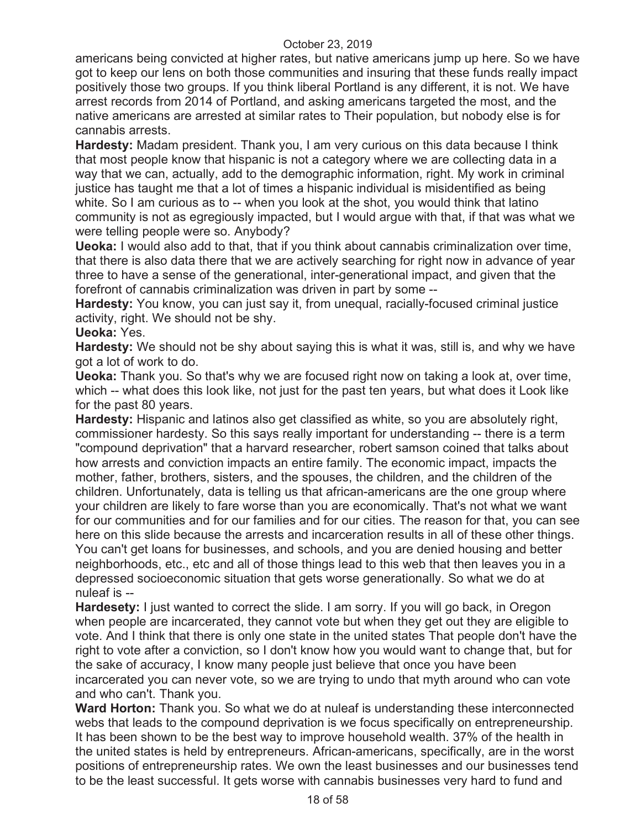americans being convicted at higher rates, but native americans jump up here. So we have got to keep our lens on both those communities and insuring that these funds really impact positively those two groups. If you think liberal Portland is any different, it is not. We have arrest records from 2014 of Portland, and asking americans targeted the most, and the native americans are arrested at similar rates to Their population, but nobody else is for cannabis arrests.

**Hardesty:** Madam president. Thank you, I am very curious on this data because I think that most people know that hispanic is not a category where we are collecting data in a way that we can, actually, add to the demographic information, right. My work in criminal justice has taught me that a lot of times a hispanic individual is misidentified as being white. So I am curious as to -- when you look at the shot, you would think that latino community is not as egregiously impacted, but I would argue with that, if that was what we were telling people were so. Anybody?

**Ueoka:** I would also add to that, that if you think about cannabis criminalization over time, that there is also data there that we are actively searching for right now in advance of year three to have a sense of the generational, inter-generational impact, and given that the forefront of cannabis criminalization was driven in part by some --

**Hardesty:** You know, you can just say it, from unequal, racially-focused criminal justice activity, right. We should not be shy.

# **Ueoka:** Yes.

**Hardesty:** We should not be shy about saying this is what it was, still is, and why we have got a lot of work to do.

**Ueoka:** Thank you. So that's why we are focused right now on taking a look at, over time, which -- what does this look like, not just for the past ten years, but what does it Look like for the past 80 years.

**Hardesty:** Hispanic and latinos also get classified as white, so you are absolutely right, commissioner hardesty. So this says really important for understanding -- there is a term "compound deprivation" that a harvard researcher, robert samson coined that talks about how arrests and conviction impacts an entire family. The economic impact, impacts the mother, father, brothers, sisters, and the spouses, the children, and the children of the children. Unfortunately, data is telling us that african-americans are the one group where your children are likely to fare worse than you are economically. That's not what we want for our communities and for our families and for our cities. The reason for that, you can see here on this slide because the arrests and incarceration results in all of these other things. You can't get loans for businesses, and schools, and you are denied housing and better neighborhoods, etc., etc and all of those things lead to this web that then leaves you in a depressed socioeconomic situation that gets worse generationally. So what we do at nuleaf is --

**Hardesety:** I just wanted to correct the slide. I am sorry. If you will go back, in Oregon when people are incarcerated, they cannot vote but when they get out they are eligible to vote. And I think that there is only one state in the united states That people don't have the right to vote after a conviction, so I don't know how you would want to change that, but for the sake of accuracy, I know many people just believe that once you have been incarcerated you can never vote, so we are trying to undo that myth around who can vote and who can't. Thank you.

**Ward Horton:** Thank you. So what we do at nuleaf is understanding these interconnected webs that leads to the compound deprivation is we focus specifically on entrepreneurship. It has been shown to be the best way to improve household wealth. 37% of the health in the united states is held by entrepreneurs. African-americans, specifically, are in the worst positions of entrepreneurship rates. We own the least businesses and our businesses tend to be the least successful. It gets worse with cannabis businesses very hard to fund and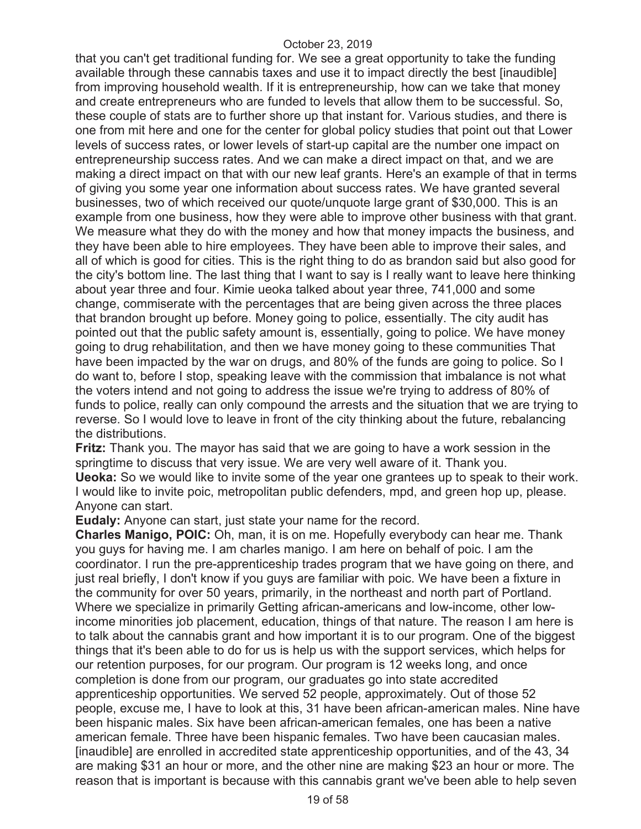that you can't get traditional funding for. We see a great opportunity to take the funding available through these cannabis taxes and use it to impact directly the best [inaudible] from improving household wealth. If it is entrepreneurship, how can we take that money and create entrepreneurs who are funded to levels that allow them to be successful. So, these couple of stats are to further shore up that instant for. Various studies, and there is one from mit here and one for the center for global policy studies that point out that Lower levels of success rates, or lower levels of start-up capital are the number one impact on entrepreneurship success rates. And we can make a direct impact on that, and we are making a direct impact on that with our new leaf grants. Here's an example of that in terms of giving you some year one information about success rates. We have granted several businesses, two of which received our quote/unquote large grant of \$30,000. This is an example from one business, how they were able to improve other business with that grant. We measure what they do with the money and how that money impacts the business, and they have been able to hire employees. They have been able to improve their sales, and all of which is good for cities. This is the right thing to do as brandon said but also good for the city's bottom line. The last thing that I want to say is I really want to leave here thinking about year three and four. Kimie ueoka talked about year three, 741,000 and some change, commiserate with the percentages that are being given across the three places that brandon brought up before. Money going to police, essentially. The city audit has pointed out that the public safety amount is, essentially, going to police. We have money going to drug rehabilitation, and then we have money going to these communities That have been impacted by the war on drugs, and 80% of the funds are going to police. So I do want to, before I stop, speaking leave with the commission that imbalance is not what the voters intend and not going to address the issue we're trying to address of 80% of funds to police, really can only compound the arrests and the situation that we are trying to reverse. So I would love to leave in front of the city thinking about the future, rebalancing the distributions.

**Fritz:** Thank you. The mayor has said that we are going to have a work session in the springtime to discuss that very issue. We are very well aware of it. Thank you. **Ueoka:** So we would like to invite some of the year one grantees up to speak to their work. I would like to invite poic, metropolitan public defenders, mpd, and green hop up, please. Anyone can start.

**Eudaly:** Anyone can start, just state your name for the record.

**Charles Manigo, POIC:** Oh, man, it is on me. Hopefully everybody can hear me. Thank you guys for having me. I am charles manigo. I am here on behalf of poic. I am the coordinator. I run the pre-apprenticeship trades program that we have going on there, and just real briefly, I don't know if you guys are familiar with poic. We have been a fixture in the community for over 50 years, primarily, in the northeast and north part of Portland. Where we specialize in primarily Getting african-americans and low-income, other lowincome minorities job placement, education, things of that nature. The reason I am here is to talk about the cannabis grant and how important it is to our program. One of the biggest things that it's been able to do for us is help us with the support services, which helps for our retention purposes, for our program. Our program is 12 weeks long, and once completion is done from our program, our graduates go into state accredited apprenticeship opportunities. We served 52 people, approximately. Out of those 52 people, excuse me, I have to look at this, 31 have been african-american males. Nine have been hispanic males. Six have been african-american females, one has been a native american female. Three have been hispanic females. Two have been caucasian males. [inaudible] are enrolled in accredited state apprenticeship opportunities, and of the 43, 34 are making \$31 an hour or more, and the other nine are making \$23 an hour or more. The reason that is important is because with this cannabis grant we've been able to help seven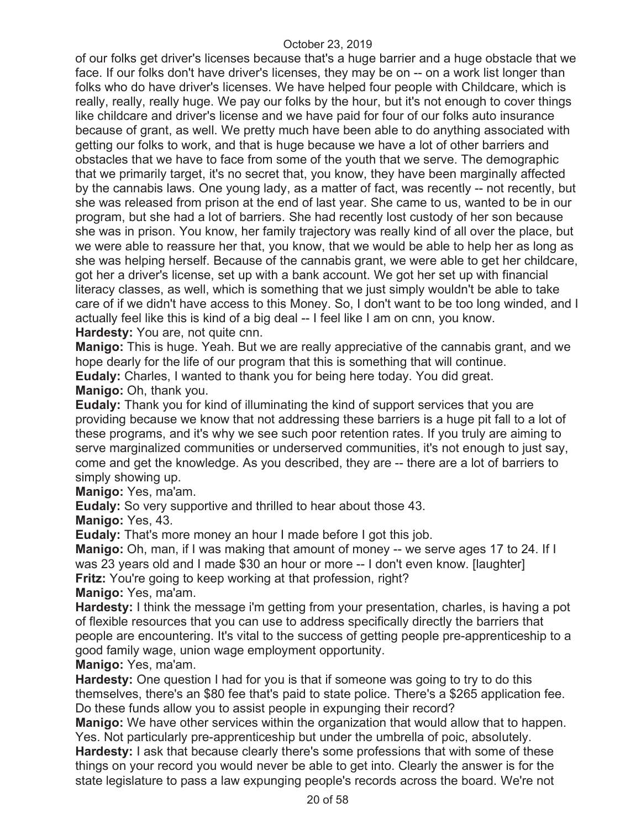of our folks get driver's licenses because that's a huge barrier and a huge obstacle that we face. If our folks don't have driver's licenses, they may be on -- on a work list longer than folks who do have driver's licenses. We have helped four people with Childcare, which is really, really, really huge. We pay our folks by the hour, but it's not enough to cover things like childcare and driver's license and we have paid for four of our folks auto insurance because of grant, as well. We pretty much have been able to do anything associated with getting our folks to work, and that is huge because we have a lot of other barriers and obstacles that we have to face from some of the youth that we serve. The demographic that we primarily target, it's no secret that, you know, they have been marginally affected by the cannabis laws. One young lady, as a matter of fact, was recently -- not recently, but she was released from prison at the end of last year. She came to us, wanted to be in our program, but she had a lot of barriers. She had recently lost custody of her son because she was in prison. You know, her family trajectory was really kind of all over the place, but we were able to reassure her that, you know, that we would be able to help her as long as she was helping herself. Because of the cannabis grant, we were able to get her childcare, got her a driver's license, set up with a bank account. We got her set up with financial literacy classes, as well, which is something that we just simply wouldn't be able to take care of if we didn't have access to this Money. So, I don't want to be too long winded, and I actually feel like this is kind of a big deal -- I feel like I am on cnn, you know. **Hardesty:** You are, not quite cnn.

**Manigo:** This is huge. Yeah. But we are really appreciative of the cannabis grant, and we hope dearly for the life of our program that this is something that will continue. **Eudaly:** Charles, I wanted to thank you for being here today. You did great. **Manigo:** Oh, thank you.

**Eudaly:** Thank you for kind of illuminating the kind of support services that you are providing because we know that not addressing these barriers is a huge pit fall to a lot of these programs, and it's why we see such poor retention rates. If you truly are aiming to serve marginalized communities or underserved communities, it's not enough to just say, come and get the knowledge. As you described, they are -- there are a lot of barriers to simply showing up.

**Manigo:** Yes, ma'am.

**Eudaly:** So very supportive and thrilled to hear about those 43.

**Manigo:** Yes, 43.

**Eudaly:** That's more money an hour I made before I got this job.

**Manigo:** Oh, man, if I was making that amount of money -- we serve ages 17 to 24. If I was 23 years old and I made \$30 an hour or more -- I don't even know. [laughter] **Fritz:** You're going to keep working at that profession, right?

**Manigo:** Yes, ma'am.

**Hardesty:** I think the message i'm getting from your presentation, charles, is having a pot of flexible resources that you can use to address specifically directly the barriers that people are encountering. It's vital to the success of getting people pre-apprenticeship to a good family wage, union wage employment opportunity.

**Manigo:** Yes, ma'am.

**Hardesty:** One question I had for you is that if someone was going to try to do this themselves, there's an \$80 fee that's paid to state police. There's a \$265 application fee. Do these funds allow you to assist people in expunging their record?

**Manigo:** We have other services within the organization that would allow that to happen. Yes. Not particularly pre-apprenticeship but under the umbrella of poic, absolutely.

**Hardesty:** I ask that because clearly there's some professions that with some of these things on your record you would never be able to get into. Clearly the answer is for the state legislature to pass a law expunging people's records across the board. We're not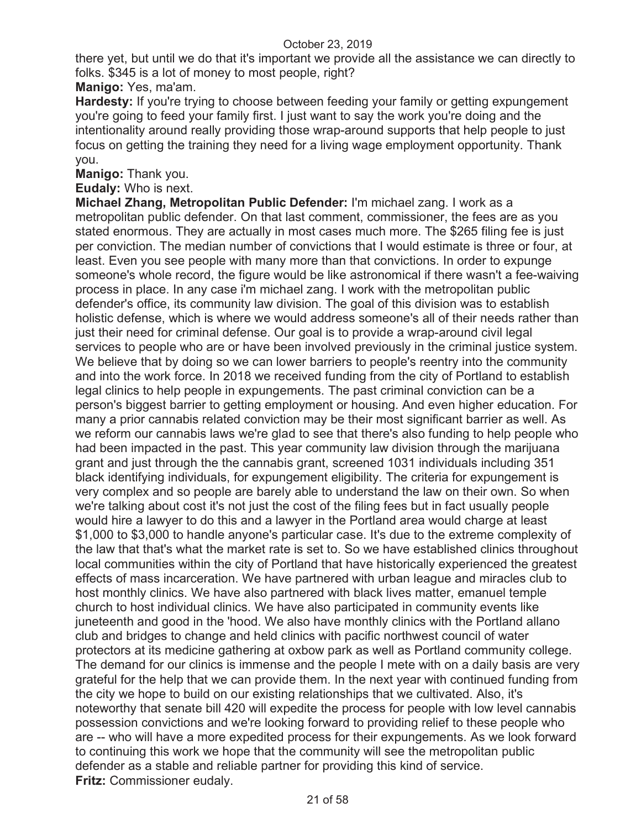there yet, but until we do that it's important we provide all the assistance we can directly to folks. \$345 is a lot of money to most people, right?

**Manigo:** Yes, ma'am.

**Hardesty:** If you're trying to choose between feeding your family or getting expungement you're going to feed your family first. I just want to say the work you're doing and the intentionality around really providing those wrap-around supports that help people to just focus on getting the training they need for a living wage employment opportunity. Thank you.

**Manigo:** Thank you.

**Eudaly:** Who is next.

**Michael Zhang, Metropolitan Public Defender:** I'm michael zang. I work as a metropolitan public defender. On that last comment, commissioner, the fees are as you stated enormous. They are actually in most cases much more. The \$265 filing fee is just per conviction. The median number of convictions that I would estimate is three or four, at least. Even you see people with many more than that convictions. In order to expunge someone's whole record, the figure would be like astronomical if there wasn't a fee-waiving process in place. In any case i'm michael zang. I work with the metropolitan public defender's office, its community law division. The goal of this division was to establish holistic defense, which is where we would address someone's all of their needs rather than just their need for criminal defense. Our goal is to provide a wrap-around civil legal services to people who are or have been involved previously in the criminal justice system. We believe that by doing so we can lower barriers to people's reentry into the community and into the work force. In 2018 we received funding from the city of Portland to establish legal clinics to help people in expungements. The past criminal conviction can be a person's biggest barrier to getting employment or housing. And even higher education. For many a prior cannabis related conviction may be their most significant barrier as well. As we reform our cannabis laws we're glad to see that there's also funding to help people who had been impacted in the past. This year community law division through the marijuana grant and just through the the cannabis grant, screened 1031 individuals including 351 black identifying individuals, for expungement eligibility. The criteria for expungement is very complex and so people are barely able to understand the law on their own. So when we're talking about cost it's not just the cost of the filing fees but in fact usually people would hire a lawyer to do this and a lawyer in the Portland area would charge at least \$1,000 to \$3,000 to handle anyone's particular case. It's due to the extreme complexity of the law that that's what the market rate is set to. So we have established clinics throughout local communities within the city of Portland that have historically experienced the greatest effects of mass incarceration. We have partnered with urban league and miracles club to host monthly clinics. We have also partnered with black lives matter, emanuel temple church to host individual clinics. We have also participated in community events like juneteenth and good in the 'hood. We also have monthly clinics with the Portland allano club and bridges to change and held clinics with pacific northwest council of water protectors at its medicine gathering at oxbow park as well as Portland community college. The demand for our clinics is immense and the people I mete with on a daily basis are very grateful for the help that we can provide them. In the next year with continued funding from the city we hope to build on our existing relationships that we cultivated. Also, it's noteworthy that senate bill 420 will expedite the process for people with low level cannabis possession convictions and we're looking forward to providing relief to these people who are -- who will have a more expedited process for their expungements. As we look forward to continuing this work we hope that the community will see the metropolitan public defender as a stable and reliable partner for providing this kind of service. **Fritz:** Commissioner eudaly.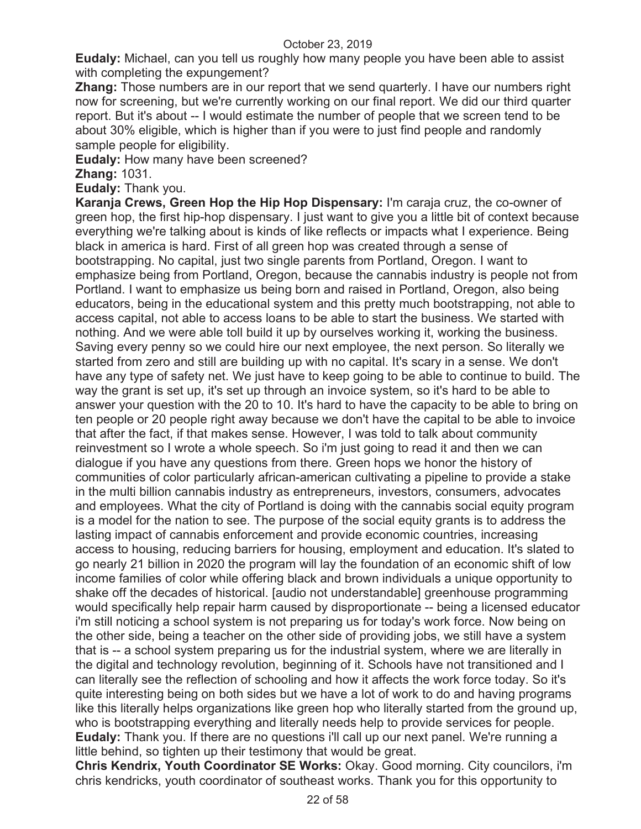**Eudaly:** Michael, can you tell us roughly how many people you have been able to assist with completing the expungement?

**Zhang:** Those numbers are in our report that we send quarterly. I have our numbers right now for screening, but we're currently working on our final report. We did our third quarter report. But it's about -- I would estimate the number of people that we screen tend to be about 30% eligible, which is higher than if you were to just find people and randomly sample people for eligibility.

**Eudaly:** How many have been screened?

**Zhang:** 1031.

**Eudaly:** Thank you.

**Karanja Crews, Green Hop the Hip Hop Dispensary:** I'm caraja cruz, the co-owner of green hop, the first hip-hop dispensary. I just want to give you a little bit of context because everything we're talking about is kinds of like reflects or impacts what I experience. Being black in america is hard. First of all green hop was created through a sense of bootstrapping. No capital, just two single parents from Portland, Oregon. I want to emphasize being from Portland, Oregon, because the cannabis industry is people not from Portland. I want to emphasize us being born and raised in Portland, Oregon, also being educators, being in the educational system and this pretty much bootstrapping, not able to access capital, not able to access loans to be able to start the business. We started with nothing. And we were able toll build it up by ourselves working it, working the business. Saving every penny so we could hire our next employee, the next person. So literally we started from zero and still are building up with no capital. It's scary in a sense. We don't have any type of safety net. We just have to keep going to be able to continue to build. The way the grant is set up, it's set up through an invoice system, so it's hard to be able to answer your question with the 20 to 10. It's hard to have the capacity to be able to bring on ten people or 20 people right away because we don't have the capital to be able to invoice that after the fact, if that makes sense. However, I was told to talk about community reinvestment so I wrote a whole speech. So i'm just going to read it and then we can dialogue if you have any questions from there. Green hops we honor the history of communities of color particularly african-american cultivating a pipeline to provide a stake in the multi billion cannabis industry as entrepreneurs, investors, consumers, advocates and employees. What the city of Portland is doing with the cannabis social equity program is a model for the nation to see. The purpose of the social equity grants is to address the lasting impact of cannabis enforcement and provide economic countries, increasing access to housing, reducing barriers for housing, employment and education. It's slated to go nearly 21 billion in 2020 the program will lay the foundation of an economic shift of low income families of color while offering black and brown individuals a unique opportunity to shake off the decades of historical. [audio not understandable] greenhouse programming would specifically help repair harm caused by disproportionate -- being a licensed educator i'm still noticing a school system is not preparing us for today's work force. Now being on the other side, being a teacher on the other side of providing jobs, we still have a system that is -- a school system preparing us for the industrial system, where we are literally in the digital and technology revolution, beginning of it. Schools have not transitioned and I can literally see the reflection of schooling and how it affects the work force today. So it's quite interesting being on both sides but we have a lot of work to do and having programs like this literally helps organizations like green hop who literally started from the ground up, who is bootstrapping everything and literally needs help to provide services for people. **Eudaly:** Thank you. If there are no questions i'll call up our next panel. We're running a little behind, so tighten up their testimony that would be great.

**Chris Kendrix, Youth Coordinator SE Works:** Okay. Good morning. City councilors, i'm chris kendricks, youth coordinator of southeast works. Thank you for this opportunity to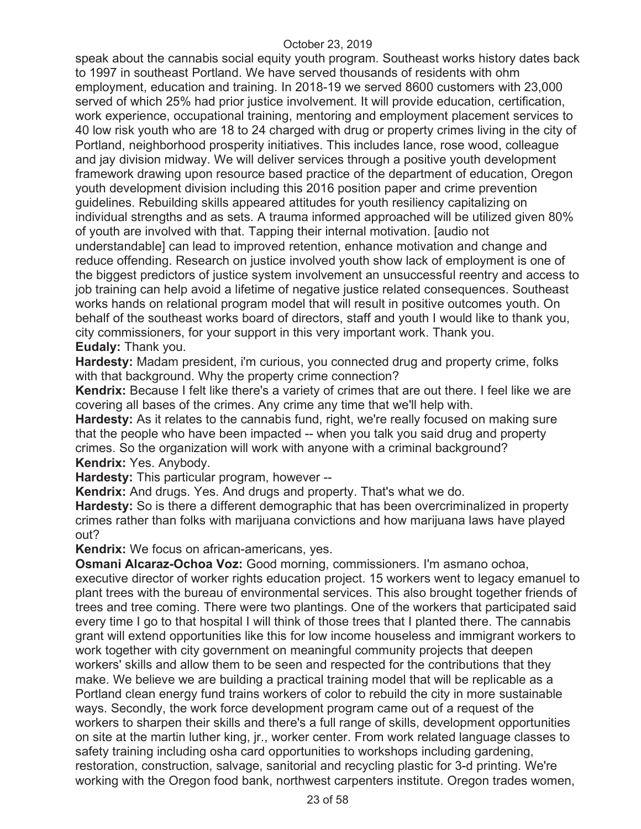speak about the cannabis social equity youth program. Southeast works history dates back to 1997 in southeast Portland. We have served thousands of residents with ohm employment, education and training. In 2018-19 we served 8600 customers with 23,000 served of which 25% had prior justice involvement. It will provide education, certification, work experience, occupational training, mentoring and employment placement services to 40 low risk youth who are 18 to 24 charged with drug or property crimes living in the city of Portland, neighborhood prosperity initiatives. This includes lance, rose wood, colleague and jay division midway. We will deliver services through a positive youth development framework drawing upon resource based practice of the department of education, Oregon youth development division including this 2016 position paper and crime prevention guidelines. Rebuilding skills appeared attitudes for youth resiliency capitalizing on individual strengths and as sets. A trauma informed approached will be utilized given 80% of youth are involved with that. Tapping their internal motivation. [audio not understandable] can lead to improved retention, enhance motivation and change and reduce offending. Research on justice involved youth show lack of employment is one of the biggest predictors of justice system involvement an unsuccessful reentry and access to job training can help avoid a lifetime of negative justice related consequences. Southeast works hands on relational program model that will result in positive outcomes youth. On behalf of the southeast works board of directors, staff and youth I would like to thank you, city commissioners, for your support in this very important work. Thank you. **Eudaly:** Thank you.

**Hardesty:** Madam president, i'm curious, you connected drug and property crime, folks with that background. Why the property crime connection?

**Kendrix:** Because I felt like there's a variety of crimes that are out there. I feel like we are covering all bases of the crimes. Any crime any time that we'll help with.

**Hardesty:** As it relates to the cannabis fund, right, we're really focused on making sure that the people who have been impacted -- when you talk you said drug and property crimes. So the organization will work with anyone with a criminal background? **Kendrix:** Yes. Anybody.

**Hardesty:** This particular program, however --

**Kendrix:** And drugs. Yes. And drugs and property. That's what we do.

**Hardesty:** So is there a different demographic that has been overcriminalized in property crimes rather than folks with marijuana convictions and how marijuana laws have played out?

**Kendrix:** We focus on african-americans, yes.

**Osmani Alcaraz-Ochoa Voz:** Good morning, commissioners. I'm asmano ochoa, executive director of worker rights education project. 15 workers went to legacy emanuel to plant trees with the bureau of environmental services. This also brought together friends of trees and tree coming. There were two plantings. One of the workers that participated said every time I go to that hospital I will think of those trees that I planted there. The cannabis grant will extend opportunities like this for low income houseless and immigrant workers to work together with city government on meaningful community projects that deepen workers' skills and allow them to be seen and respected for the contributions that they make. We believe we are building a practical training model that will be replicable as a Portland clean energy fund trains workers of color to rebuild the city in more sustainable ways. Secondly, the work force development program came out of a request of the workers to sharpen their skills and there's a full range of skills, development opportunities on site at the martin luther king, jr., worker center. From work related language classes to safety training including osha card opportunities to workshops including gardening, restoration, construction, salvage, sanitorial and recycling plastic for 3-d printing. We're working with the Oregon food bank, northwest carpenters institute. Oregon trades women,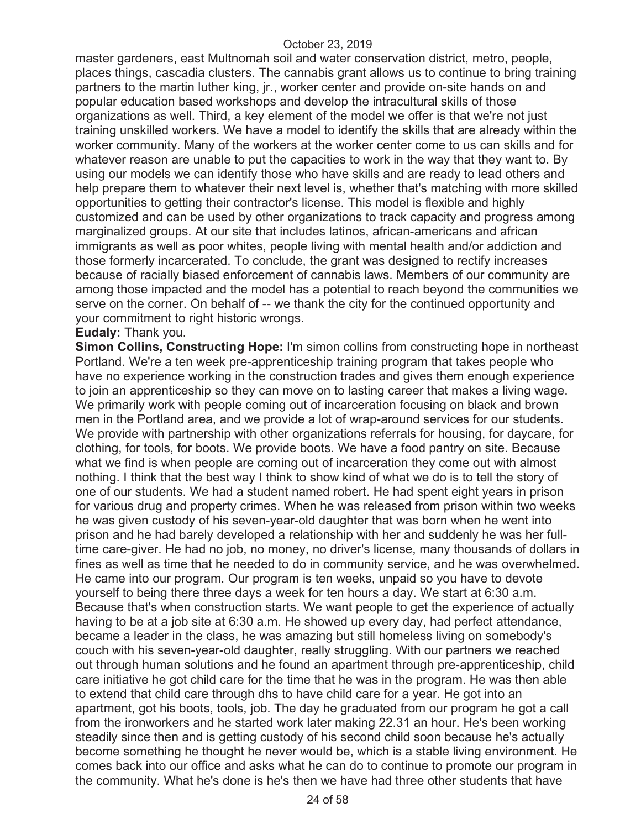master gardeners, east Multnomah soil and water conservation district, metro, people, places things, cascadia clusters. The cannabis grant allows us to continue to bring training partners to the martin luther king, jr., worker center and provide on-site hands on and popular education based workshops and develop the intracultural skills of those organizations as well. Third, a key element of the model we offer is that we're not just training unskilled workers. We have a model to identify the skills that are already within the worker community. Many of the workers at the worker center come to us can skills and for whatever reason are unable to put the capacities to work in the way that they want to. By using our models we can identify those who have skills and are ready to lead others and help prepare them to whatever their next level is, whether that's matching with more skilled opportunities to getting their contractor's license. This model is flexible and highly customized and can be used by other organizations to track capacity and progress among marginalized groups. At our site that includes latinos, african-americans and african immigrants as well as poor whites, people living with mental health and/or addiction and those formerly incarcerated. To conclude, the grant was designed to rectify increases because of racially biased enforcement of cannabis laws. Members of our community are among those impacted and the model has a potential to reach beyond the communities we serve on the corner. On behalf of -- we thank the city for the continued opportunity and your commitment to right historic wrongs.

#### **Eudaly:** Thank you.

**Simon Collins, Constructing Hope:** I'm simon collins from constructing hope in northeast Portland. We're a ten week pre-apprenticeship training program that takes people who have no experience working in the construction trades and gives them enough experience to join an apprenticeship so they can move on to lasting career that makes a living wage. We primarily work with people coming out of incarceration focusing on black and brown men in the Portland area, and we provide a lot of wrap-around services for our students. We provide with partnership with other organizations referrals for housing, for daycare, for clothing, for tools, for boots. We provide boots. We have a food pantry on site. Because what we find is when people are coming out of incarceration they come out with almost nothing. I think that the best way I think to show kind of what we do is to tell the story of one of our students. We had a student named robert. He had spent eight years in prison for various drug and property crimes. When he was released from prison within two weeks he was given custody of his seven-year-old daughter that was born when he went into prison and he had barely developed a relationship with her and suddenly he was her fulltime care-giver. He had no job, no money, no driver's license, many thousands of dollars in fines as well as time that he needed to do in community service, and he was overwhelmed. He came into our program. Our program is ten weeks, unpaid so you have to devote yourself to being there three days a week for ten hours a day. We start at 6:30 a.m. Because that's when construction starts. We want people to get the experience of actually having to be at a job site at 6:30 a.m. He showed up every day, had perfect attendance, became a leader in the class, he was amazing but still homeless living on somebody's couch with his seven-year-old daughter, really struggling. With our partners we reached out through human solutions and he found an apartment through pre-apprenticeship, child care initiative he got child care for the time that he was in the program. He was then able to extend that child care through dhs to have child care for a year. He got into an apartment, got his boots, tools, job. The day he graduated from our program he got a call from the ironworkers and he started work later making 22.31 an hour. He's been working steadily since then and is getting custody of his second child soon because he's actually become something he thought he never would be, which is a stable living environment. He comes back into our office and asks what he can do to continue to promote our program in the community. What he's done is he's then we have had three other students that have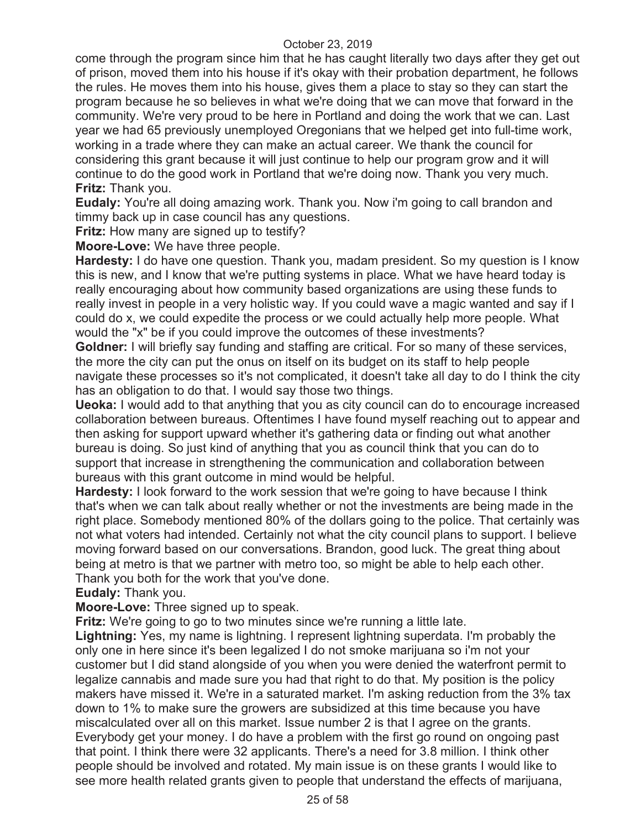come through the program since him that he has caught literally two days after they get out of prison, moved them into his house if it's okay with their probation department, he follows the rules. He moves them into his house, gives them a place to stay so they can start the program because he so believes in what we're doing that we can move that forward in the community. We're very proud to be here in Portland and doing the work that we can. Last year we had 65 previously unemployed Oregonians that we helped get into full-time work, working in a trade where they can make an actual career. We thank the council for considering this grant because it will just continue to help our program grow and it will continue to do the good work in Portland that we're doing now. Thank you very much. **Fritz:** Thank you.

**Eudaly:** You're all doing amazing work. Thank you. Now i'm going to call brandon and timmy back up in case council has any questions.

**Fritz:** How many are signed up to testify?

**Moore-Love:** We have three people.

**Hardesty:** I do have one question. Thank you, madam president. So my question is I know this is new, and I know that we're putting systems in place. What we have heard today is really encouraging about how community based organizations are using these funds to really invest in people in a very holistic way. If you could wave a magic wanted and say if I could do x, we could expedite the process or we could actually help more people. What would the "x" be if you could improve the outcomes of these investments?

**Goldner:** I will briefly say funding and staffing are critical. For so many of these services, the more the city can put the onus on itself on its budget on its staff to help people navigate these processes so it's not complicated, it doesn't take all day to do I think the city has an obligation to do that. I would say those two things.

**Ueoka:** I would add to that anything that you as city council can do to encourage increased collaboration between bureaus. Oftentimes I have found myself reaching out to appear and then asking for support upward whether it's gathering data or finding out what another bureau is doing. So just kind of anything that you as council think that you can do to support that increase in strengthening the communication and collaboration between bureaus with this grant outcome in mind would be helpful.

**Hardesty:** I look forward to the work session that we're going to have because I think that's when we can talk about really whether or not the investments are being made in the right place. Somebody mentioned 80% of the dollars going to the police. That certainly was not what voters had intended. Certainly not what the city council plans to support. I believe moving forward based on our conversations. Brandon, good luck. The great thing about being at metro is that we partner with metro too, so might be able to help each other. Thank you both for the work that you've done.

**Eudaly:** Thank you.

**Moore-Love:** Three signed up to speak.

**Fritz:** We're going to go to two minutes since we're running a little late.

**Lightning:** Yes, my name is lightning. I represent lightning superdata. I'm probably the only one in here since it's been legalized I do not smoke marijuana so i'm not your customer but I did stand alongside of you when you were denied the waterfront permit to legalize cannabis and made sure you had that right to do that. My position is the policy makers have missed it. We're in a saturated market. I'm asking reduction from the 3% tax down to 1% to make sure the growers are subsidized at this time because you have miscalculated over all on this market. Issue number 2 is that I agree on the grants. Everybody get your money. I do have a problem with the first go round on ongoing past that point. I think there were 32 applicants. There's a need for 3.8 million. I think other people should be involved and rotated. My main issue is on these grants I would like to see more health related grants given to people that understand the effects of marijuana,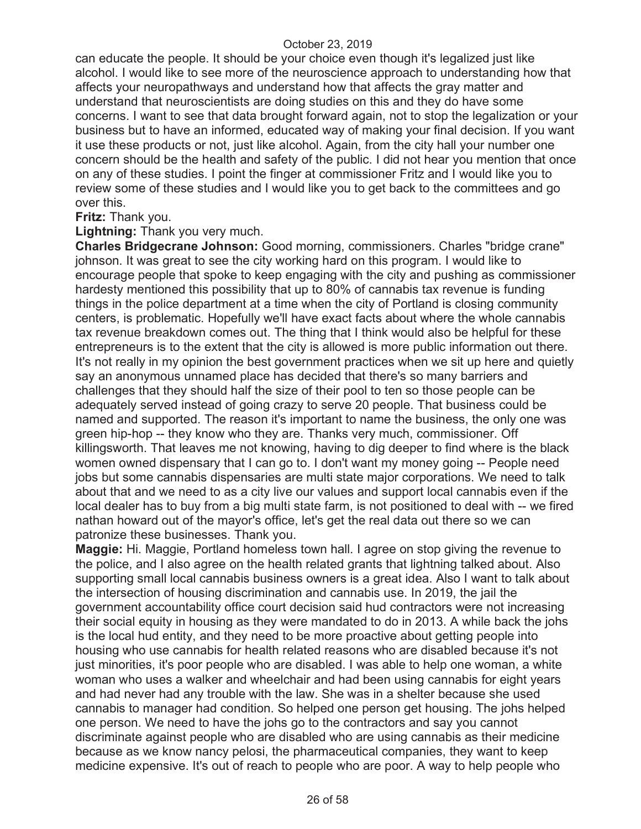can educate the people. It should be your choice even though it's legalized just like alcohol. I would like to see more of the neuroscience approach to understanding how that affects your neuropathways and understand how that affects the gray matter and understand that neuroscientists are doing studies on this and they do have some concerns. I want to see that data brought forward again, not to stop the legalization or your business but to have an informed, educated way of making your final decision. If you want it use these products or not, just like alcohol. Again, from the city hall your number one concern should be the health and safety of the public. I did not hear you mention that once on any of these studies. I point the finger at commissioner Fritz and I would like you to review some of these studies and I would like you to get back to the committees and go over this.

#### **Fritz:** Thank you.

**Lightning:** Thank you very much.

**Charles Bridgecrane Johnson:** Good morning, commissioners. Charles "bridge crane" johnson. It was great to see the city working hard on this program. I would like to encourage people that spoke to keep engaging with the city and pushing as commissioner hardesty mentioned this possibility that up to 80% of cannabis tax revenue is funding things in the police department at a time when the city of Portland is closing community centers, is problematic. Hopefully we'll have exact facts about where the whole cannabis tax revenue breakdown comes out. The thing that I think would also be helpful for these entrepreneurs is to the extent that the city is allowed is more public information out there. It's not really in my opinion the best government practices when we sit up here and quietly say an anonymous unnamed place has decided that there's so many barriers and challenges that they should half the size of their pool to ten so those people can be adequately served instead of going crazy to serve 20 people. That business could be named and supported. The reason it's important to name the business, the only one was green hip-hop -- they know who they are. Thanks very much, commissioner. Off killingsworth. That leaves me not knowing, having to dig deeper to find where is the black women owned dispensary that I can go to. I don't want my money going -- People need jobs but some cannabis dispensaries are multi state major corporations. We need to talk about that and we need to as a city live our values and support local cannabis even if the local dealer has to buy from a big multi state farm, is not positioned to deal with -- we fired nathan howard out of the mayor's office, let's get the real data out there so we can patronize these businesses. Thank you.

**Maggie:** Hi. Maggie, Portland homeless town hall. I agree on stop giving the revenue to the police, and I also agree on the health related grants that lightning talked about. Also supporting small local cannabis business owners is a great idea. Also I want to talk about the intersection of housing discrimination and cannabis use. In 2019, the jail the government accountability office court decision said hud contractors were not increasing their social equity in housing as they were mandated to do in 2013. A while back the johs is the local hud entity, and they need to be more proactive about getting people into housing who use cannabis for health related reasons who are disabled because it's not just minorities, it's poor people who are disabled. I was able to help one woman, a white woman who uses a walker and wheelchair and had been using cannabis for eight years and had never had any trouble with the law. She was in a shelter because she used cannabis to manager had condition. So helped one person get housing. The johs helped one person. We need to have the johs go to the contractors and say you cannot discriminate against people who are disabled who are using cannabis as their medicine because as we know nancy pelosi, the pharmaceutical companies, they want to keep medicine expensive. It's out of reach to people who are poor. A way to help people who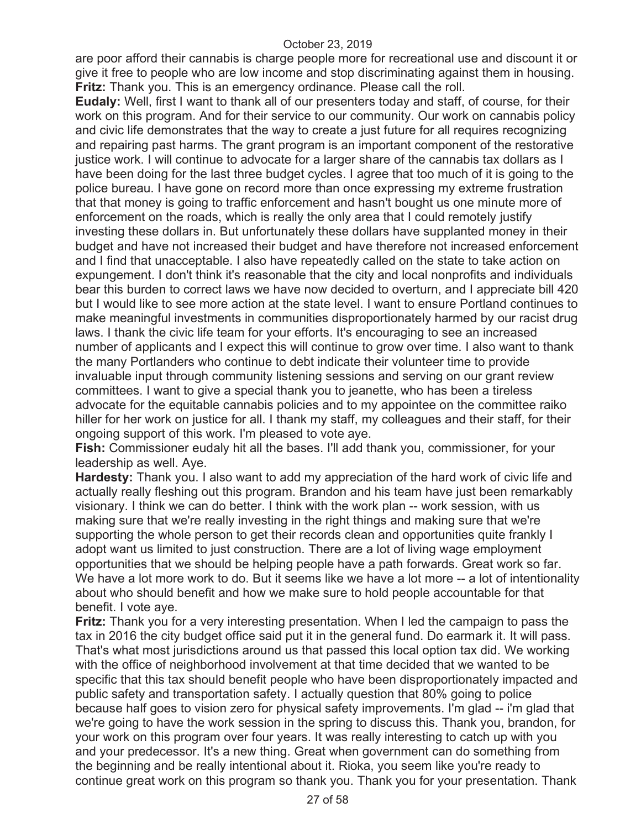are poor afford their cannabis is charge people more for recreational use and discount it or give it free to people who are low income and stop discriminating against them in housing. **Fritz:** Thank you. This is an emergency ordinance. Please call the roll.

**Eudaly:** Well, first I want to thank all of our presenters today and staff, of course, for their work on this program. And for their service to our community. Our work on cannabis policy and civic life demonstrates that the way to create a just future for all requires recognizing and repairing past harms. The grant program is an important component of the restorative justice work. I will continue to advocate for a larger share of the cannabis tax dollars as I have been doing for the last three budget cycles. I agree that too much of it is going to the police bureau. I have gone on record more than once expressing my extreme frustration that that money is going to traffic enforcement and hasn't bought us one minute more of enforcement on the roads, which is really the only area that I could remotely justify investing these dollars in. But unfortunately these dollars have supplanted money in their budget and have not increased their budget and have therefore not increased enforcement and I find that unacceptable. I also have repeatedly called on the state to take action on expungement. I don't think it's reasonable that the city and local nonprofits and individuals bear this burden to correct laws we have now decided to overturn, and I appreciate bill 420 but I would like to see more action at the state level. I want to ensure Portland continues to make meaningful investments in communities disproportionately harmed by our racist drug laws. I thank the civic life team for your efforts. It's encouraging to see an increased number of applicants and I expect this will continue to grow over time. I also want to thank the many Portlanders who continue to debt indicate their volunteer time to provide invaluable input through community listening sessions and serving on our grant review committees. I want to give a special thank you to jeanette, who has been a tireless advocate for the equitable cannabis policies and to my appointee on the committee raiko hiller for her work on justice for all. I thank my staff, my colleagues and their staff, for their ongoing support of this work. I'm pleased to vote aye.

**Fish:** Commissioner eudaly hit all the bases. I'll add thank you, commissioner, for your leadership as well. Aye.

**Hardesty:** Thank you. I also want to add my appreciation of the hard work of civic life and actually really fleshing out this program. Brandon and his team have just been remarkably visionary. I think we can do better. I think with the work plan -- work session, with us making sure that we're really investing in the right things and making sure that we're supporting the whole person to get their records clean and opportunities quite frankly I adopt want us limited to just construction. There are a lot of living wage employment opportunities that we should be helping people have a path forwards. Great work so far. We have a lot more work to do. But it seems like we have a lot more -- a lot of intentionality about who should benefit and how we make sure to hold people accountable for that benefit. I vote aye.

**Fritz:** Thank you for a very interesting presentation. When I led the campaign to pass the tax in 2016 the city budget office said put it in the general fund. Do earmark it. It will pass. That's what most jurisdictions around us that passed this local option tax did. We working with the office of neighborhood involvement at that time decided that we wanted to be specific that this tax should benefit people who have been disproportionately impacted and public safety and transportation safety. I actually question that 80% going to police because half goes to vision zero for physical safety improvements. I'm glad -- i'm glad that we're going to have the work session in the spring to discuss this. Thank you, brandon, for your work on this program over four years. It was really interesting to catch up with you and your predecessor. It's a new thing. Great when government can do something from the beginning and be really intentional about it. Rioka, you seem like you're ready to continue great work on this program so thank you. Thank you for your presentation. Thank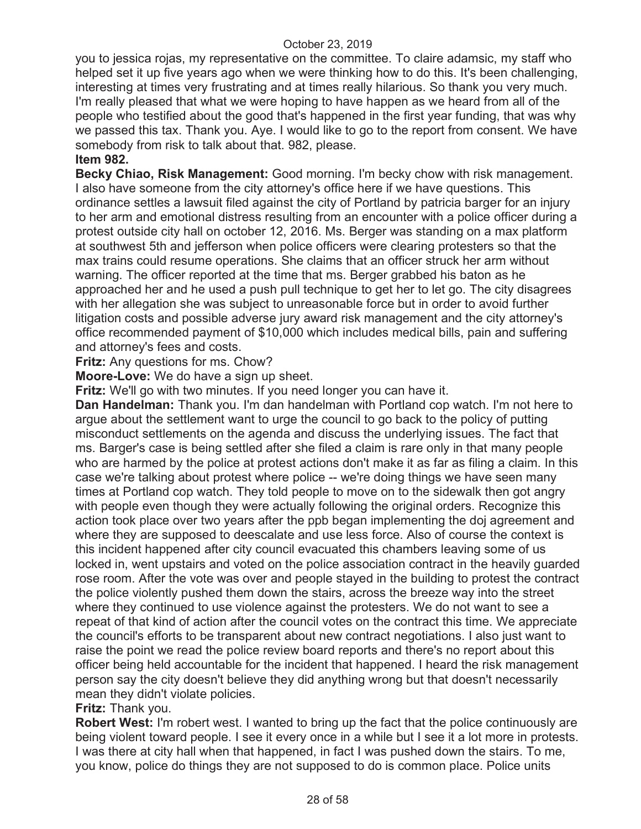you to jessica rojas, my representative on the committee. To claire adamsic, my staff who helped set it up five years ago when we were thinking how to do this. It's been challenging, interesting at times very frustrating and at times really hilarious. So thank you very much. I'm really pleased that what we were hoping to have happen as we heard from all of the people who testified about the good that's happened in the first year funding, that was why we passed this tax. Thank you. Aye. I would like to go to the report from consent. We have somebody from risk to talk about that. 982, please.

# **Item 982.**

**Becky Chiao, Risk Management:** Good morning. I'm becky chow with risk management. I also have someone from the city attorney's office here if we have questions. This ordinance settles a lawsuit filed against the city of Portland by patricia barger for an injury to her arm and emotional distress resulting from an encounter with a police officer during a protest outside city hall on october 12, 2016. Ms. Berger was standing on a max platform at southwest 5th and jefferson when police officers were clearing protesters so that the max trains could resume operations. She claims that an officer struck her arm without warning. The officer reported at the time that ms. Berger grabbed his baton as he approached her and he used a push pull technique to get her to let go. The city disagrees with her allegation she was subject to unreasonable force but in order to avoid further litigation costs and possible adverse jury award risk management and the city attorney's office recommended payment of \$10,000 which includes medical bills, pain and suffering and attorney's fees and costs.

**Fritz:** Any questions for ms. Chow?

**Moore-Love:** We do have a sign up sheet.

**Fritz:** We'll go with two minutes. If you need longer you can have it.

**Dan Handelman:** Thank you. I'm dan handelman with Portland cop watch. I'm not here to argue about the settlement want to urge the council to go back to the policy of putting misconduct settlements on the agenda and discuss the underlying issues. The fact that ms. Barger's case is being settled after she filed a claim is rare only in that many people who are harmed by the police at protest actions don't make it as far as filing a claim. In this case we're talking about protest where police -- we're doing things we have seen many times at Portland cop watch. They told people to move on to the sidewalk then got angry with people even though they were actually following the original orders. Recognize this action took place over two years after the ppb began implementing the doj agreement and where they are supposed to deescalate and use less force. Also of course the context is this incident happened after city council evacuated this chambers leaving some of us locked in, went upstairs and voted on the police association contract in the heavily guarded rose room. After the vote was over and people stayed in the building to protest the contract the police violently pushed them down the stairs, across the breeze way into the street where they continued to use violence against the protesters. We do not want to see a repeat of that kind of action after the council votes on the contract this time. We appreciate the council's efforts to be transparent about new contract negotiations. I also just want to raise the point we read the police review board reports and there's no report about this officer being held accountable for the incident that happened. I heard the risk management person say the city doesn't believe they did anything wrong but that doesn't necessarily mean they didn't violate policies.

# **Fritz:** Thank you.

**Robert West:** I'm robert west. I wanted to bring up the fact that the police continuously are being violent toward people. I see it every once in a while but I see it a lot more in protests. I was there at city hall when that happened, in fact I was pushed down the stairs. To me, you know, police do things they are not supposed to do is common place. Police units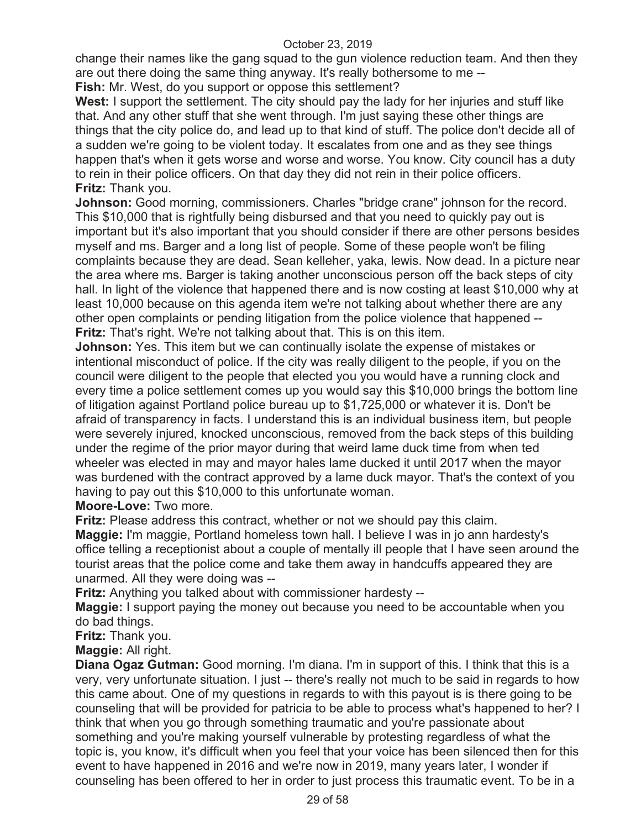change their names like the gang squad to the gun violence reduction team. And then they are out there doing the same thing anyway. It's really bothersome to me --

**Fish:** Mr. West, do you support or oppose this settlement?

**West:** I support the settlement. The city should pay the lady for her injuries and stuff like that. And any other stuff that she went through. I'm just saying these other things are things that the city police do, and lead up to that kind of stuff. The police don't decide all of a sudden we're going to be violent today. It escalates from one and as they see things happen that's when it gets worse and worse and worse. You know. City council has a duty to rein in their police officers. On that day they did not rein in their police officers. **Fritz:** Thank you.

**Johnson:** Good morning, commissioners. Charles "bridge crane" johnson for the record. This \$10,000 that is rightfully being disbursed and that you need to quickly pay out is important but it's also important that you should consider if there are other persons besides myself and ms. Barger and a long list of people. Some of these people won't be filing complaints because they are dead. Sean kelleher, yaka, lewis. Now dead. In a picture near the area where ms. Barger is taking another unconscious person off the back steps of city hall. In light of the violence that happened there and is now costing at least \$10,000 why at least 10,000 because on this agenda item we're not talking about whether there are any other open complaints or pending litigation from the police violence that happened -- **Fritz:** That's right. We're not talking about that. This is on this item.

**Johnson:** Yes. This item but we can continually isolate the expense of mistakes or intentional misconduct of police. If the city was really diligent to the people, if you on the council were diligent to the people that elected you you would have a running clock and every time a police settlement comes up you would say this \$10,000 brings the bottom line of litigation against Portland police bureau up to \$1,725,000 or whatever it is. Don't be afraid of transparency in facts. I understand this is an individual business item, but people were severely injured, knocked unconscious, removed from the back steps of this building under the regime of the prior mayor during that weird lame duck time from when ted wheeler was elected in may and mayor hales lame ducked it until 2017 when the mayor was burdened with the contract approved by a lame duck mayor. That's the context of you having to pay out this \$10,000 to this unfortunate woman.

**Moore-Love:** Two more.

**Fritz:** Please address this contract, whether or not we should pay this claim.

**Maggie:** I'm maggie, Portland homeless town hall. I believe I was in jo ann hardesty's office telling a receptionist about a couple of mentally ill people that I have seen around the tourist areas that the police come and take them away in handcuffs appeared they are unarmed. All they were doing was --

**Fritz:** Anything you talked about with commissioner hardesty --

**Maggie:** I support paying the money out because you need to be accountable when you do bad things.

**Fritz:** Thank you.

**Maggie:** All right.

**Diana Ogaz Gutman:** Good morning. I'm diana. I'm in support of this. I think that this is a very, very unfortunate situation. I just -- there's really not much to be said in regards to how this came about. One of my questions in regards to with this payout is is there going to be counseling that will be provided for patricia to be able to process what's happened to her? I think that when you go through something traumatic and you're passionate about something and you're making yourself vulnerable by protesting regardless of what the topic is, you know, it's difficult when you feel that your voice has been silenced then for this event to have happened in 2016 and we're now in 2019, many years later, I wonder if counseling has been offered to her in order to just process this traumatic event. To be in a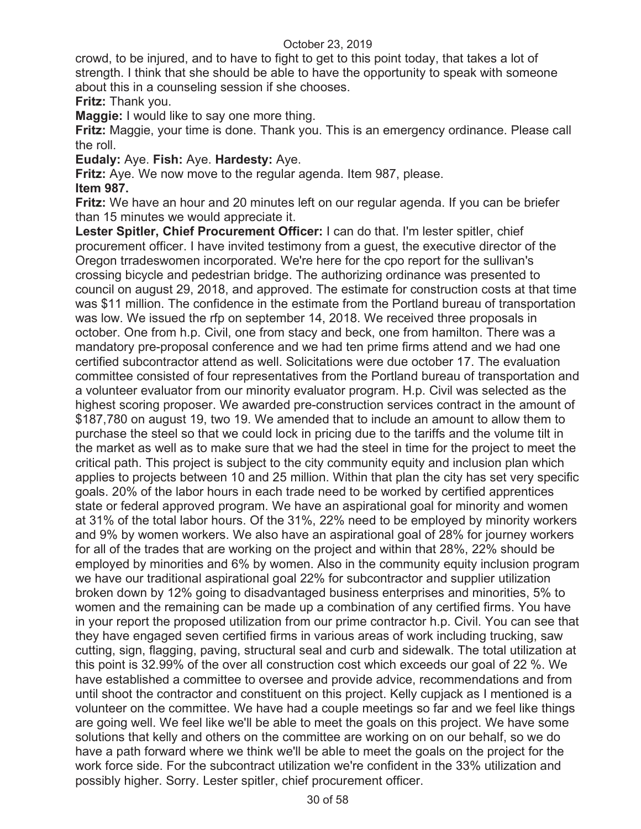crowd, to be injured, and to have to fight to get to this point today, that takes a lot of strength. I think that she should be able to have the opportunity to speak with someone about this in a counseling session if she chooses.

# **Fritz:** Thank you.

**Maggie:** I would like to say one more thing.

**Fritz:** Maggie, your time is done. Thank you. This is an emergency ordinance. Please call the roll.

**Eudaly:** Aye. **Fish:** Aye. **Hardesty:** Aye.

**Fritz:** Aye. We now move to the regular agenda. Item 987, please. **Item 987.** 

**Fritz:** We have an hour and 20 minutes left on our regular agenda. If you can be briefer than 15 minutes we would appreciate it.

**Lester Spitler, Chief Procurement Officer:** I can do that. I'm lester spitler, chief procurement officer. I have invited testimony from a guest, the executive director of the Oregon trradeswomen incorporated. We're here for the cpo report for the sullivan's crossing bicycle and pedestrian bridge. The authorizing ordinance was presented to council on august 29, 2018, and approved. The estimate for construction costs at that time was \$11 million. The confidence in the estimate from the Portland bureau of transportation was low. We issued the rfp on september 14, 2018. We received three proposals in october. One from h.p. Civil, one from stacy and beck, one from hamilton. There was a mandatory pre-proposal conference and we had ten prime firms attend and we had one certified subcontractor attend as well. Solicitations were due october 17. The evaluation committee consisted of four representatives from the Portland bureau of transportation and a volunteer evaluator from our minority evaluator program. H.p. Civil was selected as the highest scoring proposer. We awarded pre-construction services contract in the amount of \$187,780 on august 19, two 19. We amended that to include an amount to allow them to purchase the steel so that we could lock in pricing due to the tariffs and the volume tilt in the market as well as to make sure that we had the steel in time for the project to meet the critical path. This project is subject to the city community equity and inclusion plan which applies to projects between 10 and 25 million. Within that plan the city has set very specific goals. 20% of the labor hours in each trade need to be worked by certified apprentices state or federal approved program. We have an aspirational goal for minority and women at 31% of the total labor hours. Of the 31%, 22% need to be employed by minority workers and 9% by women workers. We also have an aspirational goal of 28% for journey workers for all of the trades that are working on the project and within that 28%, 22% should be employed by minorities and 6% by women. Also in the community equity inclusion program we have our traditional aspirational goal 22% for subcontractor and supplier utilization broken down by 12% going to disadvantaged business enterprises and minorities, 5% to women and the remaining can be made up a combination of any certified firms. You have in your report the proposed utilization from our prime contractor h.p. Civil. You can see that they have engaged seven certified firms in various areas of work including trucking, saw cutting, sign, flagging, paving, structural seal and curb and sidewalk. The total utilization at this point is 32.99% of the over all construction cost which exceeds our goal of 22 %. We have established a committee to oversee and provide advice, recommendations and from until shoot the contractor and constituent on this project. Kelly cupjack as I mentioned is a volunteer on the committee. We have had a couple meetings so far and we feel like things are going well. We feel like we'll be able to meet the goals on this project. We have some solutions that kelly and others on the committee are working on on our behalf, so we do have a path forward where we think we'll be able to meet the goals on the project for the work force side. For the subcontract utilization we're confident in the 33% utilization and possibly higher. Sorry. Lester spitler, chief procurement officer.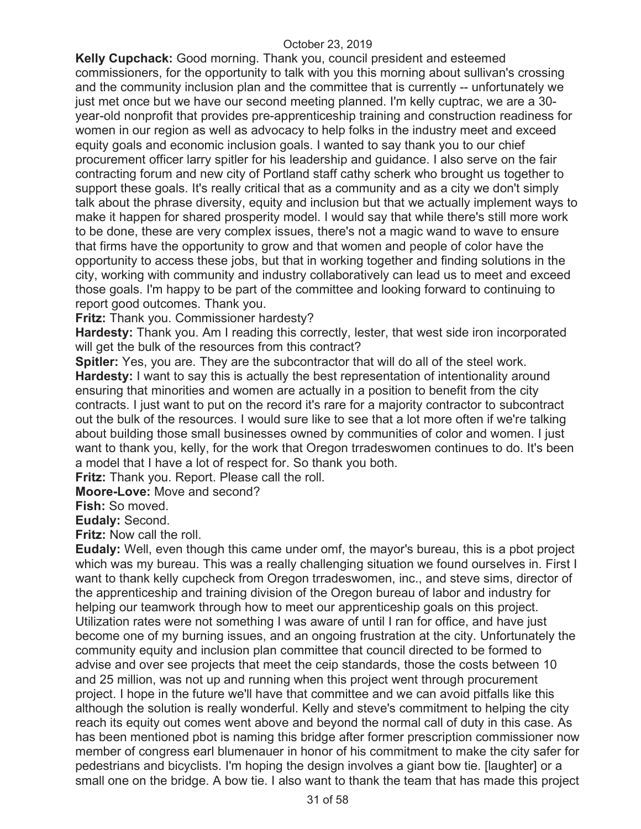**Kelly Cupchack:** Good morning. Thank you, council president and esteemed commissioners, for the opportunity to talk with you this morning about sullivan's crossing and the community inclusion plan and the committee that is currently -- unfortunately we just met once but we have our second meeting planned. I'm kelly cuptrac, we are a 30 year-old nonprofit that provides pre-apprenticeship training and construction readiness for women in our region as well as advocacy to help folks in the industry meet and exceed equity goals and economic inclusion goals. I wanted to say thank you to our chief procurement officer larry spitler for his leadership and guidance. I also serve on the fair contracting forum and new city of Portland staff cathy scherk who brought us together to support these goals. It's really critical that as a community and as a city we don't simply talk about the phrase diversity, equity and inclusion but that we actually implement ways to make it happen for shared prosperity model. I would say that while there's still more work to be done, these are very complex issues, there's not a magic wand to wave to ensure that firms have the opportunity to grow and that women and people of color have the opportunity to access these jobs, but that in working together and finding solutions in the city, working with community and industry collaboratively can lead us to meet and exceed those goals. I'm happy to be part of the committee and looking forward to continuing to report good outcomes. Thank you.

**Fritz:** Thank you. Commissioner hardesty?

**Hardesty:** Thank you. Am I reading this correctly, lester, that west side iron incorporated will get the bulk of the resources from this contract?

**Spitler:** Yes, you are. They are the subcontractor that will do all of the steel work. **Hardesty:** I want to say this is actually the best representation of intentionality around ensuring that minorities and women are actually in a position to benefit from the city contracts. I just want to put on the record it's rare for a majority contractor to subcontract out the bulk of the resources. I would sure like to see that a lot more often if we're talking about building those small businesses owned by communities of color and women. I just want to thank you, kelly, for the work that Oregon trradeswomen continues to do. It's been a model that I have a lot of respect for. So thank you both.

**Fritz:** Thank you. Report. Please call the roll.

**Moore-Love:** Move and second?

**Fish:** So moved.

**Eudaly:** Second.

**Fritz:** Now call the roll.

**Eudaly:** Well, even though this came under omf, the mayor's bureau, this is a pbot project which was my bureau. This was a really challenging situation we found ourselves in. First I want to thank kelly cupcheck from Oregon trradeswomen, inc., and steve sims, director of the apprenticeship and training division of the Oregon bureau of labor and industry for helping our teamwork through how to meet our apprenticeship goals on this project. Utilization rates were not something I was aware of until I ran for office, and have just become one of my burning issues, and an ongoing frustration at the city. Unfortunately the community equity and inclusion plan committee that council directed to be formed to advise and over see projects that meet the ceip standards, those the costs between 10 and 25 million, was not up and running when this project went through procurement project. I hope in the future we'll have that committee and we can avoid pitfalls like this although the solution is really wonderful. Kelly and steve's commitment to helping the city reach its equity out comes went above and beyond the normal call of duty in this case. As has been mentioned pbot is naming this bridge after former prescription commissioner now member of congress earl blumenauer in honor of his commitment to make the city safer for pedestrians and bicyclists. I'm hoping the design involves a giant bow tie. [laughter] or a small one on the bridge. A bow tie. I also want to thank the team that has made this project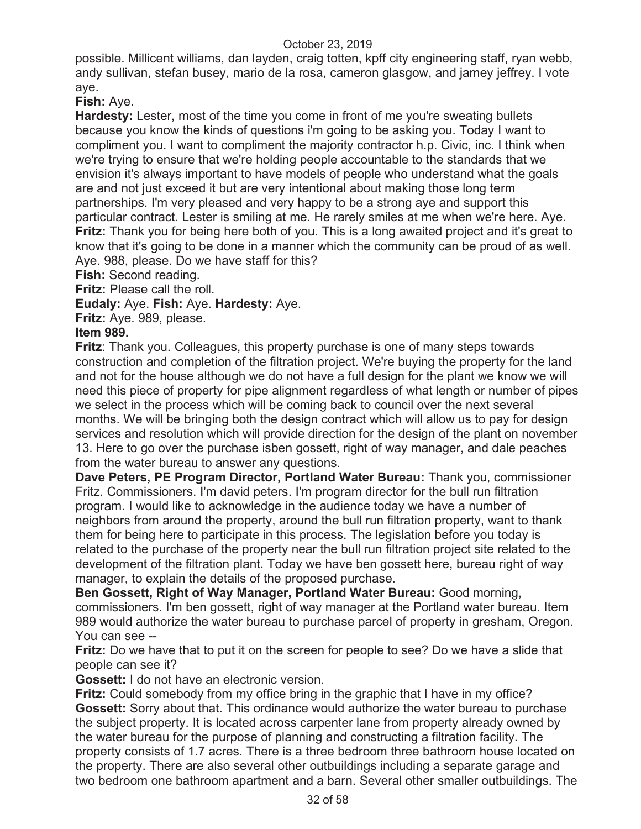possible. Millicent williams, dan layden, craig totten, kpff city engineering staff, ryan webb, andy sullivan, stefan busey, mario de la rosa, cameron glasgow, and jamey jeffrey. I vote aye.

**Fish:** Aye.

**Hardesty:** Lester, most of the time you come in front of me you're sweating bullets because you know the kinds of questions i'm going to be asking you. Today I want to compliment you. I want to compliment the majority contractor h.p. Civic, inc. I think when we're trying to ensure that we're holding people accountable to the standards that we envision it's always important to have models of people who understand what the goals are and not just exceed it but are very intentional about making those long term partnerships. I'm very pleased and very happy to be a strong aye and support this particular contract. Lester is smiling at me. He rarely smiles at me when we're here. Aye. **Fritz:** Thank you for being here both of you. This is a long awaited project and it's great to know that it's going to be done in a manner which the community can be proud of as well. Aye. 988, please. Do we have staff for this?

**Fish:** Second reading.

**Fritz:** Please call the roll.

**Eudaly:** Aye. **Fish:** Aye. **Hardesty:** Aye.

**Fritz:** Aye. 989, please.

# **Item 989.**

**Fritz**: Thank you. Colleagues, this property purchase is one of many steps towards construction and completion of the filtration project. We're buying the property for the land and not for the house although we do not have a full design for the plant we know we will need this piece of property for pipe alignment regardless of what length or number of pipes we select in the process which will be coming back to council over the next several months. We will be bringing both the design contract which will allow us to pay for design services and resolution which will provide direction for the design of the plant on november 13. Here to go over the purchase isben gossett, right of way manager, and dale peaches from the water bureau to answer any questions.

**Dave Peters, PE Program Director, Portland Water Bureau:** Thank you, commissioner Fritz. Commissioners. I'm david peters. I'm program director for the bull run filtration program. I would like to acknowledge in the audience today we have a number of neighbors from around the property, around the bull run filtration property, want to thank them for being here to participate in this process. The legislation before you today is related to the purchase of the property near the bull run filtration project site related to the development of the filtration plant. Today we have ben gossett here, bureau right of way manager, to explain the details of the proposed purchase.

**Ben Gossett, Right of Way Manager, Portland Water Bureau:** Good morning, commissioners. I'm ben gossett, right of way manager at the Portland water bureau. Item 989 would authorize the water bureau to purchase parcel of property in gresham, Oregon. You can see --

**Fritz:** Do we have that to put it on the screen for people to see? Do we have a slide that people can see it?

**Gossett:** I do not have an electronic version.

**Fritz:** Could somebody from my office bring in the graphic that I have in my office? **Gossett:** Sorry about that. This ordinance would authorize the water bureau to purchase the subject property. It is located across carpenter lane from property already owned by the water bureau for the purpose of planning and constructing a filtration facility. The property consists of 1.7 acres. There is a three bedroom three bathroom house located on the property. There are also several other outbuildings including a separate garage and two bedroom one bathroom apartment and a barn. Several other smaller outbuildings. The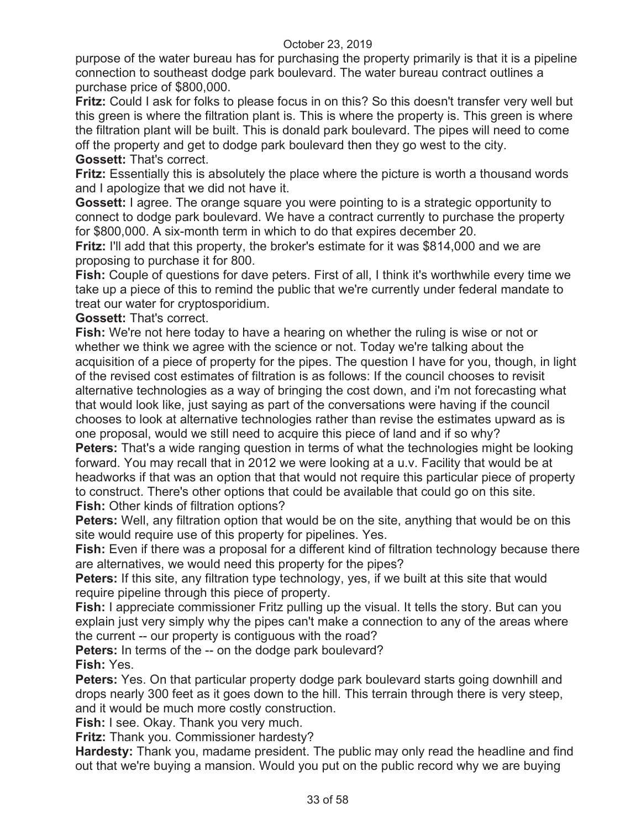purpose of the water bureau has for purchasing the property primarily is that it is a pipeline connection to southeast dodge park boulevard. The water bureau contract outlines a purchase price of \$800,000.

**Fritz:** Could I ask for folks to please focus in on this? So this doesn't transfer very well but this green is where the filtration plant is. This is where the property is. This green is where the filtration plant will be built. This is donald park boulevard. The pipes will need to come off the property and get to dodge park boulevard then they go west to the city. **Gossett:** That's correct.

**Fritz:** Essentially this is absolutely the place where the picture is worth a thousand words and I apologize that we did not have it.

**Gossett:** I agree. The orange square you were pointing to is a strategic opportunity to connect to dodge park boulevard. We have a contract currently to purchase the property for \$800,000. A six-month term in which to do that expires december 20.

**Fritz:** I'll add that this property, the broker's estimate for it was \$814,000 and we are proposing to purchase it for 800.

**Fish:** Couple of questions for dave peters. First of all, I think it's worthwhile every time we take up a piece of this to remind the public that we're currently under federal mandate to treat our water for cryptosporidium.

**Gossett:** That's correct.

**Fish:** We're not here today to have a hearing on whether the ruling is wise or not or whether we think we agree with the science or not. Today we're talking about the acquisition of a piece of property for the pipes. The question I have for you, though, in light of the revised cost estimates of filtration is as follows: If the council chooses to revisit alternative technologies as a way of bringing the cost down, and i'm not forecasting what that would look like, just saying as part of the conversations were having if the council chooses to look at alternative technologies rather than revise the estimates upward as is one proposal, would we still need to acquire this piece of land and if so why?

**Peters:** That's a wide ranging question in terms of what the technologies might be looking forward. You may recall that in 2012 we were looking at a u.v. Facility that would be at headworks if that was an option that that would not require this particular piece of property to construct. There's other options that could be available that could go on this site. **Fish:** Other kinds of filtration options?

**Peters:** Well, any filtration option that would be on the site, anything that would be on this site would require use of this property for pipelines. Yes.

**Fish:** Even if there was a proposal for a different kind of filtration technology because there are alternatives, we would need this property for the pipes?

**Peters:** If this site, any filtration type technology, yes, if we built at this site that would require pipeline through this piece of property.

**Fish:** I appreciate commissioner Fritz pulling up the visual. It tells the story. But can you explain just very simply why the pipes can't make a connection to any of the areas where the current -- our property is contiguous with the road?

**Peters:** In terms of the -- on the dodge park boulevard? **Fish:** Yes.

**Peters:** Yes. On that particular property dodge park boulevard starts going downhill and drops nearly 300 feet as it goes down to the hill. This terrain through there is very steep, and it would be much more costly construction.

**Fish:** I see. Okay. Thank you very much.

**Fritz:** Thank you. Commissioner hardesty?

**Hardesty:** Thank you, madame president. The public may only read the headline and find out that we're buying a mansion. Would you put on the public record why we are buying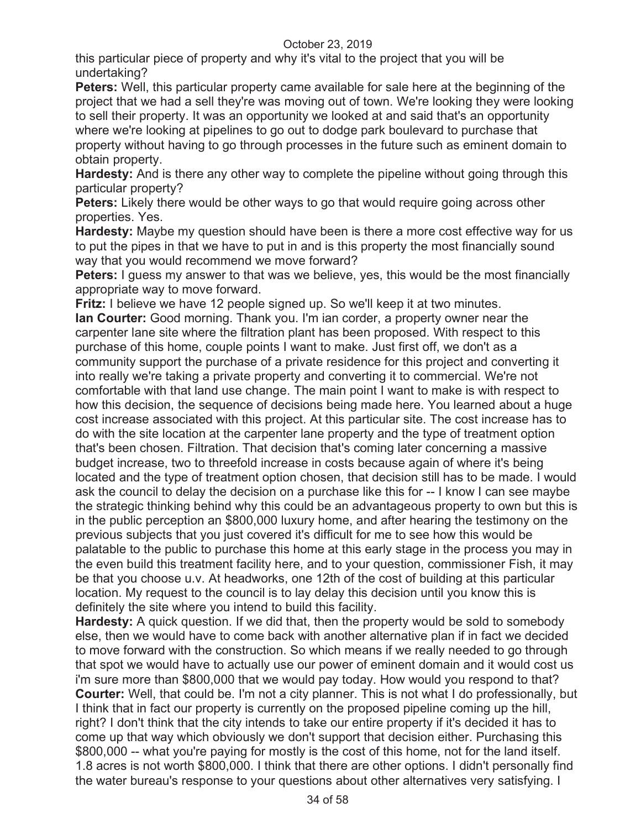this particular piece of property and why it's vital to the project that you will be undertaking?

**Peters:** Well, this particular property came available for sale here at the beginning of the project that we had a sell they're was moving out of town. We're looking they were looking to sell their property. It was an opportunity we looked at and said that's an opportunity where we're looking at pipelines to go out to dodge park boulevard to purchase that property without having to go through processes in the future such as eminent domain to obtain property.

**Hardesty:** And is there any other way to complete the pipeline without going through this particular property?

**Peters:** Likely there would be other ways to go that would require going across other properties. Yes.

**Hardesty:** Maybe my question should have been is there a more cost effective way for us to put the pipes in that we have to put in and is this property the most financially sound way that you would recommend we move forward?

**Peters:** I guess my answer to that was we believe, yes, this would be the most financially appropriate way to move forward.

**Fritz:** I believe we have 12 people signed up. So we'll keep it at two minutes.

**Ian Courter:** Good morning. Thank you. I'm ian corder, a property owner near the carpenter lane site where the filtration plant has been proposed. With respect to this purchase of this home, couple points I want to make. Just first off, we don't as a community support the purchase of a private residence for this project and converting it into really we're taking a private property and converting it to commercial. We're not comfortable with that land use change. The main point I want to make is with respect to how this decision, the sequence of decisions being made here. You learned about a huge cost increase associated with this project. At this particular site. The cost increase has to do with the site location at the carpenter lane property and the type of treatment option that's been chosen. Filtration. That decision that's coming later concerning a massive budget increase, two to threefold increase in costs because again of where it's being located and the type of treatment option chosen, that decision still has to be made. I would ask the council to delay the decision on a purchase like this for -- I know I can see maybe the strategic thinking behind why this could be an advantageous property to own but this is in the public perception an \$800,000 luxury home, and after hearing the testimony on the previous subjects that you just covered it's difficult for me to see how this would be palatable to the public to purchase this home at this early stage in the process you may in the even build this treatment facility here, and to your question, commissioner Fish, it may be that you choose u.v. At headworks, one 12th of the cost of building at this particular location. My request to the council is to lay delay this decision until you know this is definitely the site where you intend to build this facility.

**Hardesty:** A quick question. If we did that, then the property would be sold to somebody else, then we would have to come back with another alternative plan if in fact we decided to move forward with the construction. So which means if we really needed to go through that spot we would have to actually use our power of eminent domain and it would cost us i'm sure more than \$800,000 that we would pay today. How would you respond to that? **Courter:** Well, that could be. I'm not a city planner. This is not what I do professionally, but I think that in fact our property is currently on the proposed pipeline coming up the hill, right? I don't think that the city intends to take our entire property if it's decided it has to come up that way which obviously we don't support that decision either. Purchasing this \$800,000 -- what you're paying for mostly is the cost of this home, not for the land itself. 1.8 acres is not worth \$800,000. I think that there are other options. I didn't personally find the water bureau's response to your questions about other alternatives very satisfying. I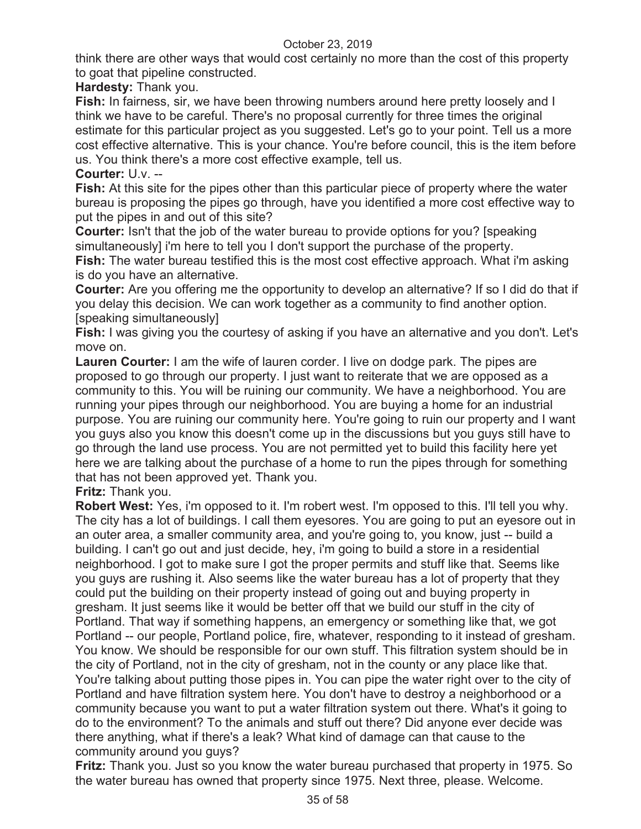think there are other ways that would cost certainly no more than the cost of this property to goat that pipeline constructed.

**Hardesty:** Thank you.

**Fish:** In fairness, sir, we have been throwing numbers around here pretty loosely and I think we have to be careful. There's no proposal currently for three times the original estimate for this particular project as you suggested. Let's go to your point. Tell us a more cost effective alternative. This is your chance. You're before council, this is the item before us. You think there's a more cost effective example, tell us.

**Courter:** U.v. --

**Fish:** At this site for the pipes other than this particular piece of property where the water bureau is proposing the pipes go through, have you identified a more cost effective way to put the pipes in and out of this site?

**Courter:** Isn't that the job of the water bureau to provide options for you? [speaking simultaneously] i'm here to tell you I don't support the purchase of the property.

**Fish:** The water bureau testified this is the most cost effective approach. What i'm asking is do you have an alternative.

**Courter:** Are you offering me the opportunity to develop an alternative? If so I did do that if you delay this decision. We can work together as a community to find another option. [speaking simultaneously]

**Fish:** I was giving you the courtesy of asking if you have an alternative and you don't. Let's move on.

**Lauren Courter:** I am the wife of lauren corder. I live on dodge park. The pipes are proposed to go through our property. I just want to reiterate that we are opposed as a community to this. You will be ruining our community. We have a neighborhood. You are running your pipes through our neighborhood. You are buying a home for an industrial purpose. You are ruining our community here. You're going to ruin our property and I want you guys also you know this doesn't come up in the discussions but you guys still have to go through the land use process. You are not permitted yet to build this facility here yet here we are talking about the purchase of a home to run the pipes through for something that has not been approved yet. Thank you.

**Fritz:** Thank you.

**Robert West:** Yes, i'm opposed to it. I'm robert west. I'm opposed to this. I'll tell you why. The city has a lot of buildings. I call them eyesores. You are going to put an eyesore out in an outer area, a smaller community area, and you're going to, you know, just -- build a building. I can't go out and just decide, hey, i'm going to build a store in a residential neighborhood. I got to make sure I got the proper permits and stuff like that. Seems like you guys are rushing it. Also seems like the water bureau has a lot of property that they could put the building on their property instead of going out and buying property in gresham. It just seems like it would be better off that we build our stuff in the city of Portland. That way if something happens, an emergency or something like that, we got Portland -- our people, Portland police, fire, whatever, responding to it instead of gresham. You know. We should be responsible for our own stuff. This filtration system should be in the city of Portland, not in the city of gresham, not in the county or any place like that. You're talking about putting those pipes in. You can pipe the water right over to the city of Portland and have filtration system here. You don't have to destroy a neighborhood or a community because you want to put a water filtration system out there. What's it going to do to the environment? To the animals and stuff out there? Did anyone ever decide was there anything, what if there's a leak? What kind of damage can that cause to the community around you guys?

**Fritz:** Thank you. Just so you know the water bureau purchased that property in 1975. So the water bureau has owned that property since 1975. Next three, please. Welcome.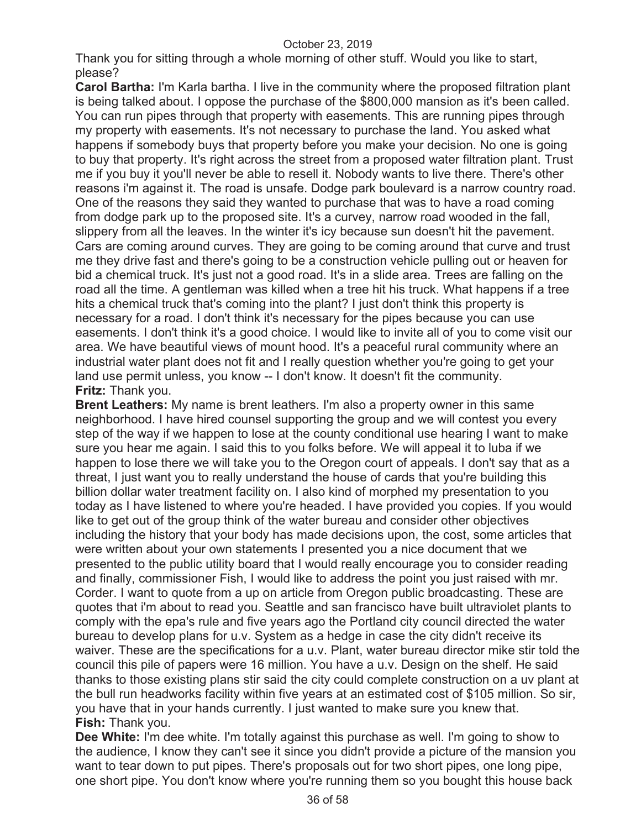Thank you for sitting through a whole morning of other stuff. Would you like to start, please?

**Carol Bartha:** I'm Karla bartha. I live in the community where the proposed filtration plant is being talked about. I oppose the purchase of the \$800,000 mansion as it's been called. You can run pipes through that property with easements. This are running pipes through my property with easements. It's not necessary to purchase the land. You asked what happens if somebody buys that property before you make your decision. No one is going to buy that property. It's right across the street from a proposed water filtration plant. Trust me if you buy it you'll never be able to resell it. Nobody wants to live there. There's other reasons i'm against it. The road is unsafe. Dodge park boulevard is a narrow country road. One of the reasons they said they wanted to purchase that was to have a road coming from dodge park up to the proposed site. It's a curvey, narrow road wooded in the fall, slippery from all the leaves. In the winter it's icy because sun doesn't hit the pavement. Cars are coming around curves. They are going to be coming around that curve and trust me they drive fast and there's going to be a construction vehicle pulling out or heaven for bid a chemical truck. It's just not a good road. It's in a slide area. Trees are falling on the road all the time. A gentleman was killed when a tree hit his truck. What happens if a tree hits a chemical truck that's coming into the plant? I just don't think this property is necessary for a road. I don't think it's necessary for the pipes because you can use easements. I don't think it's a good choice. I would like to invite all of you to come visit our area. We have beautiful views of mount hood. It's a peaceful rural community where an industrial water plant does not fit and I really question whether you're going to get your land use permit unless, you know -- I don't know. It doesn't fit the community. **Fritz:** Thank you.

**Brent Leathers:** My name is brent leathers. I'm also a property owner in this same neighborhood. I have hired counsel supporting the group and we will contest you every step of the way if we happen to lose at the county conditional use hearing I want to make sure you hear me again. I said this to you folks before. We will appeal it to luba if we happen to lose there we will take you to the Oregon court of appeals. I don't say that as a threat, I just want you to really understand the house of cards that you're building this billion dollar water treatment facility on. I also kind of morphed my presentation to you today as I have listened to where you're headed. I have provided you copies. If you would like to get out of the group think of the water bureau and consider other objectives including the history that your body has made decisions upon, the cost, some articles that were written about your own statements I presented you a nice document that we presented to the public utility board that I would really encourage you to consider reading and finally, commissioner Fish, I would like to address the point you just raised with mr. Corder. I want to quote from a up on article from Oregon public broadcasting. These are quotes that i'm about to read you. Seattle and san francisco have built ultraviolet plants to comply with the epa's rule and five years ago the Portland city council directed the water bureau to develop plans for u.v. System as a hedge in case the city didn't receive its waiver. These are the specifications for a u.v. Plant, water bureau director mike stir told the council this pile of papers were 16 million. You have a u.v. Design on the shelf. He said thanks to those existing plans stir said the city could complete construction on a uv plant at the bull run headworks facility within five years at an estimated cost of \$105 million. So sir, you have that in your hands currently. I just wanted to make sure you knew that. **Fish:** Thank you.

**Dee White:** I'm dee white. I'm totally against this purchase as well. I'm going to show to the audience, I know they can't see it since you didn't provide a picture of the mansion you want to tear down to put pipes. There's proposals out for two short pipes, one long pipe, one short pipe. You don't know where you're running them so you bought this house back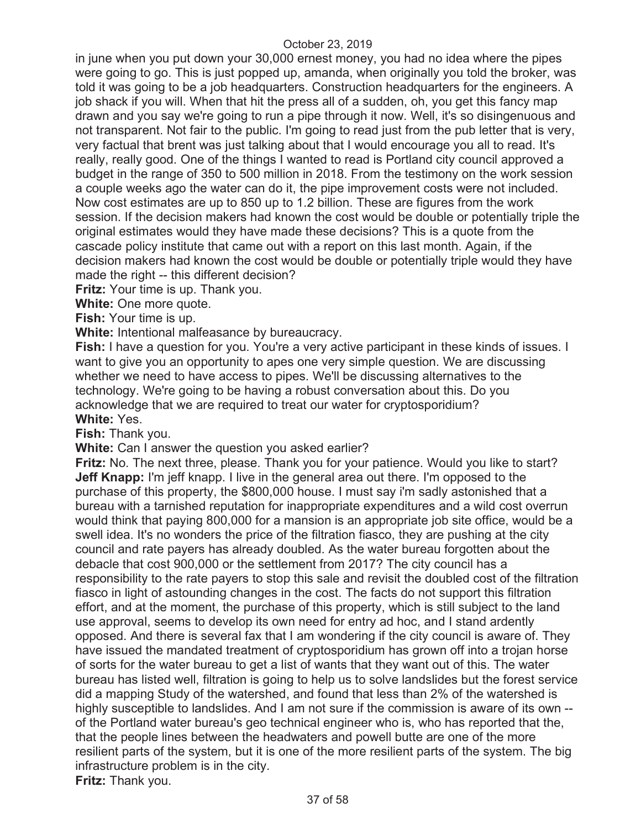in june when you put down your 30,000 ernest money, you had no idea where the pipes were going to go. This is just popped up, amanda, when originally you told the broker, was told it was going to be a job headquarters. Construction headquarters for the engineers. A job shack if you will. When that hit the press all of a sudden, oh, you get this fancy map drawn and you say we're going to run a pipe through it now. Well, it's so disingenuous and not transparent. Not fair to the public. I'm going to read just from the pub letter that is very, very factual that brent was just talking about that I would encourage you all to read. It's really, really good. One of the things I wanted to read is Portland city council approved a budget in the range of 350 to 500 million in 2018. From the testimony on the work session a couple weeks ago the water can do it, the pipe improvement costs were not included. Now cost estimates are up to 850 up to 1.2 billion. These are figures from the work session. If the decision makers had known the cost would be double or potentially triple the original estimates would they have made these decisions? This is a quote from the cascade policy institute that came out with a report on this last month. Again, if the decision makers had known the cost would be double or potentially triple would they have made the right -- this different decision?

**Fritz:** Your time is up. Thank you.

**White:** One more quote.

**Fish:** Your time is up.

**White:** Intentional malfeasance by bureaucracy.

**Fish:** I have a question for you. You're a very active participant in these kinds of issues. I want to give you an opportunity to apes one very simple question. We are discussing whether we need to have access to pipes. We'll be discussing alternatives to the technology. We're going to be having a robust conversation about this. Do you acknowledge that we are required to treat our water for cryptosporidium? **White:** Yes.

**Fish:** Thank you.

**White:** Can I answer the question you asked earlier?

**Fritz:** No. The next three, please. Thank you for your patience. Would you like to start? **Jeff Knapp:** I'm jeff knapp. I live in the general area out there. I'm opposed to the purchase of this property, the \$800,000 house. I must say i'm sadly astonished that a bureau with a tarnished reputation for inappropriate expenditures and a wild cost overrun would think that paying 800,000 for a mansion is an appropriate job site office, would be a swell idea. It's no wonders the price of the filtration fiasco, they are pushing at the city council and rate payers has already doubled. As the water bureau forgotten about the debacle that cost 900,000 or the settlement from 2017? The city council has a responsibility to the rate payers to stop this sale and revisit the doubled cost of the filtration fiasco in light of astounding changes in the cost. The facts do not support this filtration effort, and at the moment, the purchase of this property, which is still subject to the land use approval, seems to develop its own need for entry ad hoc, and I stand ardently opposed. And there is several fax that I am wondering if the city council is aware of. They have issued the mandated treatment of cryptosporidium has grown off into a trojan horse of sorts for the water bureau to get a list of wants that they want out of this. The water bureau has listed well, filtration is going to help us to solve landslides but the forest service did a mapping Study of the watershed, and found that less than 2% of the watershed is highly susceptible to landslides. And I am not sure if the commission is aware of its own - of the Portland water bureau's geo technical engineer who is, who has reported that the, that the people lines between the headwaters and powell butte are one of the more resilient parts of the system, but it is one of the more resilient parts of the system. The big infrastructure problem is in the city. **Fritz:** Thank you.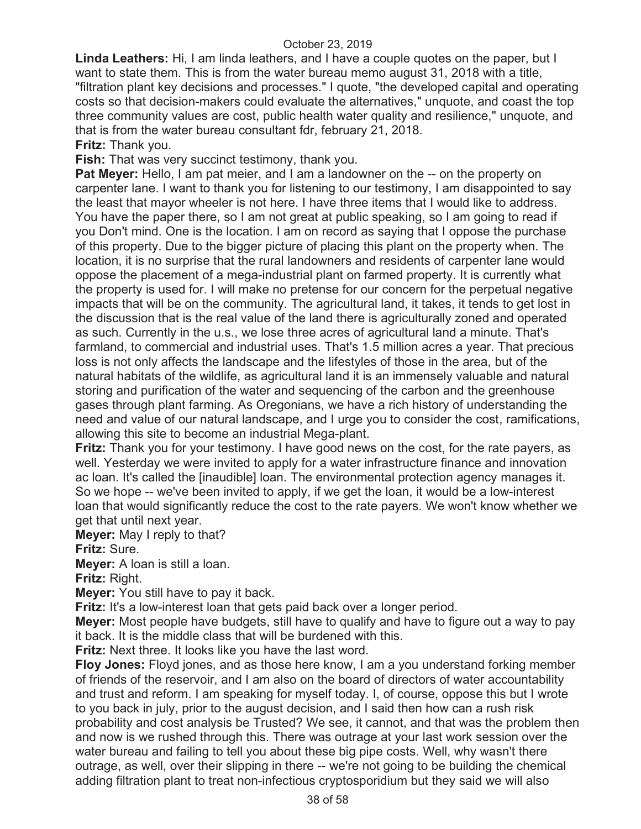**Linda Leathers:** Hi, I am linda leathers, and I have a couple quotes on the paper, but I want to state them. This is from the water bureau memo august 31, 2018 with a title, "filtration plant key decisions and processes." I quote, "the developed capital and operating costs so that decision-makers could evaluate the alternatives," unquote, and coast the top three community values are cost, public health water quality and resilience," unquote, and that is from the water bureau consultant fdr, february 21, 2018.

**Fritz:** Thank you.

**Fish:** That was very succinct testimony, thank you.

**Pat Meyer:** Hello, I am pat meier, and I am a landowner on the -- on the property on carpenter lane. I want to thank you for listening to our testimony, I am disappointed to say the least that mayor wheeler is not here. I have three items that I would like to address. You have the paper there, so I am not great at public speaking, so I am going to read if you Don't mind. One is the location. I am on record as saying that I oppose the purchase of this property. Due to the bigger picture of placing this plant on the property when. The location, it is no surprise that the rural landowners and residents of carpenter lane would oppose the placement of a mega-industrial plant on farmed property. It is currently what the property is used for. I will make no pretense for our concern for the perpetual negative impacts that will be on the community. The agricultural land, it takes, it tends to get lost in the discussion that is the real value of the land there is agriculturally zoned and operated as such. Currently in the u.s., we lose three acres of agricultural land a minute. That's farmland, to commercial and industrial uses. That's 1.5 million acres a year. That precious loss is not only affects the landscape and the lifestyles of those in the area, but of the natural habitats of the wildlife, as agricultural land it is an immensely valuable and natural storing and purification of the water and sequencing of the carbon and the greenhouse gases through plant farming. As Oregonians, we have a rich history of understanding the need and value of our natural landscape, and I urge you to consider the cost, ramifications, allowing this site to become an industrial Mega-plant.

**Fritz:** Thank you for your testimony. I have good news on the cost, for the rate payers, as well. Yesterday we were invited to apply for a water infrastructure finance and innovation ac loan. It's called the [inaudible] loan. The environmental protection agency manages it. So we hope -- we've been invited to apply, if we get the loan, it would be a low-interest loan that would significantly reduce the cost to the rate payers. We won't know whether we get that until next year.

**Meyer:** May I reply to that?

**Fritz:** Sure.

**Meyer:** A loan is still a loan.

**Fritz:** Right.

**Meyer:** You still have to pay it back.

**Fritz:** It's a low-interest loan that gets paid back over a longer period.

**Meyer:** Most people have budgets, still have to qualify and have to figure out a way to pay it back. It is the middle class that will be burdened with this.

**Fritz:** Next three. It looks like you have the last word.

**Floy Jones:** Floyd jones, and as those here know, I am a you understand forking member of friends of the reservoir, and I am also on the board of directors of water accountability and trust and reform. I am speaking for myself today. I, of course, oppose this but I wrote to you back in july, prior to the august decision, and I said then how can a rush risk probability and cost analysis be Trusted? We see, it cannot, and that was the problem then and now is we rushed through this. There was outrage at your last work session over the water bureau and failing to tell you about these big pipe costs. Well, why wasn't there outrage, as well, over their slipping in there -- we're not going to be building the chemical adding filtration plant to treat non-infectious cryptosporidium but they said we will also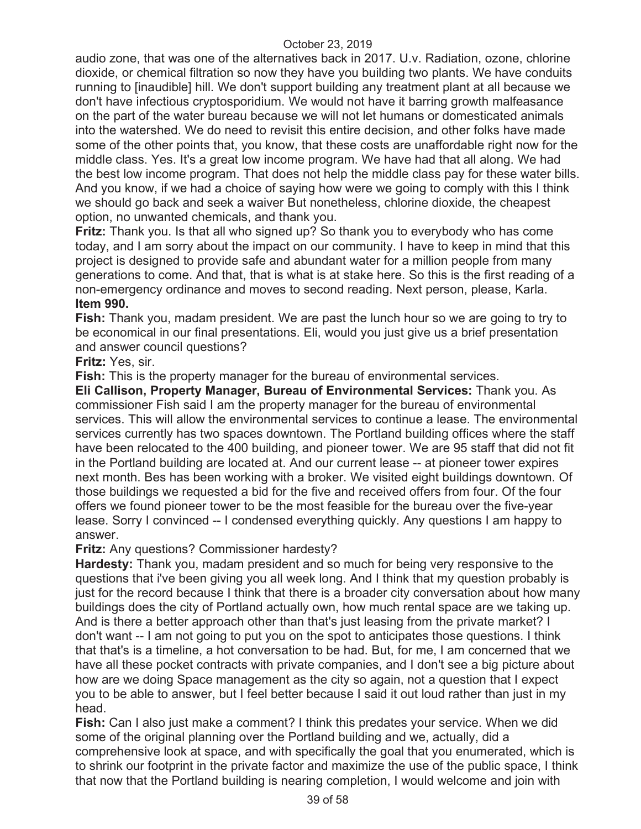audio zone, that was one of the alternatives back in 2017. U.v. Radiation, ozone, chlorine dioxide, or chemical filtration so now they have you building two plants. We have conduits running to [inaudible] hill. We don't support building any treatment plant at all because we don't have infectious cryptosporidium. We would not have it barring growth malfeasance on the part of the water bureau because we will not let humans or domesticated animals into the watershed. We do need to revisit this entire decision, and other folks have made some of the other points that, you know, that these costs are unaffordable right now for the middle class. Yes. It's a great low income program. We have had that all along. We had the best low income program. That does not help the middle class pay for these water bills. And you know, if we had a choice of saying how were we going to comply with this I think we should go back and seek a waiver But nonetheless, chlorine dioxide, the cheapest option, no unwanted chemicals, and thank you.

**Fritz:** Thank you. Is that all who signed up? So thank you to everybody who has come today, and I am sorry about the impact on our community. I have to keep in mind that this project is designed to provide safe and abundant water for a million people from many generations to come. And that, that is what is at stake here. So this is the first reading of a non-emergency ordinance and moves to second reading. Next person, please, Karla. **Item 990.** 

**Fish:** Thank you, madam president. We are past the lunch hour so we are going to try to be economical in our final presentations. Eli, would you just give us a brief presentation and answer council questions?

# **Fritz:** Yes, sir.

**Fish:** This is the property manager for the bureau of environmental services.

**Eli Callison, Property Manager, Bureau of Environmental Services:** Thank you. As commissioner Fish said I am the property manager for the bureau of environmental services. This will allow the environmental services to continue a lease. The environmental services currently has two spaces downtown. The Portland building offices where the staff have been relocated to the 400 building, and pioneer tower. We are 95 staff that did not fit in the Portland building are located at. And our current lease -- at pioneer tower expires next month. Bes has been working with a broker. We visited eight buildings downtown. Of those buildings we requested a bid for the five and received offers from four. Of the four offers we found pioneer tower to be the most feasible for the bureau over the five-year lease. Sorry I convinced -- I condensed everything quickly. Any questions I am happy to answer.

#### **Fritz:** Any questions? Commissioner hardesty?

**Hardesty:** Thank you, madam president and so much for being very responsive to the questions that i've been giving you all week long. And I think that my question probably is just for the record because I think that there is a broader city conversation about how many buildings does the city of Portland actually own, how much rental space are we taking up. And is there a better approach other than that's just leasing from the private market? I don't want -- I am not going to put you on the spot to anticipates those questions. I think that that's is a timeline, a hot conversation to be had. But, for me, I am concerned that we have all these pocket contracts with private companies, and I don't see a big picture about how are we doing Space management as the city so again, not a question that I expect you to be able to answer, but I feel better because I said it out loud rather than just in my head.

**Fish:** Can I also just make a comment? I think this predates your service. When we did some of the original planning over the Portland building and we, actually, did a comprehensive look at space, and with specifically the goal that you enumerated, which is to shrink our footprint in the private factor and maximize the use of the public space, I think that now that the Portland building is nearing completion, I would welcome and join with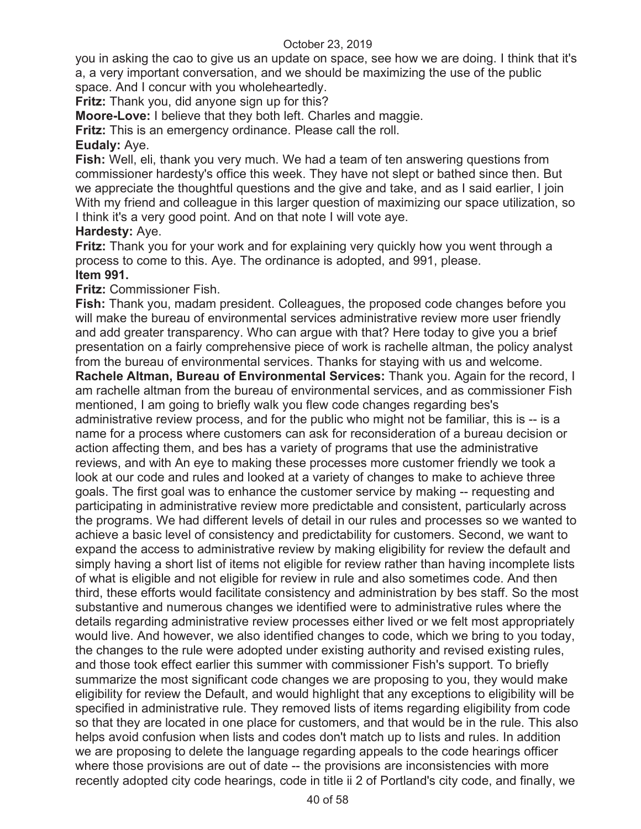you in asking the cao to give us an update on space, see how we are doing. I think that it's a, a very important conversation, and we should be maximizing the use of the public space. And I concur with you wholeheartedly.

**Fritz:** Thank you, did anyone sign up for this?

**Moore-Love:** I believe that they both left. Charles and maggie.

**Fritz:** This is an emergency ordinance. Please call the roll.

# **Eudaly:** Aye.

**Fish:** Well, eli, thank you very much. We had a team of ten answering questions from commissioner hardesty's office this week. They have not slept or bathed since then. But we appreciate the thoughtful questions and the give and take, and as I said earlier, I join With my friend and colleague in this larger question of maximizing our space utilization, so I think it's a very good point. And on that note I will vote aye.

# **Hardesty:** Aye.

**Fritz:** Thank you for your work and for explaining very quickly how you went through a process to come to this. Aye. The ordinance is adopted, and 991, please.

# **Item 991.**

**Fritz:** Commissioner Fish.

**Fish:** Thank you, madam president. Colleagues, the proposed code changes before you will make the bureau of environmental services administrative review more user friendly and add greater transparency. Who can argue with that? Here today to give you a brief presentation on a fairly comprehensive piece of work is rachelle altman, the policy analyst from the bureau of environmental services. Thanks for staying with us and welcome.

**Rachele Altman, Bureau of Environmental Services:** Thank you. Again for the record, I am rachelle altman from the bureau of environmental services, and as commissioner Fish mentioned, I am going to briefly walk you flew code changes regarding bes's administrative review process, and for the public who might not be familiar, this is -- is a name for a process where customers can ask for reconsideration of a bureau decision or action affecting them, and bes has a variety of programs that use the administrative reviews, and with An eye to making these processes more customer friendly we took a look at our code and rules and looked at a variety of changes to make to achieve three goals. The first goal was to enhance the customer service by making -- requesting and participating in administrative review more predictable and consistent, particularly across the programs. We had different levels of detail in our rules and processes so we wanted to achieve a basic level of consistency and predictability for customers. Second, we want to expand the access to administrative review by making eligibility for review the default and simply having a short list of items not eligible for review rather than having incomplete lists of what is eligible and not eligible for review in rule and also sometimes code. And then third, these efforts would facilitate consistency and administration by bes staff. So the most substantive and numerous changes we identified were to administrative rules where the details regarding administrative review processes either lived or we felt most appropriately would live. And however, we also identified changes to code, which we bring to you today, the changes to the rule were adopted under existing authority and revised existing rules, and those took effect earlier this summer with commissioner Fish's support. To briefly summarize the most significant code changes we are proposing to you, they would make eligibility for review the Default, and would highlight that any exceptions to eligibility will be specified in administrative rule. They removed lists of items regarding eligibility from code so that they are located in one place for customers, and that would be in the rule. This also helps avoid confusion when lists and codes don't match up to lists and rules. In addition we are proposing to delete the language regarding appeals to the code hearings officer where those provisions are out of date -- the provisions are inconsistencies with more recently adopted city code hearings, code in title ii 2 of Portland's city code, and finally, we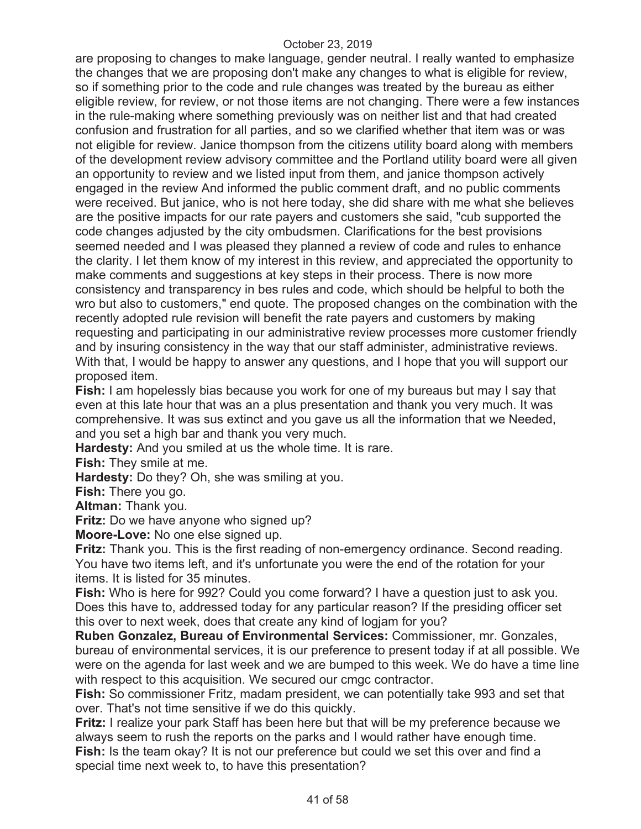are proposing to changes to make language, gender neutral. I really wanted to emphasize the changes that we are proposing don't make any changes to what is eligible for review, so if something prior to the code and rule changes was treated by the bureau as either eligible review, for review, or not those items are not changing. There were a few instances in the rule-making where something previously was on neither list and that had created confusion and frustration for all parties, and so we clarified whether that item was or was not eligible for review. Janice thompson from the citizens utility board along with members of the development review advisory committee and the Portland utility board were all given an opportunity to review and we listed input from them, and janice thompson actively engaged in the review And informed the public comment draft, and no public comments were received. But janice, who is not here today, she did share with me what she believes are the positive impacts for our rate payers and customers she said, "cub supported the code changes adjusted by the city ombudsmen. Clarifications for the best provisions seemed needed and I was pleased they planned a review of code and rules to enhance the clarity. I let them know of my interest in this review, and appreciated the opportunity to make comments and suggestions at key steps in their process. There is now more consistency and transparency in bes rules and code, which should be helpful to both the wro but also to customers," end quote. The proposed changes on the combination with the recently adopted rule revision will benefit the rate payers and customers by making requesting and participating in our administrative review processes more customer friendly and by insuring consistency in the way that our staff administer, administrative reviews. With that, I would be happy to answer any questions, and I hope that you will support our proposed item.

**Fish:** I am hopelessly bias because you work for one of my bureaus but may I say that even at this late hour that was an a plus presentation and thank you very much. It was comprehensive. It was sus extinct and you gave us all the information that we Needed, and you set a high bar and thank you very much.

**Hardesty:** And you smiled at us the whole time. It is rare.

**Fish:** They smile at me.

**Hardesty:** Do they? Oh, she was smiling at you.

**Fish:** There you go.

**Altman:** Thank you.

**Fritz:** Do we have anyone who signed up?

**Moore-Love:** No one else signed up.

**Fritz:** Thank you. This is the first reading of non-emergency ordinance. Second reading. You have two items left, and it's unfortunate you were the end of the rotation for your items. It is listed for 35 minutes.

**Fish:** Who is here for 992? Could you come forward? I have a question just to ask you. Does this have to, addressed today for any particular reason? If the presiding officer set this over to next week, does that create any kind of logjam for you?

**Ruben Gonzalez, Bureau of Environmental Services:** Commissioner, mr. Gonzales, bureau of environmental services, it is our preference to present today if at all possible. We were on the agenda for last week and we are bumped to this week. We do have a time line with respect to this acquisition. We secured our cmgc contractor.

**Fish:** So commissioner Fritz, madam president, we can potentially take 993 and set that over. That's not time sensitive if we do this quickly.

**Fritz:** I realize your park Staff has been here but that will be my preference because we always seem to rush the reports on the parks and I would rather have enough time. **Fish:** Is the team okay? It is not our preference but could we set this over and find a special time next week to, to have this presentation?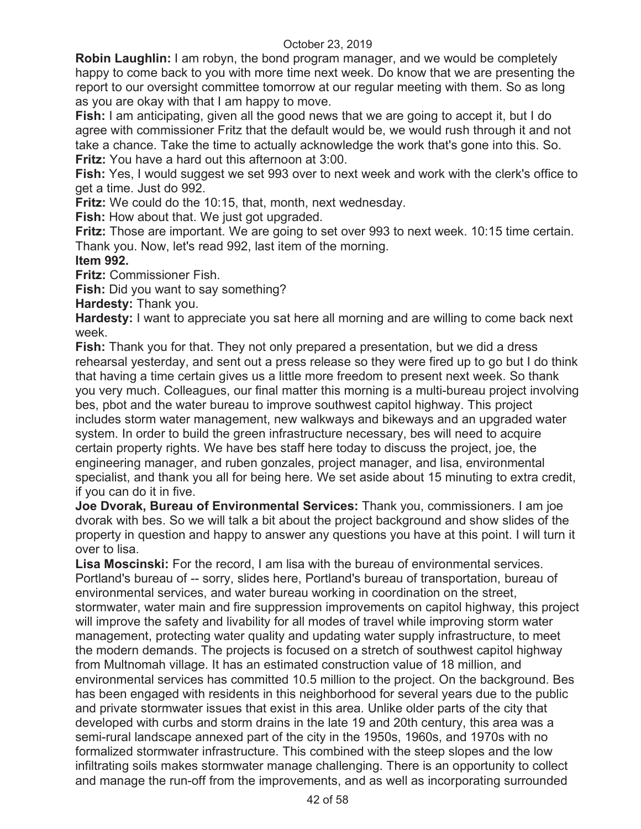**Robin Laughlin:** I am robyn, the bond program manager, and we would be completely happy to come back to you with more time next week. Do know that we are presenting the report to our oversight committee tomorrow at our regular meeting with them. So as long as you are okay with that I am happy to move.

**Fish:** I am anticipating, given all the good news that we are going to accept it, but I do agree with commissioner Fritz that the default would be, we would rush through it and not take a chance. Take the time to actually acknowledge the work that's gone into this. So. **Fritz:** You have a hard out this afternoon at 3:00.

**Fish:** Yes, I would suggest we set 993 over to next week and work with the clerk's office to get a time. Just do 992.

**Fritz:** We could do the 10:15, that, month, next wednesday.

**Fish:** How about that. We just got upgraded.

**Fritz:** Those are important. We are going to set over 993 to next week. 10:15 time certain. Thank you. Now, let's read 992, last item of the morning.

# **Item 992.**

**Fritz:** Commissioner Fish.

**Fish:** Did you want to say something?

**Hardesty:** Thank you.

**Hardesty:** I want to appreciate you sat here all morning and are willing to come back next week.

**Fish:** Thank you for that. They not only prepared a presentation, but we did a dress rehearsal yesterday, and sent out a press release so they were fired up to go but I do think that having a time certain gives us a little more freedom to present next week. So thank you very much. Colleagues, our final matter this morning is a multi-bureau project involving bes, pbot and the water bureau to improve southwest capitol highway. This project includes storm water management, new walkways and bikeways and an upgraded water system. In order to build the green infrastructure necessary, bes will need to acquire certain property rights. We have bes staff here today to discuss the project, joe, the engineering manager, and ruben gonzales, project manager, and lisa, environmental specialist, and thank you all for being here. We set aside about 15 minuting to extra credit, if you can do it in five.

**Joe Dvorak, Bureau of Environmental Services:** Thank you, commissioners. I am joe dvorak with bes. So we will talk a bit about the project background and show slides of the property in question and happy to answer any questions you have at this point. I will turn it over to lisa.

**Lisa Moscinski:** For the record, I am lisa with the bureau of environmental services. Portland's bureau of -- sorry, slides here, Portland's bureau of transportation, bureau of environmental services, and water bureau working in coordination on the street, stormwater, water main and fire suppression improvements on capitol highway, this project will improve the safety and livability for all modes of travel while improving storm water management, protecting water quality and updating water supply infrastructure, to meet the modern demands. The projects is focused on a stretch of southwest capitol highway from Multnomah village. It has an estimated construction value of 18 million, and environmental services has committed 10.5 million to the project. On the background. Bes has been engaged with residents in this neighborhood for several years due to the public and private stormwater issues that exist in this area. Unlike older parts of the city that developed with curbs and storm drains in the late 19 and 20th century, this area was a semi-rural landscape annexed part of the city in the 1950s, 1960s, and 1970s with no formalized stormwater infrastructure. This combined with the steep slopes and the low infiltrating soils makes stormwater manage challenging. There is an opportunity to collect and manage the run-off from the improvements, and as well as incorporating surrounded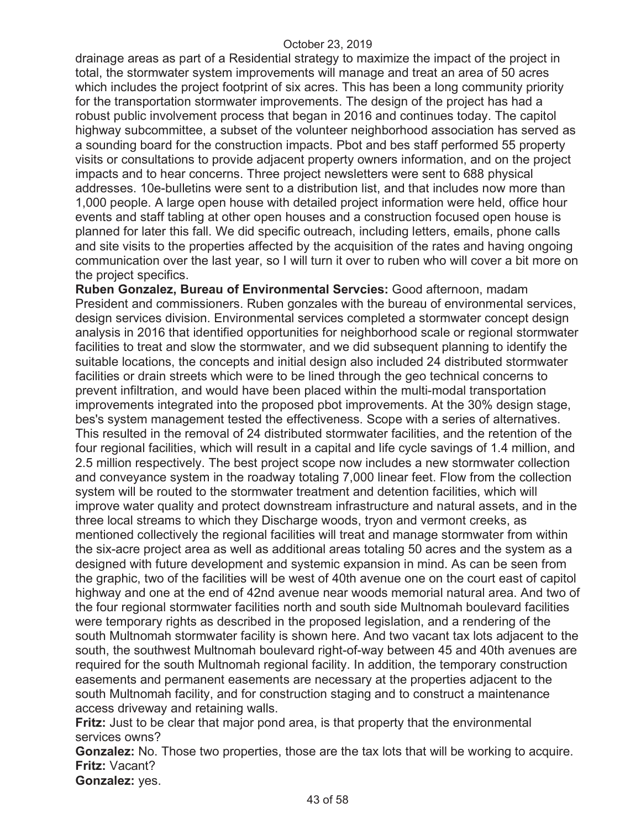drainage areas as part of a Residential strategy to maximize the impact of the project in total, the stormwater system improvements will manage and treat an area of 50 acres which includes the project footprint of six acres. This has been a long community priority for the transportation stormwater improvements. The design of the project has had a robust public involvement process that began in 2016 and continues today. The capitol highway subcommittee, a subset of the volunteer neighborhood association has served as a sounding board for the construction impacts. Pbot and bes staff performed 55 property visits or consultations to provide adjacent property owners information, and on the project impacts and to hear concerns. Three project newsletters were sent to 688 physical addresses. 10e-bulletins were sent to a distribution list, and that includes now more than 1,000 people. A large open house with detailed project information were held, office hour events and staff tabling at other open houses and a construction focused open house is planned for later this fall. We did specific outreach, including letters, emails, phone calls and site visits to the properties affected by the acquisition of the rates and having ongoing communication over the last year, so I will turn it over to ruben who will cover a bit more on the project specifics.

**Ruben Gonzalez, Bureau of Environmental Servcies:** Good afternoon, madam President and commissioners. Ruben gonzales with the bureau of environmental services, design services division. Environmental services completed a stormwater concept design analysis in 2016 that identified opportunities for neighborhood scale or regional stormwater facilities to treat and slow the stormwater, and we did subsequent planning to identify the suitable locations, the concepts and initial design also included 24 distributed stormwater facilities or drain streets which were to be lined through the geo technical concerns to prevent infiltration, and would have been placed within the multi-modal transportation improvements integrated into the proposed pbot improvements. At the 30% design stage, bes's system management tested the effectiveness. Scope with a series of alternatives. This resulted in the removal of 24 distributed stormwater facilities, and the retention of the four regional facilities, which will result in a capital and life cycle savings of 1.4 million, and 2.5 million respectively. The best project scope now includes a new stormwater collection and conveyance system in the roadway totaling 7,000 linear feet. Flow from the collection system will be routed to the stormwater treatment and detention facilities, which will improve water quality and protect downstream infrastructure and natural assets, and in the three local streams to which they Discharge woods, tryon and vermont creeks, as mentioned collectively the regional facilities will treat and manage stormwater from within the six-acre project area as well as additional areas totaling 50 acres and the system as a designed with future development and systemic expansion in mind. As can be seen from the graphic, two of the facilities will be west of 40th avenue one on the court east of capitol highway and one at the end of 42nd avenue near woods memorial natural area. And two of the four regional stormwater facilities north and south side Multnomah boulevard facilities were temporary rights as described in the proposed legislation, and a rendering of the south Multnomah stormwater facility is shown here. And two vacant tax lots adjacent to the south, the southwest Multnomah boulevard right-of-way between 45 and 40th avenues are required for the south Multnomah regional facility. In addition, the temporary construction easements and permanent easements are necessary at the properties adjacent to the south Multnomah facility, and for construction staging and to construct a maintenance access driveway and retaining walls.

**Fritz:** Just to be clear that major pond area, is that property that the environmental services owns?

**Gonzalez:** No. Those two properties, those are the tax lots that will be working to acquire. **Fritz:** Vacant?

**Gonzalez:** yes.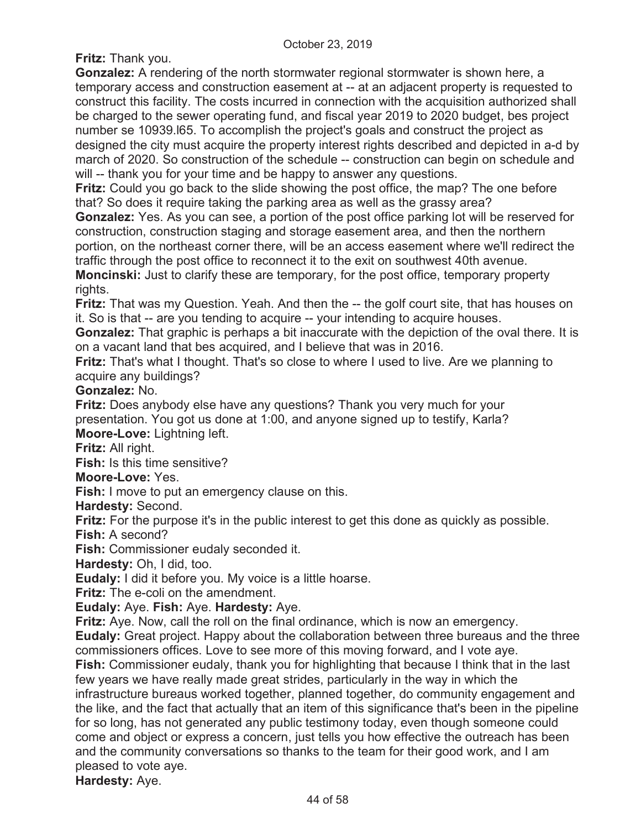**Fritz:** Thank you.

**Gonzalez:** A rendering of the north stormwater regional stormwater is shown here, a temporary access and construction easement at -- at an adjacent property is requested to construct this facility. The costs incurred in connection with the acquisition authorized shall be charged to the sewer operating fund, and fiscal year 2019 to 2020 budget, bes project number se 10939.l65. To accomplish the project's goals and construct the project as designed the city must acquire the property interest rights described and depicted in a-d by march of 2020. So construction of the schedule -- construction can begin on schedule and will -- thank you for your time and be happy to answer any questions.

**Fritz:** Could you go back to the slide showing the post office, the map? The one before that? So does it require taking the parking area as well as the grassy area?

**Gonzalez:** Yes. As you can see, a portion of the post office parking lot will be reserved for construction, construction staging and storage easement area, and then the northern portion, on the northeast corner there, will be an access easement where we'll redirect the traffic through the post office to reconnect it to the exit on southwest 40th avenue.

**Moncinski:** Just to clarify these are temporary, for the post office, temporary property rights.

**Fritz:** That was my Question. Yeah. And then the -- the golf court site, that has houses on it. So is that -- are you tending to acquire -- your intending to acquire houses.

**Gonzalez:** That graphic is perhaps a bit inaccurate with the depiction of the oval there. It is on a vacant land that bes acquired, and I believe that was in 2016.

**Fritz:** That's what I thought. That's so close to where I used to live. Are we planning to acquire any buildings?

**Gonzalez:** No.

**Fritz:** Does anybody else have any questions? Thank you very much for your presentation. You got us done at 1:00, and anyone signed up to testify, Karla? **Moore-Love:** Lightning left.

**Fritz:** All right.

**Fish:** Is this time sensitive?

**Moore-Love:** Yes.

**Fish:** I move to put an emergency clause on this.

**Hardesty:** Second.

**Fritz:** For the purpose it's in the public interest to get this done as quickly as possible. **Fish:** A second?

**Fish:** Commissioner eudaly seconded it.

**Hardesty:** Oh, I did, too.

**Eudaly:** I did it before you. My voice is a little hoarse.

**Fritz:** The e-coli on the amendment.

**Eudaly:** Aye. **Fish:** Aye. **Hardesty:** Aye.

**Fritz:** Aye. Now, call the roll on the final ordinance, which is now an emergency.

**Eudaly:** Great project. Happy about the collaboration between three bureaus and the three commissioners offices. Love to see more of this moving forward, and I vote aye.

**Fish:** Commissioner eudaly, thank you for highlighting that because I think that in the last few years we have really made great strides, particularly in the way in which the infrastructure bureaus worked together, planned together, do community engagement and the like, and the fact that actually that an item of this significance that's been in the pipeline for so long, has not generated any public testimony today, even though someone could come and object or express a concern, just tells you how effective the outreach has been and the community conversations so thanks to the team for their good work, and I am pleased to vote aye.

**Hardesty:** Aye.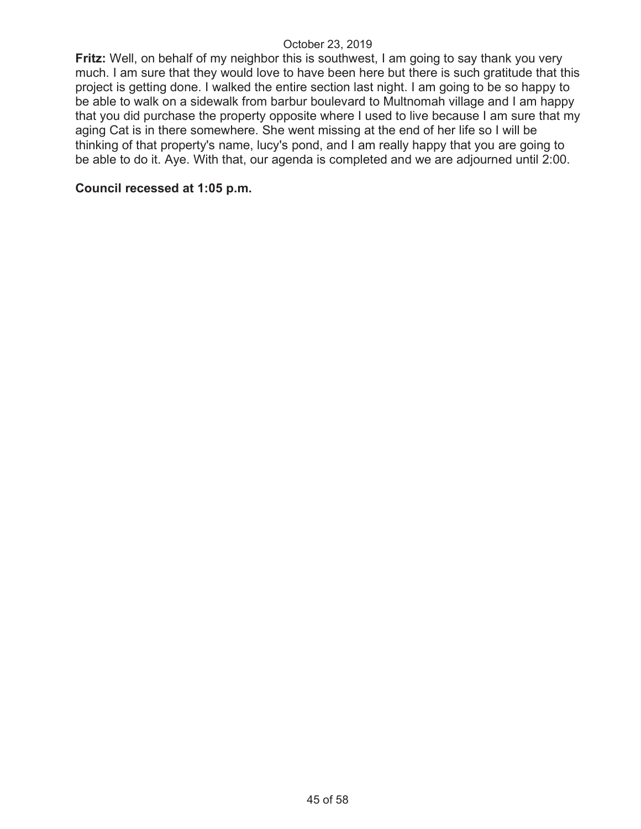**Fritz:** Well, on behalf of my neighbor this is southwest, I am going to say thank you very much. I am sure that they would love to have been here but there is such gratitude that this project is getting done. I walked the entire section last night. I am going to be so happy to be able to walk on a sidewalk from barbur boulevard to Multnomah village and I am happy that you did purchase the property opposite where I used to live because I am sure that my aging Cat is in there somewhere. She went missing at the end of her life so I will be thinking of that property's name, lucy's pond, and I am really happy that you are going to be able to do it. Aye. With that, our agenda is completed and we are adjourned until 2:00.

#### **Council recessed at 1:05 p.m.**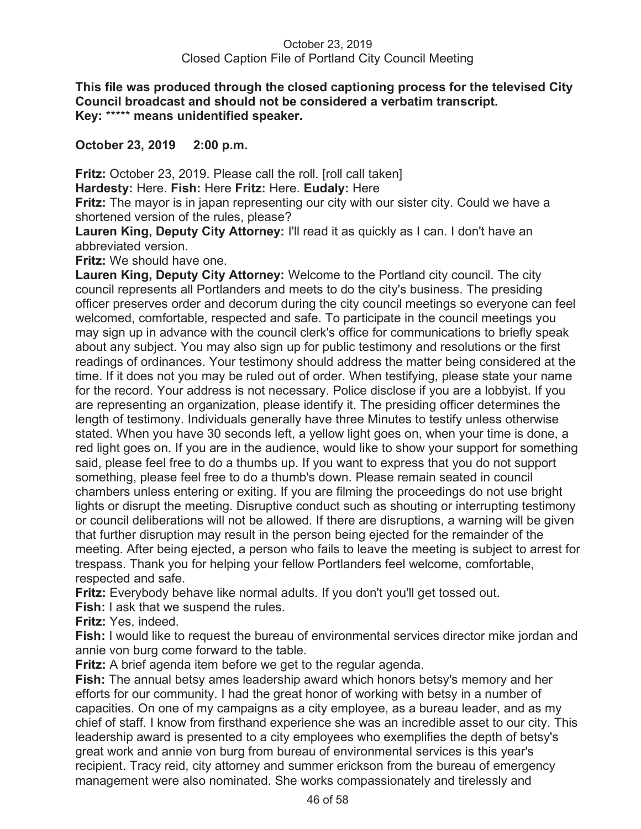**This file was produced through the closed captioning process for the televised City Council broadcast and should not be considered a verbatim transcript. Key:** \*\*\*\*\* **means unidentified speaker.** 

# **October 23, 2019 2:00 p.m.**

**Fritz:** October 23, 2019. Please call the roll. [roll call taken]

**Hardesty:** Here. **Fish:** Here **Fritz:** Here. **Eudaly:** Here

**Fritz:** The mayor is in japan representing our city with our sister city. Could we have a shortened version of the rules, please?

Lauren King, Deputy City Attorney: I'll read it as quickly as I can. I don't have an abbreviated version.

**Fritz:** We should have one.

**Lauren King, Deputy City Attorney:** Welcome to the Portland city council. The city council represents all Portlanders and meets to do the city's business. The presiding officer preserves order and decorum during the city council meetings so everyone can feel welcomed, comfortable, respected and safe. To participate in the council meetings you may sign up in advance with the council clerk's office for communications to briefly speak about any subject. You may also sign up for public testimony and resolutions or the first readings of ordinances. Your testimony should address the matter being considered at the time. If it does not you may be ruled out of order. When testifying, please state your name for the record. Your address is not necessary. Police disclose if you are a lobbyist. If you are representing an organization, please identify it. The presiding officer determines the length of testimony. Individuals generally have three Minutes to testify unless otherwise stated. When you have 30 seconds left, a yellow light goes on, when your time is done, a red light goes on. If you are in the audience, would like to show your support for something said, please feel free to do a thumbs up. If you want to express that you do not support something, please feel free to do a thumb's down. Please remain seated in council chambers unless entering or exiting. If you are filming the proceedings do not use bright lights or disrupt the meeting. Disruptive conduct such as shouting or interrupting testimony or council deliberations will not be allowed. If there are disruptions, a warning will be given that further disruption may result in the person being ejected for the remainder of the meeting. After being ejected, a person who fails to leave the meeting is subject to arrest for trespass. Thank you for helping your fellow Portlanders feel welcome, comfortable, respected and safe.

**Fritz:** Everybody behave like normal adults. If you don't you'll get tossed out.

**Fish:** I ask that we suspend the rules.

**Fritz:** Yes, indeed.

**Fish:** I would like to request the bureau of environmental services director mike jordan and annie von burg come forward to the table.

**Fritz:** A brief agenda item before we get to the regular agenda.

**Fish:** The annual betsy ames leadership award which honors betsy's memory and her efforts for our community. I had the great honor of working with betsy in a number of capacities. On one of my campaigns as a city employee, as a bureau leader, and as my chief of staff. I know from firsthand experience she was an incredible asset to our city. This leadership award is presented to a city employees who exemplifies the depth of betsy's great work and annie von burg from bureau of environmental services is this year's recipient. Tracy reid, city attorney and summer erickson from the bureau of emergency management were also nominated. She works compassionately and tirelessly and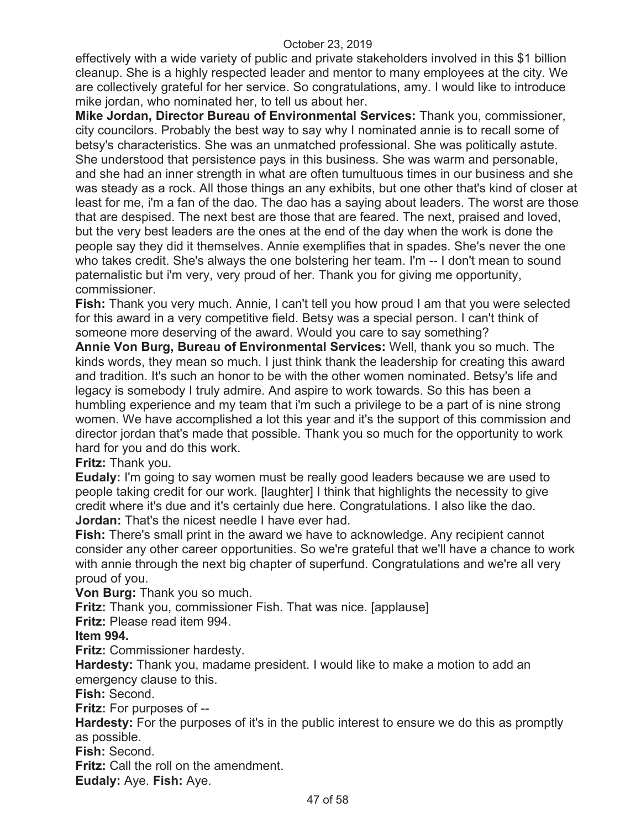effectively with a wide variety of public and private stakeholders involved in this \$1 billion cleanup. She is a highly respected leader and mentor to many employees at the city. We are collectively grateful for her service. So congratulations, amy. I would like to introduce mike jordan, who nominated her, to tell us about her.

**Mike Jordan, Director Bureau of Environmental Services:** Thank you, commissioner, city councilors. Probably the best way to say why I nominated annie is to recall some of betsy's characteristics. She was an unmatched professional. She was politically astute. She understood that persistence pays in this business. She was warm and personable, and she had an inner strength in what are often tumultuous times in our business and she was steady as a rock. All those things an any exhibits, but one other that's kind of closer at least for me, i'm a fan of the dao. The dao has a saying about leaders. The worst are those that are despised. The next best are those that are feared. The next, praised and loved, but the very best leaders are the ones at the end of the day when the work is done the people say they did it themselves. Annie exemplifies that in spades. She's never the one who takes credit. She's always the one bolstering her team. I'm -- I don't mean to sound paternalistic but i'm very, very proud of her. Thank you for giving me opportunity, commissioner.

**Fish:** Thank you very much. Annie, I can't tell you how proud I am that you were selected for this award in a very competitive field. Betsy was a special person. I can't think of someone more deserving of the award. Would you care to say something?

**Annie Von Burg, Bureau of Environmental Services:** Well, thank you so much. The kinds words, they mean so much. I just think thank the leadership for creating this award and tradition. It's such an honor to be with the other women nominated. Betsy's life and legacy is somebody I truly admire. And aspire to work towards. So this has been a humbling experience and my team that i'm such a privilege to be a part of is nine strong women. We have accomplished a lot this year and it's the support of this commission and director jordan that's made that possible. Thank you so much for the opportunity to work hard for you and do this work.

**Fritz:** Thank you.

**Eudaly:** I'm going to say women must be really good leaders because we are used to people taking credit for our work. [laughter] I think that highlights the necessity to give credit where it's due and it's certainly due here. Congratulations. I also like the dao. **Jordan:** That's the nicest needle I have ever had.

**Fish:** There's small print in the award we have to acknowledge. Any recipient cannot consider any other career opportunities. So we're grateful that we'll have a chance to work with annie through the next big chapter of superfund. Congratulations and we're all very proud of you.

**Von Burg:** Thank you so much.

**Fritz:** Thank you, commissioner Fish. That was nice. [applause]

**Fritz:** Please read item 994.

#### **Item 994.**

**Fritz:** Commissioner hardesty.

**Hardesty:** Thank you, madame president. I would like to make a motion to add an emergency clause to this.

**Fish:** Second.

**Fritz:** For purposes of --

**Hardesty:** For the purposes of it's in the public interest to ensure we do this as promptly as possible.

**Fish:** Second.

**Fritz:** Call the roll on the amendment.

**Eudaly:** Aye. **Fish:** Aye.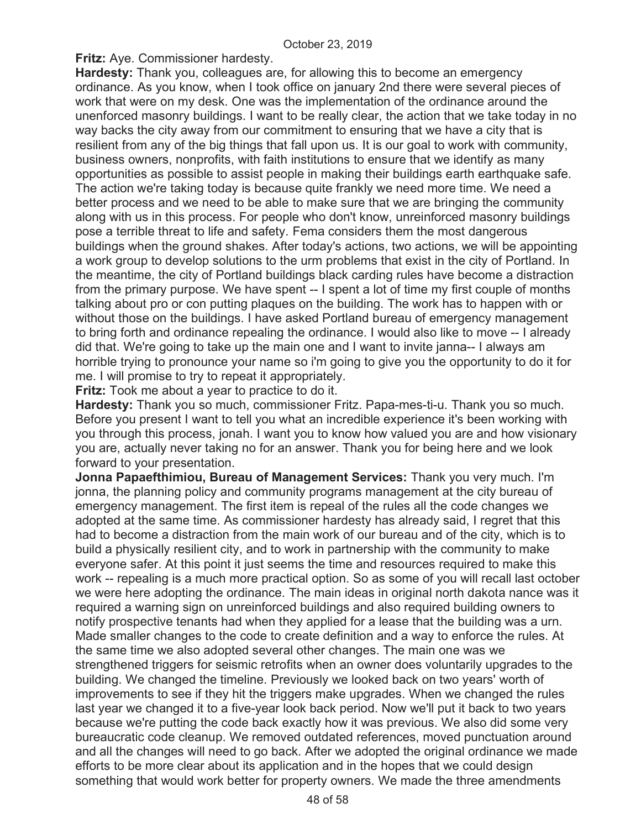**Fritz:** Aye. Commissioner hardesty.

**Hardesty:** Thank you, colleagues are, for allowing this to become an emergency ordinance. As you know, when I took office on january 2nd there were several pieces of work that were on my desk. One was the implementation of the ordinance around the unenforced masonry buildings. I want to be really clear, the action that we take today in no way backs the city away from our commitment to ensuring that we have a city that is resilient from any of the big things that fall upon us. It is our goal to work with community, business owners, nonprofits, with faith institutions to ensure that we identify as many opportunities as possible to assist people in making their buildings earth earthquake safe. The action we're taking today is because quite frankly we need more time. We need a better process and we need to be able to make sure that we are bringing the community along with us in this process. For people who don't know, unreinforced masonry buildings pose a terrible threat to life and safety. Fema considers them the most dangerous buildings when the ground shakes. After today's actions, two actions, we will be appointing a work group to develop solutions to the urm problems that exist in the city of Portland. In the meantime, the city of Portland buildings black carding rules have become a distraction from the primary purpose. We have spent -- I spent a lot of time my first couple of months talking about pro or con putting plaques on the building. The work has to happen with or without those on the buildings. I have asked Portland bureau of emergency management to bring forth and ordinance repealing the ordinance. I would also like to move -- I already did that. We're going to take up the main one and I want to invite janna-- I always am horrible trying to pronounce your name so i'm going to give you the opportunity to do it for me. I will promise to try to repeat it appropriately.

**Fritz:** Took me about a year to practice to do it.

**Hardesty:** Thank you so much, commissioner Fritz. Papa-mes-ti-u. Thank you so much. Before you present I want to tell you what an incredible experience it's been working with you through this process, jonah. I want you to know how valued you are and how visionary you are, actually never taking no for an answer. Thank you for being here and we look forward to your presentation.

**Jonna Papaefthimiou, Bureau of Management Services:** Thank you very much. I'm jonna, the planning policy and community programs management at the city bureau of emergency management. The first item is repeal of the rules all the code changes we adopted at the same time. As commissioner hardesty has already said, I regret that this had to become a distraction from the main work of our bureau and of the city, which is to build a physically resilient city, and to work in partnership with the community to make everyone safer. At this point it just seems the time and resources required to make this work -- repealing is a much more practical option. So as some of you will recall last october we were here adopting the ordinance. The main ideas in original north dakota nance was it required a warning sign on unreinforced buildings and also required building owners to notify prospective tenants had when they applied for a lease that the building was a urn. Made smaller changes to the code to create definition and a way to enforce the rules. At the same time we also adopted several other changes. The main one was we strengthened triggers for seismic retrofits when an owner does voluntarily upgrades to the building. We changed the timeline. Previously we looked back on two years' worth of improvements to see if they hit the triggers make upgrades. When we changed the rules last year we changed it to a five-year look back period. Now we'll put it back to two years because we're putting the code back exactly how it was previous. We also did some very bureaucratic code cleanup. We removed outdated references, moved punctuation around and all the changes will need to go back. After we adopted the original ordinance we made efforts to be more clear about its application and in the hopes that we could design something that would work better for property owners. We made the three amendments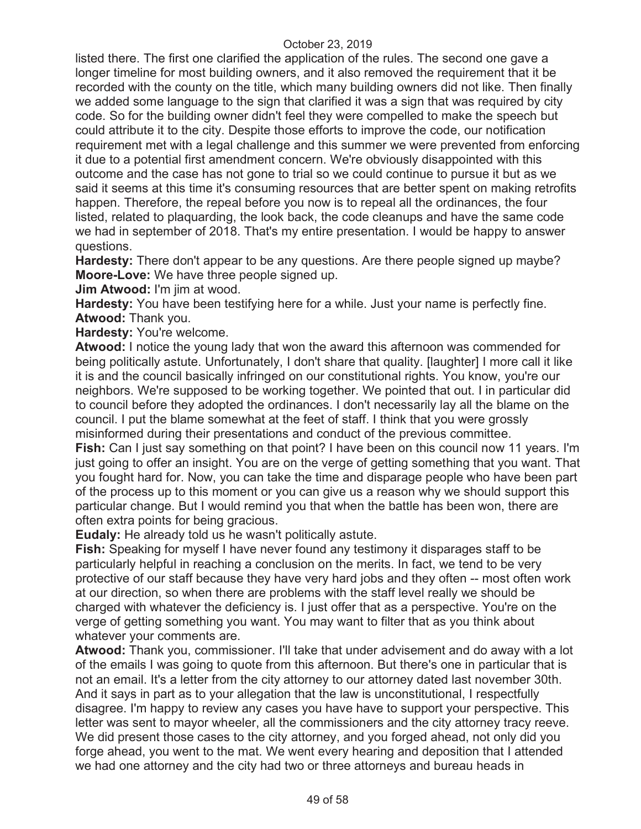listed there. The first one clarified the application of the rules. The second one gave a longer timeline for most building owners, and it also removed the requirement that it be recorded with the county on the title, which many building owners did not like. Then finally we added some language to the sign that clarified it was a sign that was required by city code. So for the building owner didn't feel they were compelled to make the speech but could attribute it to the city. Despite those efforts to improve the code, our notification requirement met with a legal challenge and this summer we were prevented from enforcing it due to a potential first amendment concern. We're obviously disappointed with this outcome and the case has not gone to trial so we could continue to pursue it but as we said it seems at this time it's consuming resources that are better spent on making retrofits happen. Therefore, the repeal before you now is to repeal all the ordinances, the four listed, related to plaquarding, the look back, the code cleanups and have the same code we had in september of 2018. That's my entire presentation. I would be happy to answer questions.

**Hardesty:** There don't appear to be any questions. Are there people signed up maybe? **Moore-Love:** We have three people signed up.

**Jim Atwood:** I'm jim at wood.

**Hardesty:** You have been testifying here for a while. Just your name is perfectly fine. **Atwood:** Thank you.

**Hardesty:** You're welcome.

**Atwood:** I notice the young lady that won the award this afternoon was commended for being politically astute. Unfortunately, I don't share that quality. [laughter] I more call it like it is and the council basically infringed on our constitutional rights. You know, you're our neighbors. We're supposed to be working together. We pointed that out. I in particular did to council before they adopted the ordinances. I don't necessarily lay all the blame on the council. I put the blame somewhat at the feet of staff. I think that you were grossly misinformed during their presentations and conduct of the previous committee.

**Fish:** Can I just say something on that point? I have been on this council now 11 years. I'm just going to offer an insight. You are on the verge of getting something that you want. That you fought hard for. Now, you can take the time and disparage people who have been part of the process up to this moment or you can give us a reason why we should support this particular change. But I would remind you that when the battle has been won, there are often extra points for being gracious.

**Eudaly:** He already told us he wasn't politically astute.

**Fish:** Speaking for myself I have never found any testimony it disparages staff to be particularly helpful in reaching a conclusion on the merits. In fact, we tend to be very protective of our staff because they have very hard jobs and they often -- most often work at our direction, so when there are problems with the staff level really we should be charged with whatever the deficiency is. I just offer that as a perspective. You're on the verge of getting something you want. You may want to filter that as you think about whatever your comments are.

**Atwood:** Thank you, commissioner. I'll take that under advisement and do away with a lot of the emails I was going to quote from this afternoon. But there's one in particular that is not an email. It's a letter from the city attorney to our attorney dated last november 30th. And it says in part as to your allegation that the law is unconstitutional, I respectfully disagree. I'm happy to review any cases you have have to support your perspective. This letter was sent to mayor wheeler, all the commissioners and the city attorney tracy reeve. We did present those cases to the city attorney, and you forged ahead, not only did you forge ahead, you went to the mat. We went every hearing and deposition that I attended we had one attorney and the city had two or three attorneys and bureau heads in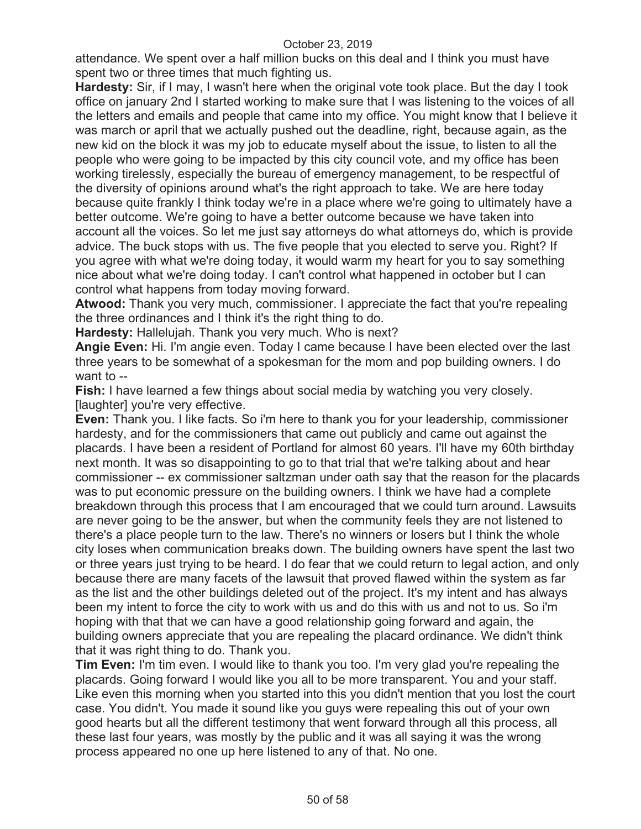attendance. We spent over a half million bucks on this deal and I think you must have spent two or three times that much fighting us.

**Hardesty:** Sir, if I may, I wasn't here when the original vote took place. But the day I took office on january 2nd I started working to make sure that I was listening to the voices of all the letters and emails and people that came into my office. You might know that I believe it was march or april that we actually pushed out the deadline, right, because again, as the new kid on the block it was my job to educate myself about the issue, to listen to all the people who were going to be impacted by this city council vote, and my office has been working tirelessly, especially the bureau of emergency management, to be respectful of the diversity of opinions around what's the right approach to take. We are here today because quite frankly I think today we're in a place where we're going to ultimately have a better outcome. We're going to have a better outcome because we have taken into account all the voices. So let me just say attorneys do what attorneys do, which is provide advice. The buck stops with us. The five people that you elected to serve you. Right? If you agree with what we're doing today, it would warm my heart for you to say something nice about what we're doing today. I can't control what happened in october but I can control what happens from today moving forward.

**Atwood:** Thank you very much, commissioner. I appreciate the fact that you're repealing the three ordinances and I think it's the right thing to do.

**Hardesty:** Hallelujah. Thank you very much. Who is next?

**Angie Even:** Hi. I'm angie even. Today I came because I have been elected over the last three years to be somewhat of a spokesman for the mom and pop building owners. I do want to --

**Fish:** I have learned a few things about social media by watching you very closely. [laughter] you're very effective.

**Even:** Thank you. I like facts. So i'm here to thank you for your leadership, commissioner hardesty, and for the commissioners that came out publicly and came out against the placards. I have been a resident of Portland for almost 60 years. I'll have my 60th birthday next month. It was so disappointing to go to that trial that we're talking about and hear commissioner -- ex commissioner saltzman under oath say that the reason for the placards was to put economic pressure on the building owners. I think we have had a complete breakdown through this process that I am encouraged that we could turn around. Lawsuits are never going to be the answer, but when the community feels they are not listened to there's a place people turn to the law. There's no winners or losers but I think the whole city loses when communication breaks down. The building owners have spent the last two or three years just trying to be heard. I do fear that we could return to legal action, and only because there are many facets of the lawsuit that proved flawed within the system as far as the list and the other buildings deleted out of the project. It's my intent and has always been my intent to force the city to work with us and do this with us and not to us. So i'm hoping with that that we can have a good relationship going forward and again, the building owners appreciate that you are repealing the placard ordinance. We didn't think that it was right thing to do. Thank you.

**Tim Even:** I'm tim even. I would like to thank you too. I'm very glad you're repealing the placards. Going forward I would like you all to be more transparent. You and your staff. Like even this morning when you started into this you didn't mention that you lost the court case. You didn't. You made it sound like you guys were repealing this out of your own good hearts but all the different testimony that went forward through all this process, all these last four years, was mostly by the public and it was all saying it was the wrong process appeared no one up here listened to any of that. No one.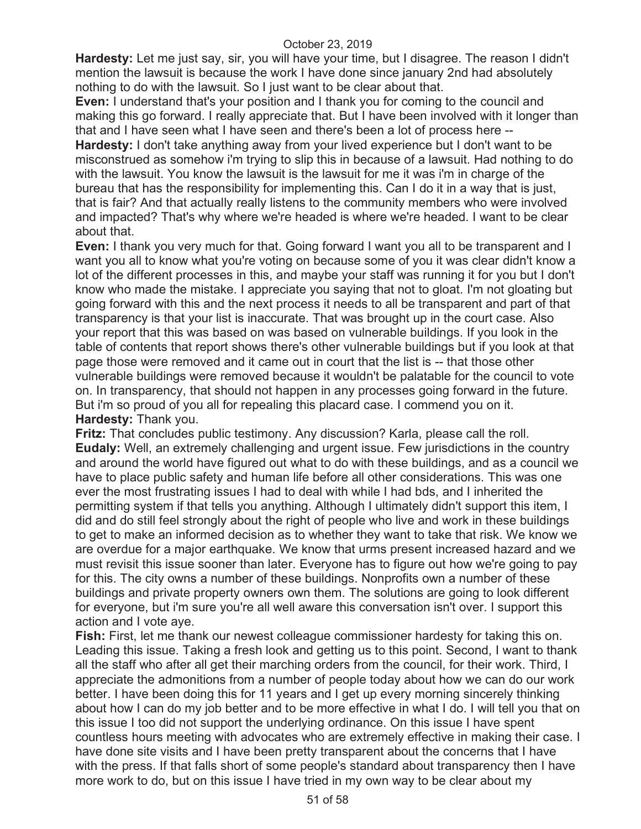**Hardesty:** Let me just say, sir, you will have your time, but I disagree. The reason I didn't mention the lawsuit is because the work I have done since january 2nd had absolutely nothing to do with the lawsuit. So I just want to be clear about that.

**Even:** I understand that's your position and I thank you for coming to the council and making this go forward. I really appreciate that. But I have been involved with it longer than that and I have seen what I have seen and there's been a lot of process here --

**Hardesty:** I don't take anything away from your lived experience but I don't want to be misconstrued as somehow i'm trying to slip this in because of a lawsuit. Had nothing to do with the lawsuit. You know the lawsuit is the lawsuit for me it was i'm in charge of the bureau that has the responsibility for implementing this. Can I do it in a way that is just, that is fair? And that actually really listens to the community members who were involved and impacted? That's why where we're headed is where we're headed. I want to be clear about that.

**Even:** I thank you very much for that. Going forward I want you all to be transparent and I want you all to know what you're voting on because some of you it was clear didn't know a lot of the different processes in this, and maybe your staff was running it for you but I don't know who made the mistake. I appreciate you saying that not to gloat. I'm not gloating but going forward with this and the next process it needs to all be transparent and part of that transparency is that your list is inaccurate. That was brought up in the court case. Also your report that this was based on was based on vulnerable buildings. If you look in the table of contents that report shows there's other vulnerable buildings but if you look at that page those were removed and it came out in court that the list is -- that those other vulnerable buildings were removed because it wouldn't be palatable for the council to vote on. In transparency, that should not happen in any processes going forward in the future. But i'm so proud of you all for repealing this placard case. I commend you on it. **Hardesty:** Thank you.

**Fritz:** That concludes public testimony. Any discussion? Karla, please call the roll. **Eudaly:** Well, an extremely challenging and urgent issue. Few jurisdictions in the country and around the world have figured out what to do with these buildings, and as a council we have to place public safety and human life before all other considerations. This was one ever the most frustrating issues I had to deal with while I had bds, and I inherited the permitting system if that tells you anything. Although I ultimately didn't support this item, I did and do still feel strongly about the right of people who live and work in these buildings to get to make an informed decision as to whether they want to take that risk. We know we are overdue for a major earthquake. We know that urms present increased hazard and we must revisit this issue sooner than later. Everyone has to figure out how we're going to pay for this. The city owns a number of these buildings. Nonprofits own a number of these buildings and private property owners own them. The solutions are going to look different for everyone, but i'm sure you're all well aware this conversation isn't over. I support this action and I vote aye.

**Fish:** First, let me thank our newest colleague commissioner hardesty for taking this on. Leading this issue. Taking a fresh look and getting us to this point. Second, I want to thank all the staff who after all get their marching orders from the council, for their work. Third, I appreciate the admonitions from a number of people today about how we can do our work better. I have been doing this for 11 years and I get up every morning sincerely thinking about how I can do my job better and to be more effective in what I do. I will tell you that on this issue I too did not support the underlying ordinance. On this issue I have spent countless hours meeting with advocates who are extremely effective in making their case. I have done site visits and I have been pretty transparent about the concerns that I have with the press. If that falls short of some people's standard about transparency then I have more work to do, but on this issue I have tried in my own way to be clear about my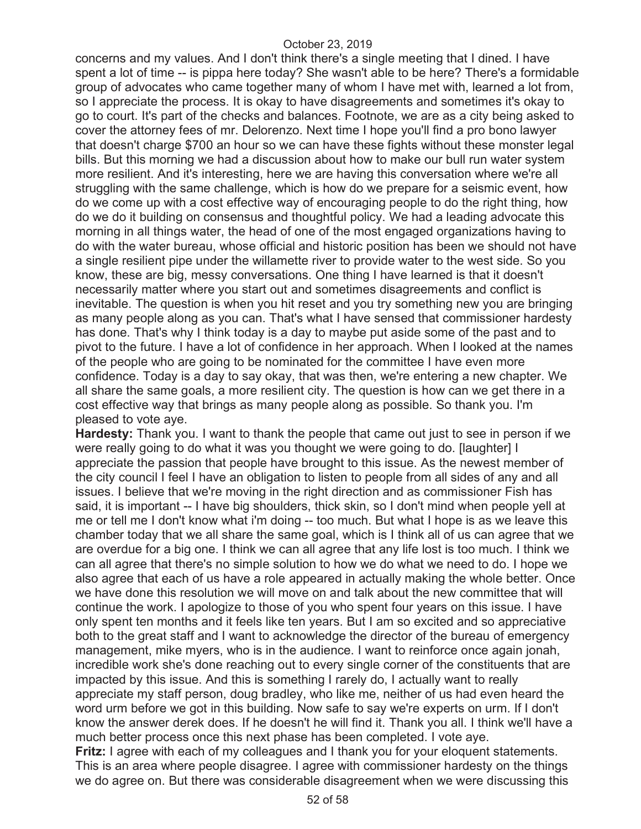concerns and my values. And I don't think there's a single meeting that I dined. I have spent a lot of time -- is pippa here today? She wasn't able to be here? There's a formidable group of advocates who came together many of whom I have met with, learned a lot from, so I appreciate the process. It is okay to have disagreements and sometimes it's okay to go to court. It's part of the checks and balances. Footnote, we are as a city being asked to cover the attorney fees of mr. Delorenzo. Next time I hope you'll find a pro bono lawyer that doesn't charge \$700 an hour so we can have these fights without these monster legal bills. But this morning we had a discussion about how to make our bull run water system more resilient. And it's interesting, here we are having this conversation where we're all struggling with the same challenge, which is how do we prepare for a seismic event, how do we come up with a cost effective way of encouraging people to do the right thing, how do we do it building on consensus and thoughtful policy. We had a leading advocate this morning in all things water, the head of one of the most engaged organizations having to do with the water bureau, whose official and historic position has been we should not have a single resilient pipe under the willamette river to provide water to the west side. So you know, these are big, messy conversations. One thing I have learned is that it doesn't necessarily matter where you start out and sometimes disagreements and conflict is inevitable. The question is when you hit reset and you try something new you are bringing as many people along as you can. That's what I have sensed that commissioner hardesty has done. That's why I think today is a day to maybe put aside some of the past and to pivot to the future. I have a lot of confidence in her approach. When I looked at the names of the people who are going to be nominated for the committee I have even more confidence. Today is a day to say okay, that was then, we're entering a new chapter. We all share the same goals, a more resilient city. The question is how can we get there in a cost effective way that brings as many people along as possible. So thank you. I'm pleased to vote aye.

**Hardesty:** Thank you. I want to thank the people that came out just to see in person if we were really going to do what it was you thought we were going to do. [laughter] I appreciate the passion that people have brought to this issue. As the newest member of the city council I feel I have an obligation to listen to people from all sides of any and all issues. I believe that we're moving in the right direction and as commissioner Fish has said, it is important -- I have big shoulders, thick skin, so I don't mind when people yell at me or tell me I don't know what i'm doing -- too much. But what I hope is as we leave this chamber today that we all share the same goal, which is I think all of us can agree that we are overdue for a big one. I think we can all agree that any life lost is too much. I think we can all agree that there's no simple solution to how we do what we need to do. I hope we also agree that each of us have a role appeared in actually making the whole better. Once we have done this resolution we will move on and talk about the new committee that will continue the work. I apologize to those of you who spent four years on this issue. I have only spent ten months and it feels like ten years. But I am so excited and so appreciative both to the great staff and I want to acknowledge the director of the bureau of emergency management, mike myers, who is in the audience. I want to reinforce once again jonah, incredible work she's done reaching out to every single corner of the constituents that are impacted by this issue. And this is something I rarely do, I actually want to really appreciate my staff person, doug bradley, who like me, neither of us had even heard the word urm before we got in this building. Now safe to say we're experts on urm. If I don't know the answer derek does. If he doesn't he will find it. Thank you all. I think we'll have a much better process once this next phase has been completed. I vote aye.

**Fritz:** I agree with each of my colleagues and I thank you for your eloquent statements. This is an area where people disagree. I agree with commissioner hardesty on the things we do agree on. But there was considerable disagreement when we were discussing this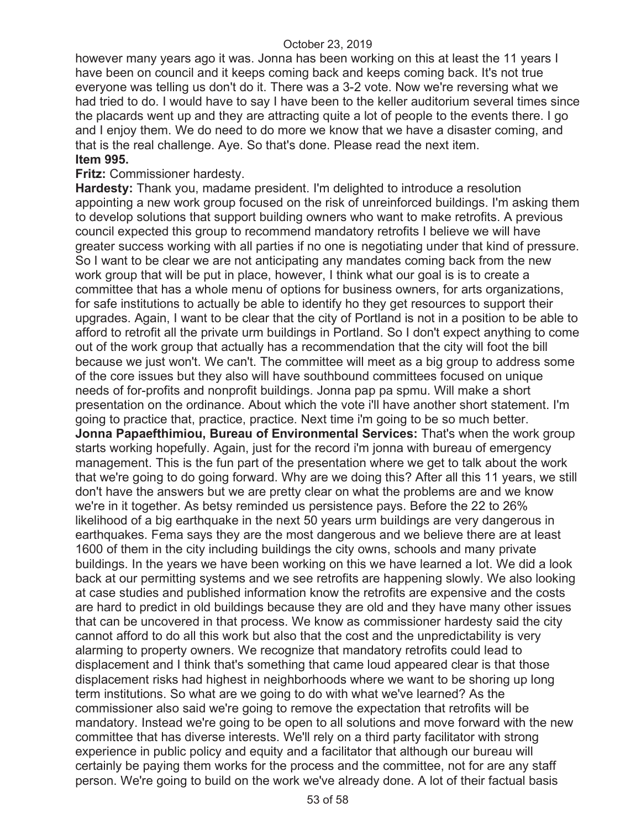however many years ago it was. Jonna has been working on this at least the 11 years I have been on council and it keeps coming back and keeps coming back. It's not true everyone was telling us don't do it. There was a 3-2 vote. Now we're reversing what we had tried to do. I would have to say I have been to the keller auditorium several times since the placards went up and they are attracting quite a lot of people to the events there. I go and I enjoy them. We do need to do more we know that we have a disaster coming, and that is the real challenge. Aye. So that's done. Please read the next item. **Item 995.** 

#### **Fritz:** Commissioner hardesty.

**Hardesty:** Thank you, madame president. I'm delighted to introduce a resolution appointing a new work group focused on the risk of unreinforced buildings. I'm asking them to develop solutions that support building owners who want to make retrofits. A previous council expected this group to recommend mandatory retrofits I believe we will have greater success working with all parties if no one is negotiating under that kind of pressure. So I want to be clear we are not anticipating any mandates coming back from the new work group that will be put in place, however, I think what our goal is is to create a committee that has a whole menu of options for business owners, for arts organizations, for safe institutions to actually be able to identify ho they get resources to support their upgrades. Again, I want to be clear that the city of Portland is not in a position to be able to afford to retrofit all the private urm buildings in Portland. So I don't expect anything to come out of the work group that actually has a recommendation that the city will foot the bill because we just won't. We can't. The committee will meet as a big group to address some of the core issues but they also will have southbound committees focused on unique needs of for-profits and nonprofit buildings. Jonna pap pa spmu. Will make a short presentation on the ordinance. About which the vote i'll have another short statement. I'm going to practice that, practice, practice. Next time i'm going to be so much better. **Jonna Papaefthimiou, Bureau of Environmental Services:** That's when the work group starts working hopefully. Again, just for the record i'm jonna with bureau of emergency management. This is the fun part of the presentation where we get to talk about the work that we're going to do going forward. Why are we doing this? After all this 11 years, we still don't have the answers but we are pretty clear on what the problems are and we know we're in it together. As betsy reminded us persistence pays. Before the 22 to 26% likelihood of a big earthquake in the next 50 years urm buildings are very dangerous in earthquakes. Fema says they are the most dangerous and we believe there are at least 1600 of them in the city including buildings the city owns, schools and many private buildings. In the years we have been working on this we have learned a lot. We did a look back at our permitting systems and we see retrofits are happening slowly. We also looking at case studies and published information know the retrofits are expensive and the costs are hard to predict in old buildings because they are old and they have many other issues that can be uncovered in that process. We know as commissioner hardesty said the city cannot afford to do all this work but also that the cost and the unpredictability is very alarming to property owners. We recognize that mandatory retrofits could lead to displacement and I think that's something that came loud appeared clear is that those displacement risks had highest in neighborhoods where we want to be shoring up long term institutions. So what are we going to do with what we've learned? As the commissioner also said we're going to remove the expectation that retrofits will be mandatory. Instead we're going to be open to all solutions and move forward with the new committee that has diverse interests. We'll rely on a third party facilitator with strong experience in public policy and equity and a facilitator that although our bureau will certainly be paying them works for the process and the committee, not for are any staff person. We're going to build on the work we've already done. A lot of their factual basis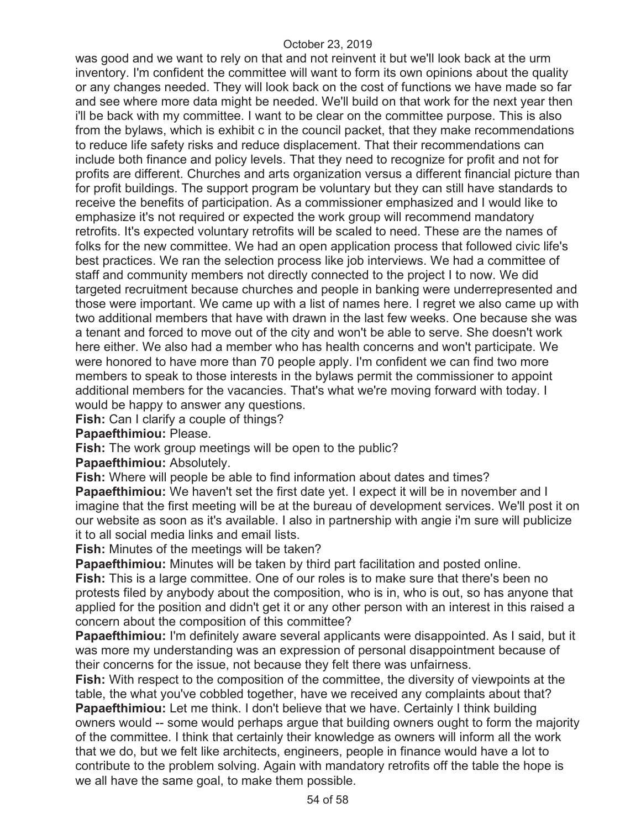was good and we want to rely on that and not reinvent it but we'll look back at the urm inventory. I'm confident the committee will want to form its own opinions about the quality or any changes needed. They will look back on the cost of functions we have made so far and see where more data might be needed. We'll build on that work for the next year then i'll be back with my committee. I want to be clear on the committee purpose. This is also from the bylaws, which is exhibit c in the council packet, that they make recommendations to reduce life safety risks and reduce displacement. That their recommendations can include both finance and policy levels. That they need to recognize for profit and not for profits are different. Churches and arts organization versus a different financial picture than for profit buildings. The support program be voluntary but they can still have standards to receive the benefits of participation. As a commissioner emphasized and I would like to emphasize it's not required or expected the work group will recommend mandatory retrofits. It's expected voluntary retrofits will be scaled to need. These are the names of folks for the new committee. We had an open application process that followed civic life's best practices. We ran the selection process like job interviews. We had a committee of staff and community members not directly connected to the project I to now. We did targeted recruitment because churches and people in banking were underrepresented and those were important. We came up with a list of names here. I regret we also came up with two additional members that have with drawn in the last few weeks. One because she was a tenant and forced to move out of the city and won't be able to serve. She doesn't work here either. We also had a member who has health concerns and won't participate. We were honored to have more than 70 people apply. I'm confident we can find two more members to speak to those interests in the bylaws permit the commissioner to appoint additional members for the vacancies. That's what we're moving forward with today. I would be happy to answer any questions.

**Fish:** Can I clarify a couple of things?

**Papaefthimiou:** Please.

**Fish:** The work group meetings will be open to the public?

**Papaefthimiou:** Absolutely.

**Fish:** Where will people be able to find information about dates and times?

**Papaefthimiou:** We haven't set the first date yet. I expect it will be in november and I imagine that the first meeting will be at the bureau of development services. We'll post it on our website as soon as it's available. I also in partnership with angie i'm sure will publicize it to all social media links and email lists.

**Fish:** Minutes of the meetings will be taken?

**Papaefthimiou:** Minutes will be taken by third part facilitation and posted online.

**Fish:** This is a large committee. One of our roles is to make sure that there's been no protests filed by anybody about the composition, who is in, who is out, so has anyone that applied for the position and didn't get it or any other person with an interest in this raised a concern about the composition of this committee?

**Papaefthimiou:** I'm definitely aware several applicants were disappointed. As I said, but it was more my understanding was an expression of personal disappointment because of their concerns for the issue, not because they felt there was unfairness.

**Fish:** With respect to the composition of the committee, the diversity of viewpoints at the table, the what you've cobbled together, have we received any complaints about that? **Papaefthimiou:** Let me think. I don't believe that we have. Certainly I think building owners would -- some would perhaps argue that building owners ought to form the majority of the committee. I think that certainly their knowledge as owners will inform all the work that we do, but we felt like architects, engineers, people in finance would have a lot to contribute to the problem solving. Again with mandatory retrofits off the table the hope is we all have the same goal, to make them possible.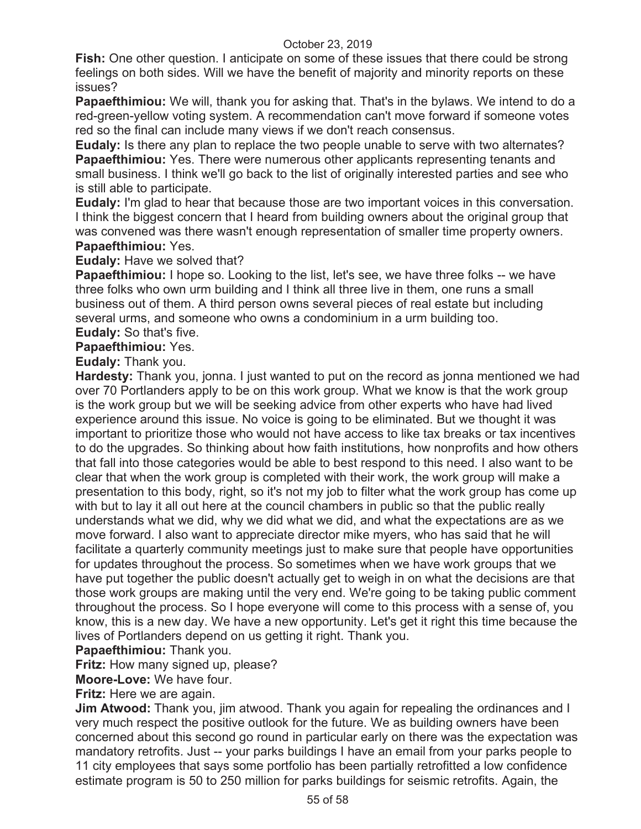**Fish:** One other question. I anticipate on some of these issues that there could be strong feelings on both sides. Will we have the benefit of majority and minority reports on these issues?

**Papaefthimiou:** We will, thank you for asking that. That's in the bylaws. We intend to do a red-green-yellow voting system. A recommendation can't move forward if someone votes red so the final can include many views if we don't reach consensus.

**Eudaly:** Is there any plan to replace the two people unable to serve with two alternates? **Papaefthimiou:** Yes. There were numerous other applicants representing tenants and small business. I think we'll go back to the list of originally interested parties and see who is still able to participate.

**Eudaly:** I'm glad to hear that because those are two important voices in this conversation. I think the biggest concern that I heard from building owners about the original group that was convened was there wasn't enough representation of smaller time property owners. **Papaefthimiou:** Yes.

# **Eudaly:** Have we solved that?

**Papaefthimiou:** I hope so. Looking to the list, let's see, we have three folks -- we have three folks who own urm building and I think all three live in them, one runs a small business out of them. A third person owns several pieces of real estate but including several urms, and someone who owns a condominium in a urm building too. **Eudaly:** So that's five.

**Papaefthimiou:** Yes.

**Eudaly:** Thank you.

**Hardesty:** Thank you, jonna. I just wanted to put on the record as jonna mentioned we had over 70 Portlanders apply to be on this work group. What we know is that the work group is the work group but we will be seeking advice from other experts who have had lived experience around this issue. No voice is going to be eliminated. But we thought it was important to prioritize those who would not have access to like tax breaks or tax incentives to do the upgrades. So thinking about how faith institutions, how nonprofits and how others that fall into those categories would be able to best respond to this need. I also want to be clear that when the work group is completed with their work, the work group will make a presentation to this body, right, so it's not my job to filter what the work group has come up with but to lay it all out here at the council chambers in public so that the public really understands what we did, why we did what we did, and what the expectations are as we move forward. I also want to appreciate director mike myers, who has said that he will facilitate a quarterly community meetings just to make sure that people have opportunities for updates throughout the process. So sometimes when we have work groups that we have put together the public doesn't actually get to weigh in on what the decisions are that those work groups are making until the very end. We're going to be taking public comment throughout the process. So I hope everyone will come to this process with a sense of, you know, this is a new day. We have a new opportunity. Let's get it right this time because the lives of Portlanders depend on us getting it right. Thank you.

**Papaefthimiou:** Thank you.

**Fritz:** How many signed up, please?

**Moore-Love:** We have four.

**Fritz:** Here we are again.

**Jim Atwood:** Thank you, jim atwood. Thank you again for repealing the ordinances and I very much respect the positive outlook for the future. We as building owners have been concerned about this second go round in particular early on there was the expectation was mandatory retrofits. Just -- your parks buildings I have an email from your parks people to 11 city employees that says some portfolio has been partially retrofitted a low confidence estimate program is 50 to 250 million for parks buildings for seismic retrofits. Again, the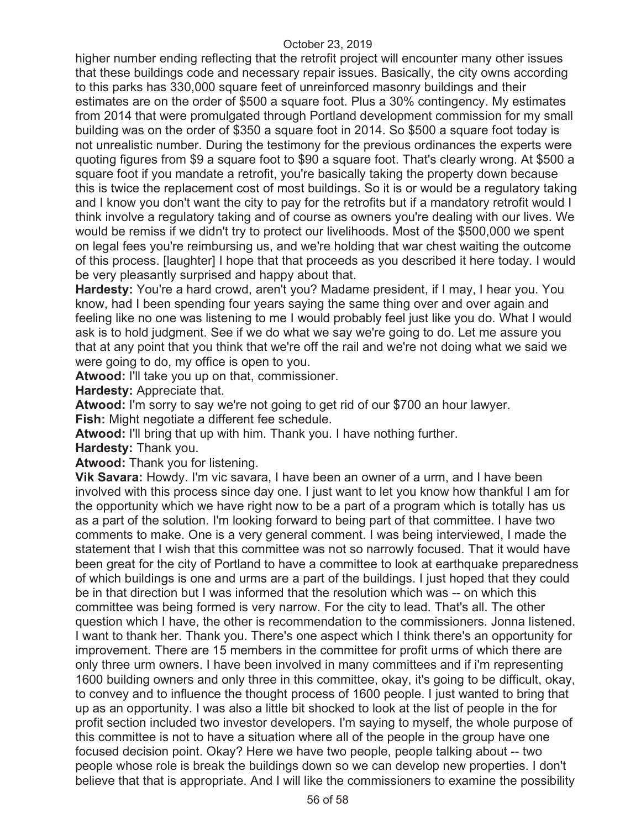higher number ending reflecting that the retrofit project will encounter many other issues that these buildings code and necessary repair issues. Basically, the city owns according to this parks has 330,000 square feet of unreinforced masonry buildings and their estimates are on the order of \$500 a square foot. Plus a 30% contingency. My estimates from 2014 that were promulgated through Portland development commission for my small building was on the order of \$350 a square foot in 2014. So \$500 a square foot today is not unrealistic number. During the testimony for the previous ordinances the experts were quoting figures from \$9 a square foot to \$90 a square foot. That's clearly wrong. At \$500 a square foot if you mandate a retrofit, you're basically taking the property down because this is twice the replacement cost of most buildings. So it is or would be a regulatory taking and I know you don't want the city to pay for the retrofits but if a mandatory retrofit would I think involve a regulatory taking and of course as owners you're dealing with our lives. We would be remiss if we didn't try to protect our livelihoods. Most of the \$500,000 we spent on legal fees you're reimbursing us, and we're holding that war chest waiting the outcome of this process. [laughter] I hope that that proceeds as you described it here today. I would be very pleasantly surprised and happy about that.

**Hardesty:** You're a hard crowd, aren't you? Madame president, if I may, I hear you. You know, had I been spending four years saying the same thing over and over again and feeling like no one was listening to me I would probably feel just like you do. What I would ask is to hold judgment. See if we do what we say we're going to do. Let me assure you that at any point that you think that we're off the rail and we're not doing what we said we were going to do, my office is open to you.

**Atwood:** I'll take you up on that, commissioner.

**Hardesty:** Appreciate that.

**Atwood:** I'm sorry to say we're not going to get rid of our \$700 an hour lawyer.

**Fish:** Might negotiate a different fee schedule.

**Atwood:** I'll bring that up with him. Thank you. I have nothing further.

**Hardesty:** Thank you.

**Atwood:** Thank you for listening.

**Vik Savara:** Howdy. I'm vic savara, I have been an owner of a urm, and I have been involved with this process since day one. I just want to let you know how thankful I am for the opportunity which we have right now to be a part of a program which is totally has us as a part of the solution. I'm looking forward to being part of that committee. I have two comments to make. One is a very general comment. I was being interviewed, I made the statement that I wish that this committee was not so narrowly focused. That it would have been great for the city of Portland to have a committee to look at earthquake preparedness of which buildings is one and urms are a part of the buildings. I just hoped that they could be in that direction but I was informed that the resolution which was -- on which this committee was being formed is very narrow. For the city to lead. That's all. The other question which I have, the other is recommendation to the commissioners. Jonna listened. I want to thank her. Thank you. There's one aspect which I think there's an opportunity for improvement. There are 15 members in the committee for profit urms of which there are only three urm owners. I have been involved in many committees and if i'm representing 1600 building owners and only three in this committee, okay, it's going to be difficult, okay, to convey and to influence the thought process of 1600 people. I just wanted to bring that up as an opportunity. I was also a little bit shocked to look at the list of people in the for profit section included two investor developers. I'm saying to myself, the whole purpose of this committee is not to have a situation where all of the people in the group have one focused decision point. Okay? Here we have two people, people talking about -- two people whose role is break the buildings down so we can develop new properties. I don't believe that that is appropriate. And I will like the commissioners to examine the possibility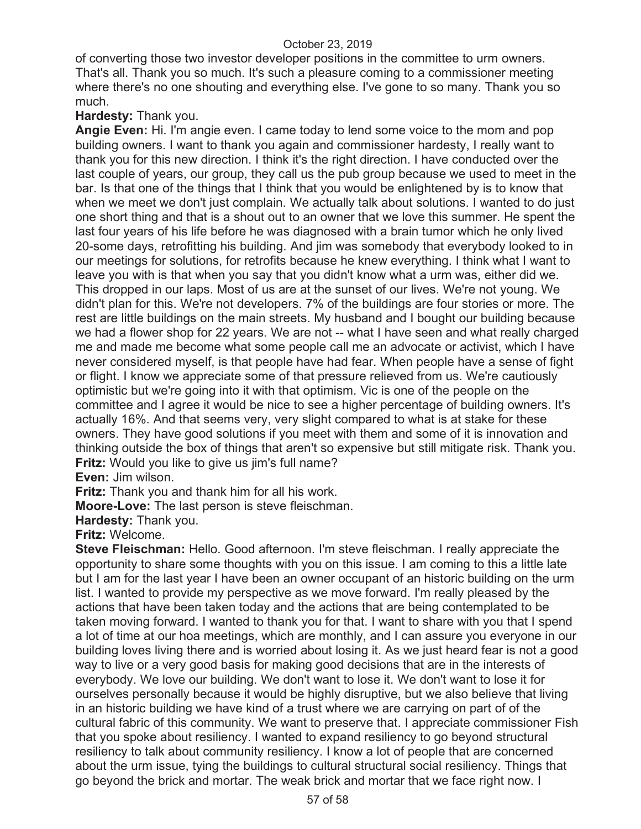of converting those two investor developer positions in the committee to urm owners. That's all. Thank you so much. It's such a pleasure coming to a commissioner meeting where there's no one shouting and everything else. I've gone to so many. Thank you so much.

#### **Hardesty:** Thank you.

**Angie Even:** Hi. I'm angie even. I came today to lend some voice to the mom and pop building owners. I want to thank you again and commissioner hardesty, I really want to thank you for this new direction. I think it's the right direction. I have conducted over the last couple of years, our group, they call us the pub group because we used to meet in the bar. Is that one of the things that I think that you would be enlightened by is to know that when we meet we don't just complain. We actually talk about solutions. I wanted to do just one short thing and that is a shout out to an owner that we love this summer. He spent the last four years of his life before he was diagnosed with a brain tumor which he only lived 20-some days, retrofitting his building. And jim was somebody that everybody looked to in our meetings for solutions, for retrofits because he knew everything. I think what I want to leave you with is that when you say that you didn't know what a urm was, either did we. This dropped in our laps. Most of us are at the sunset of our lives. We're not young. We didn't plan for this. We're not developers. 7% of the buildings are four stories or more. The rest are little buildings on the main streets. My husband and I bought our building because we had a flower shop for 22 years. We are not -- what I have seen and what really charged me and made me become what some people call me an advocate or activist, which I have never considered myself, is that people have had fear. When people have a sense of fight or flight. I know we appreciate some of that pressure relieved from us. We're cautiously optimistic but we're going into it with that optimism. Vic is one of the people on the committee and I agree it would be nice to see a higher percentage of building owners. It's actually 16%. And that seems very, very slight compared to what is at stake for these owners. They have good solutions if you meet with them and some of it is innovation and thinking outside the box of things that aren't so expensive but still mitigate risk. Thank you. **Fritz:** Would you like to give us jim's full name?

**Even:** Jim wilson.

**Fritz:** Thank you and thank him for all his work.

**Moore-Love:** The last person is steve fleischman.

**Hardesty:** Thank you.

#### **Fritz:** Welcome.

**Steve Fleischman:** Hello. Good afternoon. I'm steve fleischman. I really appreciate the opportunity to share some thoughts with you on this issue. I am coming to this a little late but I am for the last year I have been an owner occupant of an historic building on the urm list. I wanted to provide my perspective as we move forward. I'm really pleased by the actions that have been taken today and the actions that are being contemplated to be taken moving forward. I wanted to thank you for that. I want to share with you that I spend a lot of time at our hoa meetings, which are monthly, and I can assure you everyone in our building loves living there and is worried about losing it. As we just heard fear is not a good way to live or a very good basis for making good decisions that are in the interests of everybody. We love our building. We don't want to lose it. We don't want to lose it for ourselves personally because it would be highly disruptive, but we also believe that living in an historic building we have kind of a trust where we are carrying on part of of the cultural fabric of this community. We want to preserve that. I appreciate commissioner Fish that you spoke about resiliency. I wanted to expand resiliency to go beyond structural resiliency to talk about community resiliency. I know a lot of people that are concerned about the urm issue, tying the buildings to cultural structural social resiliency. Things that go beyond the brick and mortar. The weak brick and mortar that we face right now. I